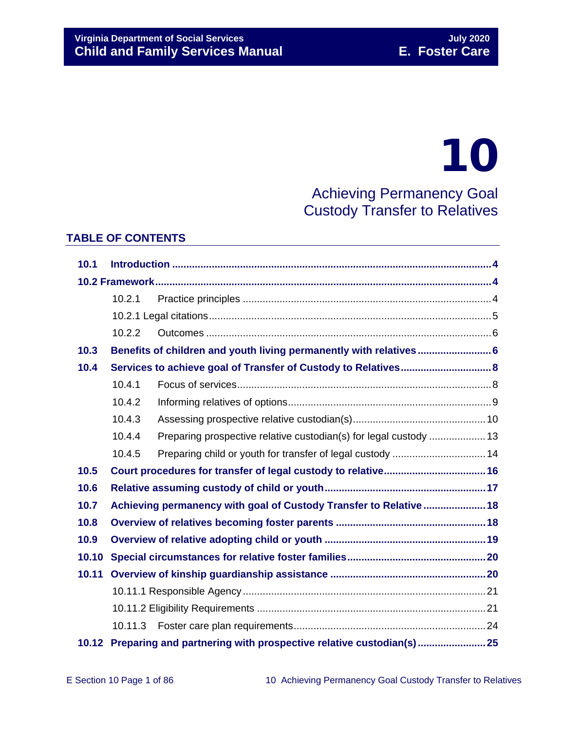# 10

Achieving Permanency Goal Custody Transfer to Relatives

# **TABLE OF CONTENTS**

| 10.1  |                                                                    |                                                                          |  |  |  |  |
|-------|--------------------------------------------------------------------|--------------------------------------------------------------------------|--|--|--|--|
|       |                                                                    |                                                                          |  |  |  |  |
|       | 10.2.1                                                             |                                                                          |  |  |  |  |
|       |                                                                    |                                                                          |  |  |  |  |
|       | 10.2.2                                                             |                                                                          |  |  |  |  |
| 10.3  |                                                                    | Benefits of children and youth living permanently with relatives 6       |  |  |  |  |
| 10.4  |                                                                    |                                                                          |  |  |  |  |
|       | 10.4.1                                                             |                                                                          |  |  |  |  |
|       | 10.4.2                                                             |                                                                          |  |  |  |  |
|       | 10.4.3                                                             |                                                                          |  |  |  |  |
|       | 10.4.4                                                             |                                                                          |  |  |  |  |
|       | 10.4.5                                                             | Preparing child or youth for transfer of legal custody  14               |  |  |  |  |
| 10.5  |                                                                    |                                                                          |  |  |  |  |
| 10.6  |                                                                    |                                                                          |  |  |  |  |
| 10.7  | Achieving permanency with goal of Custody Transfer to Relative  18 |                                                                          |  |  |  |  |
| 10.8  |                                                                    |                                                                          |  |  |  |  |
| 10.9  |                                                                    |                                                                          |  |  |  |  |
| 10.10 |                                                                    |                                                                          |  |  |  |  |
| 10.11 |                                                                    |                                                                          |  |  |  |  |
|       |                                                                    |                                                                          |  |  |  |  |
|       |                                                                    |                                                                          |  |  |  |  |
|       | 10.11.3                                                            |                                                                          |  |  |  |  |
|       |                                                                    | 10.12 Preparing and partnering with prospective relative custodian(s) 25 |  |  |  |  |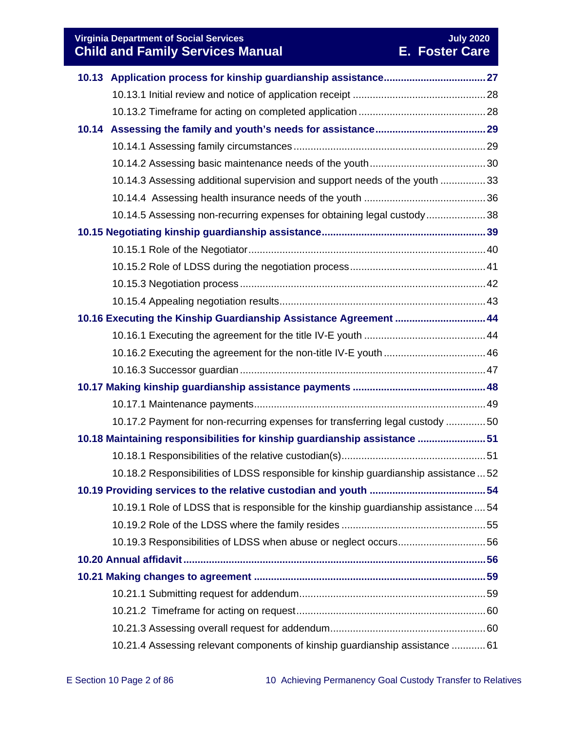**Virginia Department of Social Services July 2020 Child and Family Services Manual E. Foster Care**

|                                                                   | 10.14.3 Assessing additional supervision and support needs of the youth 33           |  |
|-------------------------------------------------------------------|--------------------------------------------------------------------------------------|--|
|                                                                   |                                                                                      |  |
|                                                                   | 10.14.5 Assessing non-recurring expenses for obtaining legal custody38               |  |
|                                                                   |                                                                                      |  |
|                                                                   |                                                                                      |  |
|                                                                   |                                                                                      |  |
|                                                                   |                                                                                      |  |
|                                                                   |                                                                                      |  |
| 10.16 Executing the Kinship Guardianship Assistance Agreement  44 |                                                                                      |  |
|                                                                   |                                                                                      |  |
|                                                                   |                                                                                      |  |
|                                                                   |                                                                                      |  |
|                                                                   |                                                                                      |  |
|                                                                   |                                                                                      |  |
|                                                                   | 10.17.2 Payment for non-recurring expenses for transferring legal custody 50         |  |
|                                                                   | 10.18 Maintaining responsibilities for kinship guardianship assistance 51            |  |
|                                                                   |                                                                                      |  |
|                                                                   | 10.18.2 Responsibilities of LDSS responsible for kinship guardianship assistance  52 |  |
|                                                                   |                                                                                      |  |
|                                                                   | 10.19.1 Role of LDSS that is responsible for the kinship guardianship assistance  54 |  |
|                                                                   |                                                                                      |  |
|                                                                   | 10.19.3 Responsibilities of LDSS when abuse or neglect occurs56                      |  |
|                                                                   |                                                                                      |  |
|                                                                   |                                                                                      |  |
|                                                                   |                                                                                      |  |
|                                                                   |                                                                                      |  |
|                                                                   |                                                                                      |  |
|                                                                   | 10.21.4 Assessing relevant components of kinship guardianship assistance  61         |  |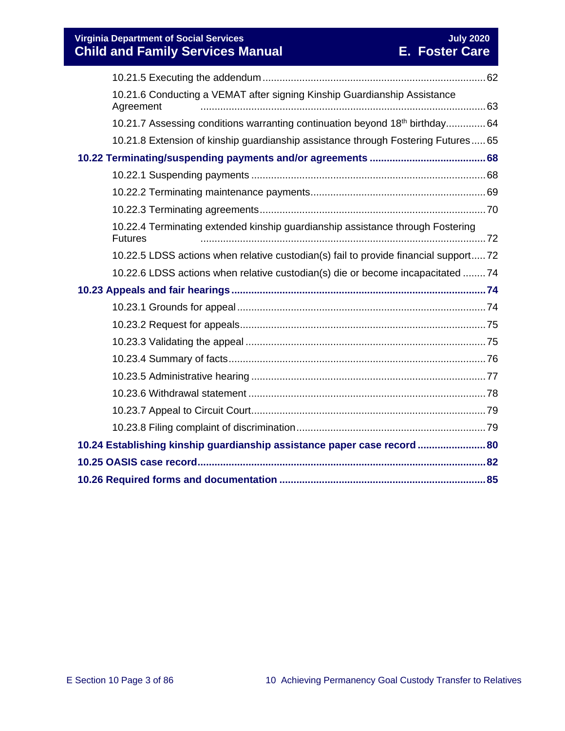**Virginia Department of Social Services July 2020 Child and Family Services Manual E. Foster Care**

| 10.21.6 Conducting a VEMAT after signing Kinship Guardianship Assistance<br>Agreement            |  |  |  |
|--------------------------------------------------------------------------------------------------|--|--|--|
| 10.21.7 Assessing conditions warranting continuation beyond 18th birthday 64                     |  |  |  |
| 10.21.8 Extension of kinship guardianship assistance through Fostering Futures 65                |  |  |  |
|                                                                                                  |  |  |  |
|                                                                                                  |  |  |  |
|                                                                                                  |  |  |  |
|                                                                                                  |  |  |  |
| 10.22.4 Terminating extended kinship guardianship assistance through Fostering<br><b>Futures</b> |  |  |  |
| 10.22.5 LDSS actions when relative custodian(s) fail to provide financial support72              |  |  |  |
| 10.22.6 LDSS actions when relative custodian(s) die or become incapacitated 74                   |  |  |  |
|                                                                                                  |  |  |  |
|                                                                                                  |  |  |  |
|                                                                                                  |  |  |  |
|                                                                                                  |  |  |  |
|                                                                                                  |  |  |  |
|                                                                                                  |  |  |  |
|                                                                                                  |  |  |  |
|                                                                                                  |  |  |  |
|                                                                                                  |  |  |  |
| 10.24 Establishing kinship guardianship assistance paper case record  80                         |  |  |  |
|                                                                                                  |  |  |  |
|                                                                                                  |  |  |  |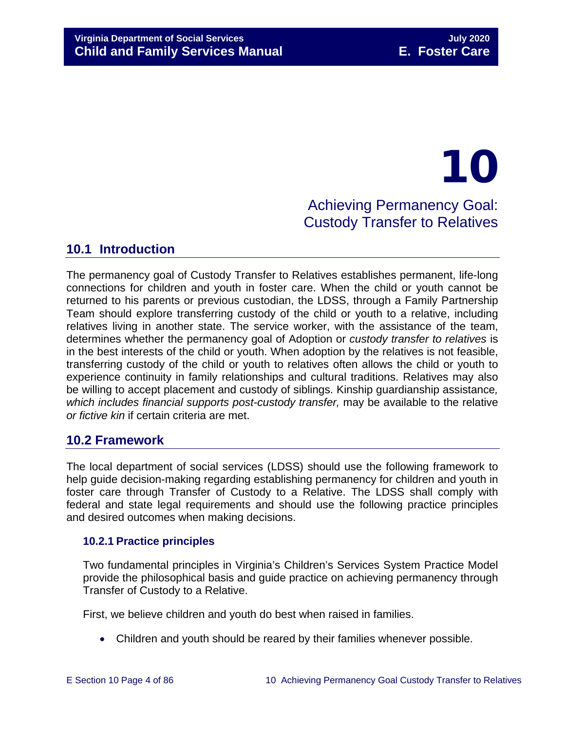# 10 Achieving Permanency Goal: Custody Transfer to Relatives

# <span id="page-3-0"></span>**10.1 Introduction**

The permanency goal of Custody Transfer to Relatives establishes permanent, life-long connections for children and youth in foster care. When the child or youth cannot be returned to his parents or previous custodian, the LDSS, through a Family Partnership Team should explore transferring custody of the child or youth to a relative, including relatives living in another state. The service worker, with the assistance of the team, determines whether the permanency goal of Adoption or *custody transfer to relatives* is in the best interests of the child or youth. When adoption by the relatives is not feasible, transferring custody of the child or youth to relatives often allows the child or youth to experience continuity in family relationships and cultural traditions. Relatives may also be willing to accept placement and custody of siblings. Kinship guardianship assistance*, which includes financial supports post-custody transfer,* may be available to the relative *or fictive kin* if certain criteria are met.

# <span id="page-3-1"></span>**10.2 Framework**

The local department of social services (LDSS) should use the following framework to help guide decision-making regarding establishing permanency for children and youth in foster care through Transfer of Custody to a Relative. The LDSS shall comply with federal and state legal requirements and should use the following practice principles and desired outcomes when making decisions.

# <span id="page-3-2"></span>**10.2.1 Practice principles**

Two fundamental principles in Virginia's Children's Services System Practice Model provide the philosophical basis and guide practice on achieving permanency through Transfer of Custody to a Relative.

First, we believe children and youth do best when raised in families.

• Children and youth should be reared by their families whenever possible.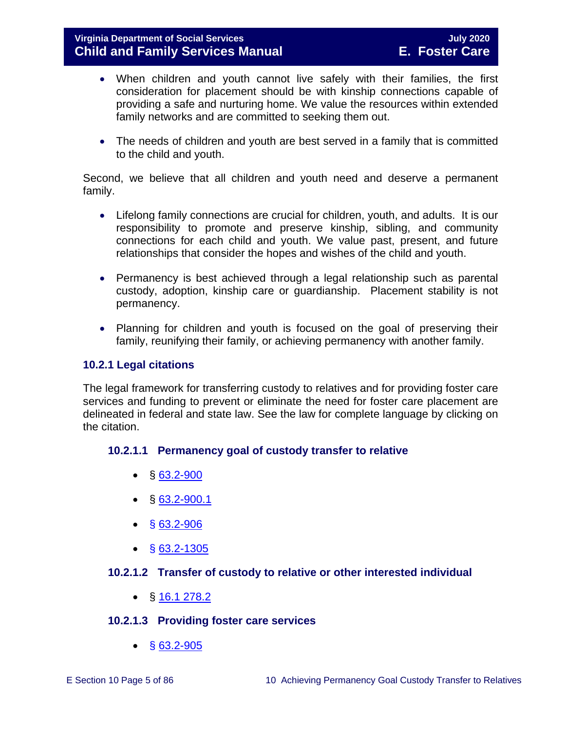- When children and youth cannot live safely with their families, the first consideration for placement should be with kinship connections capable of providing a safe and nurturing home. We value the resources within extended family networks and are committed to seeking them out.
- The needs of children and youth are best served in a family that is committed to the child and youth.

Second, we believe that all children and youth need and deserve a permanent family.

- Lifelong family connections are crucial for children, youth, and adults. It is our responsibility to promote and preserve kinship, sibling, and community connections for each child and youth. We value past, present, and future relationships that consider the hopes and wishes of the child and youth.
- Permanency is best achieved through a legal relationship such as parental custody, adoption, kinship care or guardianship. Placement stability is not permanency.
- Planning for children and youth is focused on the goal of preserving their family, reunifying their family, or achieving permanency with another family.

# <span id="page-4-0"></span>**10.2.1 Legal citations**

The legal framework for transferring custody to relatives and for providing foster care services and funding to prevent or eliminate the need for foster care placement are delineated in federal and state law. See the law for complete language by clicking on the citation.

# **10.2.1.1 Permanency goal of custody transfer to relative**

- $§ 63.2-900$  $§ 63.2-900$
- $\bullet$  § [63.2-900.1](https://law.lis.virginia.gov/vacode/title63.2/chapter9/section63.2-900.1/)
- $§ 63.2 906$
- § [63.2-1305](https://law.lis.virginia.gov/vacode/63.2-1305/)

# **10.2.1.2 Transfer of custody to relative or other interested individual**

•  $\S$  [16.1 278.2](https://law.lis.virginia.gov/vacode/16.1-278.2/)

# **10.2.1.3 Providing foster care services**

 $\bullet$  § [63.2-905](https://law.lis.virginia.gov/vacode/63.2-905/)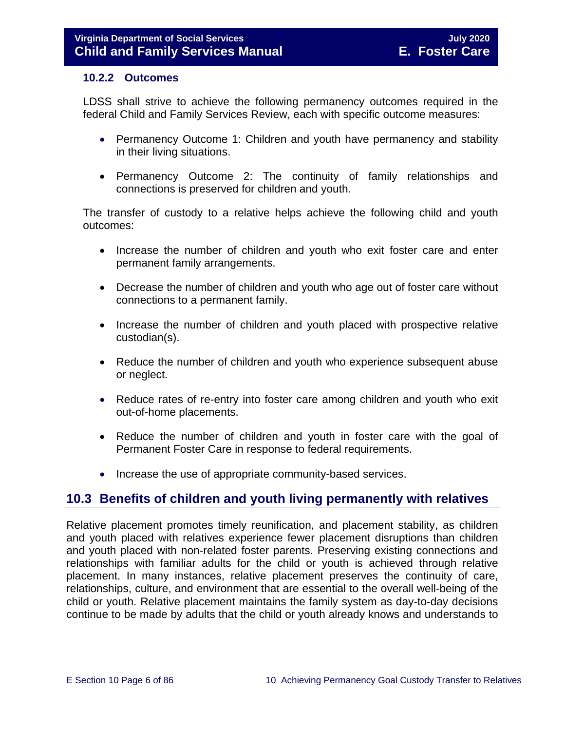#### <span id="page-5-0"></span>**10.2.2 Outcomes**

LDSS shall strive to achieve the following permanency outcomes required in the federal Child and Family Services Review, each with specific outcome measures:

- Permanency Outcome 1: Children and youth have permanency and stability in their living situations.
- Permanency Outcome 2: The continuity of family relationships and connections is preserved for children and youth.

The transfer of custody to a relative helps achieve the following child and youth outcomes:

- Increase the number of children and youth who exit foster care and enter permanent family arrangements.
- Decrease the number of children and youth who age out of foster care without connections to a permanent family.
- Increase the number of children and youth placed with prospective relative custodian(s).
- Reduce the number of children and youth who experience subsequent abuse or neglect.
- Reduce rates of re-entry into foster care among children and youth who exit out-of-home placements.
- Reduce the number of children and youth in foster care with the goal of Permanent Foster Care in response to federal requirements.
- Increase the use of appropriate community-based services.

# <span id="page-5-1"></span>**10.3 Benefits of children and youth living permanently with relatives**

Relative placement promotes timely reunification, and placement stability, as children and youth placed with relatives experience fewer placement disruptions than children and youth placed with non-related foster parents. Preserving existing connections and relationships with familiar adults for the child or youth is achieved through relative placement. In many instances, relative placement preserves the continuity of care, relationships, culture, and environment that are essential to the overall well-being of the child or youth. Relative placement maintains the family system as day-to-day decisions continue to be made by adults that the child or youth already knows and understands to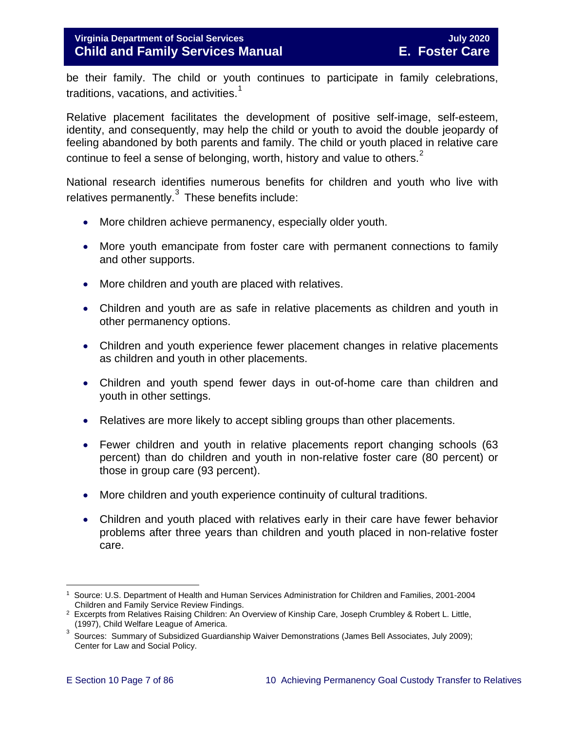# **Virginia Department of Social Services July 2020 Child and Family Services Manual**

be their family. The child or youth continues to participate in family celebrations, traditions, vacations, and activities.<sup>[1](#page-6-0)</sup>

Relative placement facilitates the development of positive self-image, self-esteem, identity, and consequently, may help the child or youth to avoid the double jeopardy of feeling abandoned by both parents and family. The child or youth placed in relative care continue to feel a sense of belonging, worth, history and value to others. $2^2$  $2^2$ 

National research identifies numerous benefits for children and youth who live with relatives permanently. $3$  These benefits include:

- More children achieve permanency, especially older youth.
- More youth emancipate from foster care with permanent connections to family and other supports.
- More children and youth are placed with relatives.
- Children and youth are as safe in relative placements as children and youth in other permanency options.
- Children and youth experience fewer placement changes in relative placements as children and youth in other placements.
- Children and youth spend fewer days in out-of-home care than children and youth in other settings.
- Relatives are more likely to accept sibling groups than other placements.
- Fewer children and youth in relative placements report changing schools (63) percent) than do children and youth in non-relative foster care (80 percent) or those in group care (93 percent).
- More children and youth experience continuity of cultural traditions.
- Children and youth placed with relatives early in their care have fewer behavior problems after three years than children and youth placed in non-relative foster care.

<span id="page-6-0"></span> $\overline{a}$ 1 Source: U.S. Department of Health and Human Services Administration for Children and Families, 2001-2004 Children and Family Service Review Findings.

<span id="page-6-1"></span><sup>&</sup>lt;sup>2</sup> Excerpts from Relatives Raising Children: An Overview of Kinship Care, Joseph Crumbley & Robert L. Little, (1997), Child Welfare League of America.

<span id="page-6-2"></span><sup>3</sup> Sources: Summary of Subsidized Guardianship Waiver Demonstrations (James Bell Associates, July 2009); Center for Law and Social Policy.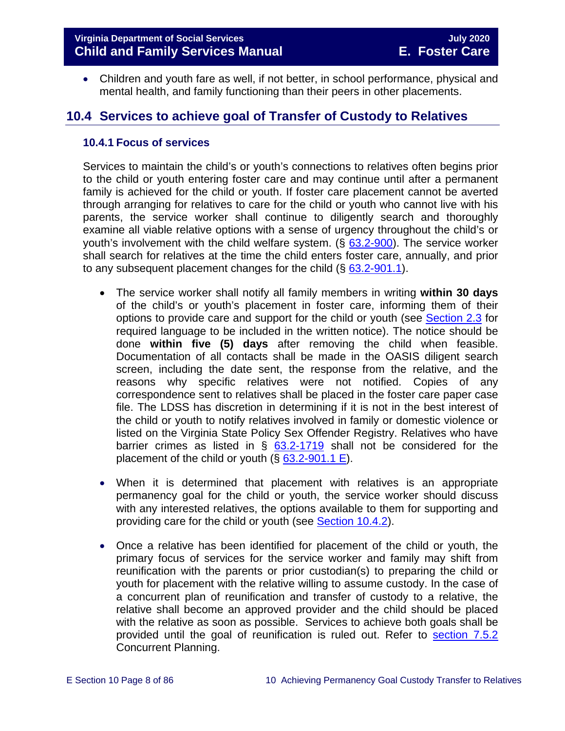• Children and youth fare as well, if not better, in school performance, physical and mental health, and family functioning than their peers in other placements.

# <span id="page-7-0"></span>**10.4 Services to achieve goal of Transfer of Custody to Relatives**

#### <span id="page-7-1"></span>**10.4.1 Focus of services**

Services to maintain the child's or youth's connections to relatives often begins prior to the child or youth entering foster care and may continue until after a permanent family is achieved for the child or youth. If foster care placement cannot be averted through arranging for relatives to care for the child or youth who cannot live with his parents, the service worker shall continue to diligently search and thoroughly examine all viable relative options with a sense of urgency throughout the child's or youth's involvement with the child welfare system. (§ [63.2-900\)](http://law.lis.virginia.gov/vacode/63.2-900/). The service worker shall search for relatives at the time the child enters foster care, annually, and prior to any subsequent placement changes for the child  $(\S$  [63.2-901.1\)](https://law.lis.virginia.gov/vacode/63.2-900.1/).

- The service worker shall notify all family members in writing **within 30 days** of the child's or youth's placement in foster care, informing them of their options to provide care and support for the child or youth (see [Section 2.3](https://fusion.dss.virginia.gov/Portals/%5bdfs%5d/Files/DFS%20Manuals/Foster%20Care%20Manuals/Foster%20Care%20Manual%2007-2020/Final%20Foster%20Care%20Manual%2007-2020/section_2_engaging_the_child_family_and_significant_adults.pdf#page=6) for required language to be included in the written notice). The notice should be done **within five (5) days** after removing the child when feasible. Documentation of all contacts shall be made in the OASIS diligent search screen, including the date sent, the response from the relative, and the reasons why specific relatives were not notified. Copies of any correspondence sent to relatives shall be placed in the foster care paper case file. The LDSS has discretion in determining if it is not in the best interest of the child or youth to notify relatives involved in family or domestic violence or listed on the Virginia State Policy Sex Offender Registry. Relatives who have barrier crimes as listed in  $\S$  [63.2-1719](https://law.lis.virginia.gov/vacode/63.2-1719/) shall not be considered for the placement of the child or youth  $(\S$  [63.2-901.1](https://law.lis.virginia.gov/vacode/63.2-901.1/) E).
- When it is determined that placement with relatives is an appropriate permanency goal for the child or youth, the service worker should discuss with any interested relatives, the options available to them for supporting and providing care for the child or youth (see [Section 10.4.2\)](#page-8-1).
- Once a relative has been identified for placement of the child or youth, the primary focus of services for the service worker and family may shift from reunification with the parents or prior custodian(s) to preparing the child or youth for placement with the relative willing to assume custody. In the case of a concurrent plan of reunification and transfer of custody to a relative, the relative shall become an approved provider and the child should be placed with the relative as soon as possible. Services to achieve both goals shall be provided until the goal of reunification is ruled out. Refer to [section 7.5.2](https://fusion.dss.virginia.gov/Portals/%5bdfs%5d/Files/DFS%20Manuals/Foster%20Care%20Manuals/Foster%20Care%20Manual%2007-2020/Final%20Foster%20Care%20Manual%2007-2020/section_7_selecting_permanency_goals.pdf#page=11) Concurrent Planning.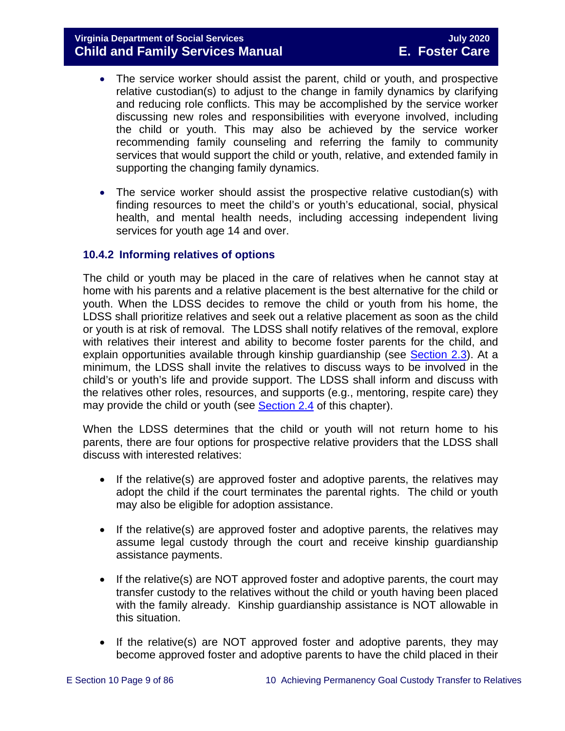- The service worker should assist the parent, child or youth, and prospective relative custodian(s) to adjust to the change in family dynamics by clarifying and reducing role conflicts. This may be accomplished by the service worker discussing new roles and responsibilities with everyone involved, including the child or youth. This may also be achieved by the service worker recommending family counseling and referring the family to community services that would support the child or youth, relative, and extended family in supporting the changing family dynamics.
- The service worker should assist the prospective relative custodian(s) with finding resources to meet the child's or youth's educational, social, physical health, and mental health needs, including accessing independent living services for youth age 14 and over.

# <span id="page-8-1"></span><span id="page-8-0"></span>**10.4.2 Informing relatives of options**

The child or youth may be placed in the care of relatives when he cannot stay at home with his parents and a relative placement is the best alternative for the child or youth. When the LDSS decides to remove the child or youth from his home, the LDSS shall prioritize relatives and seek out a relative placement as soon as the child or youth is at risk of removal. The LDSS shall notify relatives of the removal, explore with relatives their interest and ability to become foster parents for the child, and explain opportunities available through kinship guardianship (see [Section 2.3\)](https://fusion.dss.virginia.gov/Portals/%5bdfs%5d/Files/DFS%20Manuals/Foster%20Care%20Manuals/Foster%20Care%20Manual%2007-2020/Final%20Foster%20Care%20Manual%2007-2020/section_2_engaging_the_child_family_and_significant_adults.pdf#page=6). At a minimum, the LDSS shall invite the relatives to discuss ways to be involved in the child's or youth's life and provide support. The LDSS shall inform and discuss with the relatives other roles, resources, and supports (e.g., mentoring, respite care) they may provide the child or youth (see [Section 2.4](https://fusion.dss.virginia.gov/Portals/%5bdfs%5d/Files/DFS%20Manuals/Foster%20Care%20Manuals/Foster%20Care%20Manual%2007-2020/Final%20Foster%20Care%20Manual%2007-2020/section_2_engaging_the_child_family_and_significant_adults.pdf#page=8) of this chapter).

When the LDSS determines that the child or youth will not return home to his parents, there are four options for prospective relative providers that the LDSS shall discuss with interested relatives:

- If the relative(s) are approved foster and adoptive parents, the relatives may adopt the child if the court terminates the parental rights. The child or youth may also be eligible for adoption assistance.
- If the relative(s) are approved foster and adoptive parents, the relatives may assume legal custody through the court and receive kinship guardianship assistance payments.
- If the relative(s) are NOT approved foster and adoptive parents, the court may transfer custody to the relatives without the child or youth having been placed with the family already. Kinship guardianship assistance is NOT allowable in this situation.
- If the relative(s) are NOT approved foster and adoptive parents, they may become approved foster and adoptive parents to have the child placed in their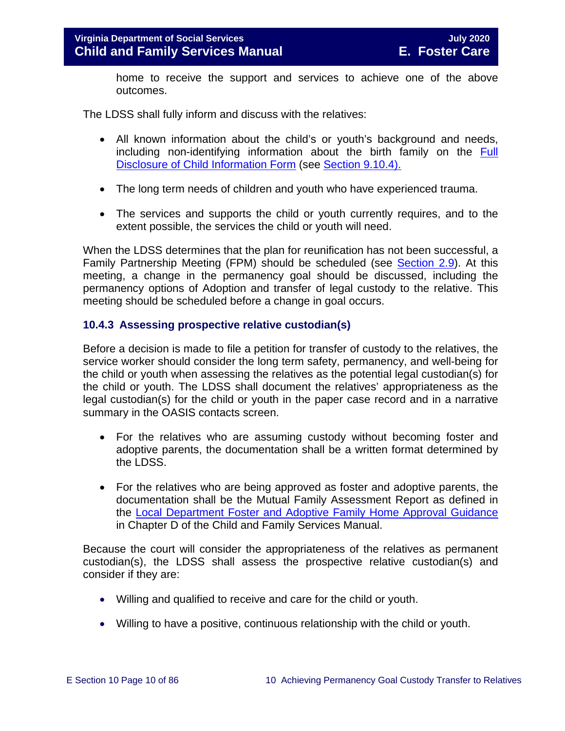home to receive the support and services to achieve one of the above outcomes.

The LDSS shall fully inform and discuss with the relatives:

- All known information about the child's or youth's background and needs, including non-identifying information about the birth family on the [Full](https://fusion.dss.virginia.gov/Portals/%5Bdfs%5D/Files/Adoption/Full%20Disclosure%20Form.docx)  [Disclosure of Child Information Form](https://fusion.dss.virginia.gov/Portals/%5Bdfs%5D/Files/Adoption/Full%20Disclosure%20Form.docx) (see [Section 9.10.4\).](https://fusion.dss.virginia.gov/Portals/%5bdfs%5d/Files/DFS%20Manuals/Foster%20Care%20Manuals/Foster%20Care%20Manual%2007-2020/Final%20Foster%20Care%20Manual%2007-2020/section_9_achieving_permanency_goal_adoption.pdf#page=35)
- The long term needs of children and youth who have experienced trauma.
- The services and supports the child or youth currently requires, and to the extent possible, the services the child or youth will need.

When the LDSS determines that the plan for reunification has not been successful, a Family Partnership Meeting (FPM) should be scheduled (see [Section 2.9\)](https://fusion.dss.virginia.gov/Portals/%5bdfs%5d/Files/DFS%20Manuals/Foster%20Care%20Manuals/Foster%20Care%20Manual%2007-2020/Final%20Foster%20Care%20Manual%2007-2020/section_2_engaging_the_child_family_and_significant_adults.pdf#page=19). At this meeting, a change in the permanency goal should be discussed, including the permanency options of Adoption and transfer of legal custody to the relative. This meeting should be scheduled before a change in goal occurs.

#### <span id="page-9-0"></span>**10.4.3 Assessing prospective relative custodian(s)**

Before a decision is made to file a petition for transfer of custody to the relatives, the service worker should consider the long term safety, permanency, and well-being for the child or youth when assessing the relatives as the potential legal custodian(s) for the child or youth. The LDSS shall document the relatives' appropriateness as the legal custodian(s) for the child or youth in the paper case record and in a narrative summary in the OASIS contacts screen.

- For the relatives who are assuming custody without becoming foster and adoptive parents, the documentation shall be a written format determined by the LDSS.
- For the relatives who are being approved as foster and adoptive parents, the documentation shall be the Mutual Family Assessment Report as defined in the Local Department Foster [and Adoptive Family Home Approval Guidance](https://fusion.dss.virginia.gov/dfs/DFS-Home/Family-Recruitment/Family-Recruitment-Guidance) in Chapter D of the Child and Family Services Manual.

Because the court will consider the appropriateness of the relatives as permanent custodian(s), the LDSS shall assess the prospective relative custodian(s) and consider if they are:

- Willing and qualified to receive and care for the child or youth.
- Willing to have a positive, continuous relationship with the child or youth.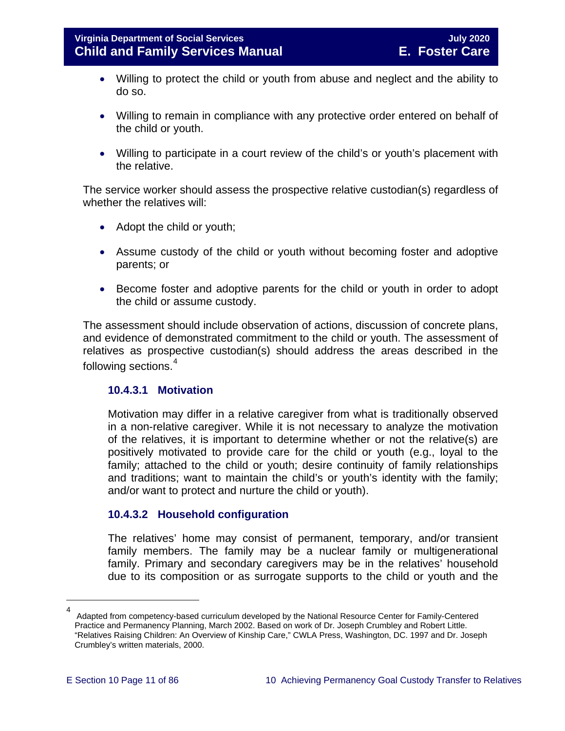- Willing to protect the child or youth from abuse and neglect and the ability to do so.
- Willing to remain in compliance with any protective order entered on behalf of the child or youth.
- Willing to participate in a court review of the child's or youth's placement with the relative.

The service worker should assess the prospective relative custodian(s) regardless of whether the relatives will:

- Adopt the child or youth;
- Assume custody of the child or youth without becoming foster and adoptive parents; or
- Become foster and adoptive parents for the child or youth in order to adopt the child or assume custody.

The assessment should include observation of actions, discussion of concrete plans, and evidence of demonstrated commitment to the child or youth. The assessment of relatives as prospective custodian(s) should address the areas described in the following sections.<sup>[4](#page-10-0)</sup>

# **10.4.3.1 Motivation**

Motivation may differ in a relative caregiver from what is traditionally observed in a non-relative caregiver. While it is not necessary to analyze the motivation of the relatives, it is important to determine whether or not the relative(s) are positively motivated to provide care for the child or youth (e.g., loyal to the family; attached to the child or youth; desire continuity of family relationships and traditions; want to maintain the child's or youth's identity with the family; and/or want to protect and nurture the child or youth).

# **10.4.3.2 Household configuration**

The relatives' home may consist of permanent, temporary, and/or transient family members. The family may be a nuclear family or multigenerational family. Primary and secondary caregivers may be in the relatives' household due to its composition or as surrogate supports to the child or youth and the

<span id="page-10-0"></span>Ĩ.

<sup>4</sup> Adapted from competency-based curriculum developed by the National Resource Center for Family-Centered Practice and Permanency Planning, March 2002. Based on work of Dr. Joseph Crumbley and Robert Little. "Relatives Raising Children: An Overview of Kinship Care," CWLA Press, Washington, DC. 1997 and Dr. Joseph Crumbley's written materials, 2000.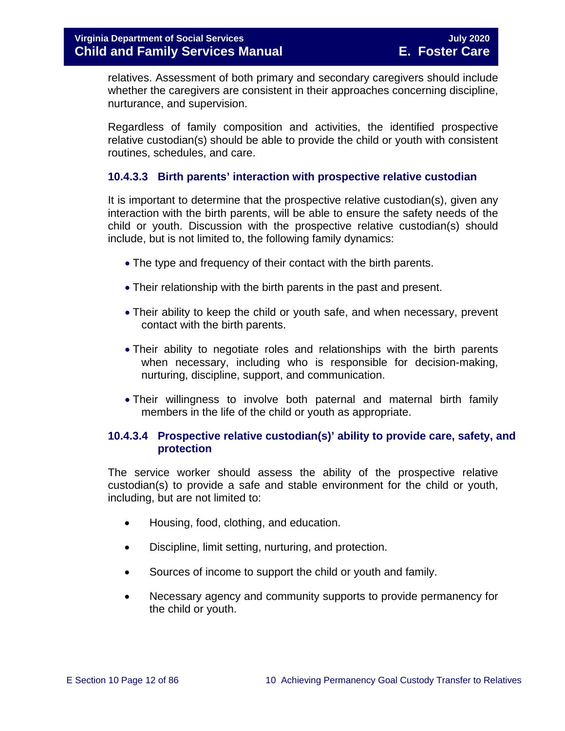relatives. Assessment of both primary and secondary caregivers should include whether the caregivers are consistent in their approaches concerning discipline, nurturance, and supervision.

Regardless of family composition and activities, the identified prospective relative custodian(s) should be able to provide the child or youth with consistent routines, schedules, and care.

# **10.4.3.3 Birth parents' interaction with prospective relative custodian**

It is important to determine that the prospective relative custodian(s), given any interaction with the birth parents, will be able to ensure the safety needs of the child or youth. Discussion with the prospective relative custodian(s) should include, but is not limited to, the following family dynamics:

- The type and frequency of their contact with the birth parents.
- Their relationship with the birth parents in the past and present.
- Their ability to keep the child or youth safe, and when necessary, prevent contact with the birth parents.
- Their ability to negotiate roles and relationships with the birth parents when necessary, including who is responsible for decision-making, nurturing, discipline, support, and communication.
- Their willingness to involve both paternal and maternal birth family members in the life of the child or youth as appropriate.

# **10.4.3.4 Prospective relative custodian(s)' ability to provide care, safety, and protection**

The service worker should assess the ability of the prospective relative custodian(s) to provide a safe and stable environment for the child or youth, including, but are not limited to:

- Housing, food, clothing, and education.
- Discipline, limit setting, nurturing, and protection.
- Sources of income to support the child or youth and family.
- Necessary agency and community supports to provide permanency for the child or youth.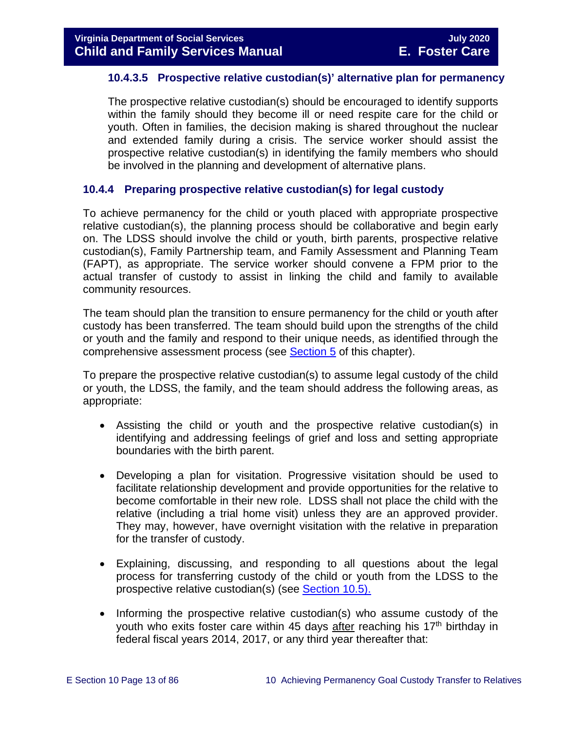#### **10.4.3.5 Prospective relative custodian(s)' alternative plan for permanency**

The prospective relative custodian(s) should be encouraged to identify supports within the family should they become ill or need respite care for the child or youth. Often in families, the decision making is shared throughout the nuclear and extended family during a crisis. The service worker should assist the prospective relative custodian(s) in identifying the family members who should be involved in the planning and development of alternative plans.

#### <span id="page-12-0"></span>**10.4.4 Preparing prospective relative custodian(s) for legal custody**

To achieve permanency for the child or youth placed with appropriate prospective relative custodian(s), the planning process should be collaborative and begin early on. The LDSS should involve the child or youth, birth parents, prospective relative custodian(s), Family Partnership team, and Family Assessment and Planning Team (FAPT), as appropriate. The service worker should convene a FPM prior to the actual transfer of custody to assist in linking the child and family to available community resources.

The team should plan the transition to ensure permanency for the child or youth after custody has been transferred. The team should build upon the strengths of the child or youth and the family and respond to their unique needs, as identified through the comprehensive assessment process (see [Section 5](https://fusion.dss.virginia.gov/Portals/%5bdfs%5d/Files/DFS%20Manuals/Foster%20Care%20Manuals/Foster%20Care%20Manual%2007-2020/Final%20Foster%20Care%20Manual%2007-2020/section_5_conducting_child_and_family_assessment.pdf) of this chapter).

To prepare the prospective relative custodian(s) to assume legal custody of the child or youth, the LDSS, the family, and the team should address the following areas, as appropriate:

- Assisting the child or youth and the prospective relative custodian(s) in identifying and addressing feelings of grief and loss and setting appropriate boundaries with the birth parent.
- Developing a plan for visitation. Progressive visitation should be used to facilitate relationship development and provide opportunities for the relative to become comfortable in their new role. LDSS shall not place the child with the relative (including a trial home visit) unless they are an approved provider. They may, however, have overnight visitation with the relative in preparation for the transfer of custody.
- Explaining, discussing, and responding to all questions about the legal process for transferring custody of the child or youth from the LDSS to the prospective relative custodian(s) (see [Section 10.5\).](#page-15-0)
- Informing the prospective relative custodian(s) who assume custody of the youth who exits foster care within 45 days after reaching his  $17<sup>th</sup>$  birthday in federal fiscal years 2014, 2017, or any third year thereafter that: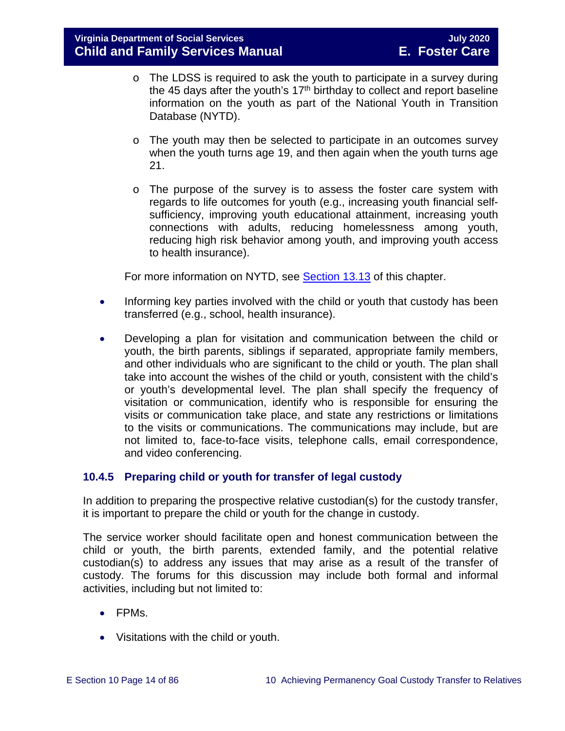- o The LDSS is required to ask the youth to participate in a survey during the 45 days after the youth's  $17<sup>th</sup>$  birthday to collect and report baseline information on the youth as part of the National Youth in Transition Database (NYTD).
- $\circ$  The youth may then be selected to participate in an outcomes survey when the youth turns age 19, and then again when the youth turns age 21.
- $\circ$  The purpose of the survey is to assess the foster care system with regards to life outcomes for youth (e.g., increasing youth financial selfsufficiency, improving youth educational attainment, increasing youth connections with adults, reducing homelessness among youth, reducing high risk behavior among youth, and improving youth access to health insurance).

For more information on NYTD, see [Section 13.13](https://fusion.dss.virginia.gov/Portals/%5bdfs%5d/Files/DFS%20Manuals/Foster%20Care%20Manuals/Foster%20Care%20Manual%2007-2020/Final%20Foster%20Care%20Manual%2007-2020/Section_13_achieving_permanency_for_older_youth.pdf#page=33) of this chapter.

- Informing key parties involved with the child or youth that custody has been transferred (e.g., school, health insurance).
- Developing a plan for visitation and communication between the child or youth, the birth parents, siblings if separated, appropriate family members, and other individuals who are significant to the child or youth. The plan shall take into account the wishes of the child or youth, consistent with the child's or youth's developmental level. The plan shall specify the frequency of visitation or communication, identify who is responsible for ensuring the visits or communication take place, and state any restrictions or limitations to the visits or communications. The communications may include, but are not limited to, face-to-face visits, telephone calls, email correspondence, and video conferencing.

# <span id="page-13-0"></span>**10.4.5 Preparing child or youth for transfer of legal custody**

In addition to preparing the prospective relative custodian(s) for the custody transfer, it is important to prepare the child or youth for the change in custody.

The service worker should facilitate open and honest communication between the child or youth, the birth parents, extended family, and the potential relative custodian(s) to address any issues that may arise as a result of the transfer of custody. The forums for this discussion may include both formal and informal activities, including but not limited to:

- FPMs.
- Visitations with the child or youth.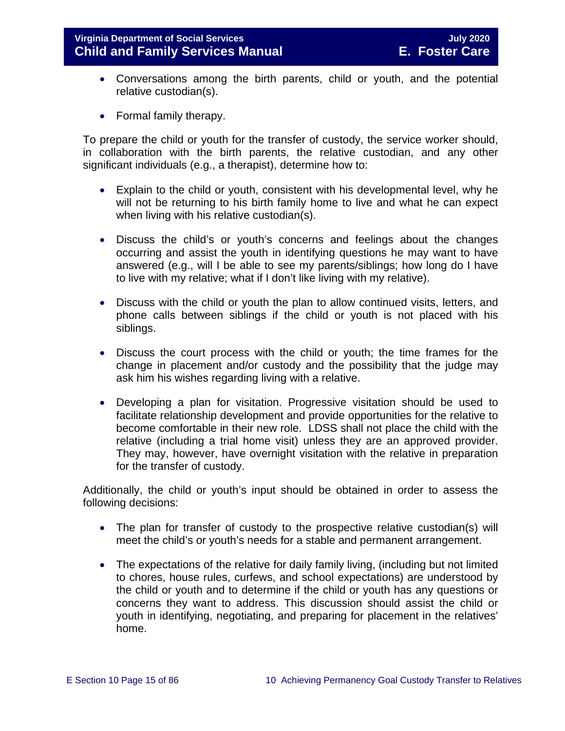- Conversations among the birth parents, child or youth, and the potential relative custodian(s).
- Formal family therapy.

To prepare the child or youth for the transfer of custody, the service worker should, in collaboration with the birth parents, the relative custodian, and any other significant individuals (e.g., a therapist), determine how to:

- Explain to the child or youth, consistent with his developmental level, why he will not be returning to his birth family home to live and what he can expect when living with his relative custodian(s).
- Discuss the child's or youth's concerns and feelings about the changes occurring and assist the youth in identifying questions he may want to have answered (e.g., will I be able to see my parents/siblings; how long do I have to live with my relative; what if I don't like living with my relative).
- Discuss with the child or youth the plan to allow continued visits, letters, and phone calls between siblings if the child or youth is not placed with his siblings.
- Discuss the court process with the child or youth; the time frames for the change in placement and/or custody and the possibility that the judge may ask him his wishes regarding living with a relative.
- Developing a plan for visitation. Progressive visitation should be used to facilitate relationship development and provide opportunities for the relative to become comfortable in their new role. LDSS shall not place the child with the relative (including a trial home visit) unless they are an approved provider. They may, however, have overnight visitation with the relative in preparation for the transfer of custody.

Additionally, the child or youth's input should be obtained in order to assess the following decisions:

- The plan for transfer of custody to the prospective relative custodian(s) will meet the child's or youth's needs for a stable and permanent arrangement.
- The expectations of the relative for daily family living, (including but not limited to chores, house rules, curfews, and school expectations) are understood by the child or youth and to determine if the child or youth has any questions or concerns they want to address. This discussion should assist the child or youth in identifying, negotiating, and preparing for placement in the relatives' home.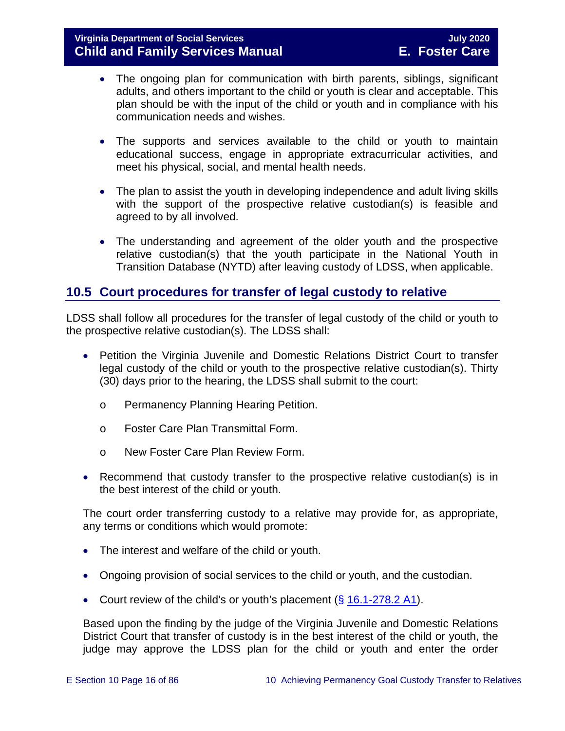- The ongoing plan for communication with birth parents, siblings, significant adults, and others important to the child or youth is clear and acceptable. This plan should be with the input of the child or youth and in compliance with his communication needs and wishes.
- The supports and services available to the child or youth to maintain educational success, engage in appropriate extracurricular activities, and meet his physical, social, and mental health needs.
- The plan to assist the youth in developing independence and adult living skills with the support of the prospective relative custodian(s) is feasible and agreed to by all involved.
- The understanding and agreement of the older youth and the prospective relative custodian(s) that the youth participate in the National Youth in Transition Database (NYTD) after leaving custody of LDSS, when applicable.

# <span id="page-15-0"></span>**10.5 Court procedures for transfer of legal custody to relative**

LDSS shall follow all procedures for the transfer of legal custody of the child or youth to the prospective relative custodian(s). The LDSS shall:

- Petition the Virginia Juvenile and Domestic Relations District Court to transfer legal custody of the child or youth to the prospective relative custodian(s). Thirty (30) days prior to the hearing, the LDSS shall submit to the court:
	- o Permanency Planning Hearing Petition.
	- o Foster Care Plan Transmittal Form.
	- o New Foster Care Plan Review Form.
- Recommend that custody transfer to the prospective relative custodian(s) is in the best interest of the child or youth.

The court order transferring custody to a relative may provide for, as appropriate, any terms or conditions which would promote:

- The interest and welfare of the child or youth.
- Ongoing provision of social services to the child or youth, and the custodian.
- Court review of the child's or youth's placement  $(\S 16.1-278.2 A1)$  $(\S 16.1-278.2 A1)$ .

Based upon the finding by the judge of the Virginia Juvenile and Domestic Relations District Court that transfer of custody is in the best interest of the child or youth, the judge may approve the LDSS plan for the child or youth and enter the order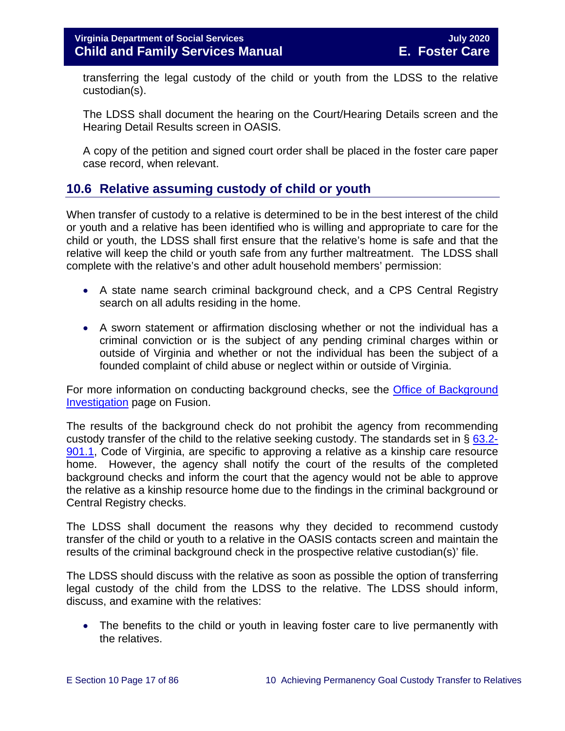transferring the legal custody of the child or youth from the LDSS to the relative custodian(s).

The LDSS shall document the hearing on the Court/Hearing Details screen and the Hearing Detail Results screen in OASIS.

A copy of the petition and signed court order shall be placed in the foster care paper case record, when relevant.

# <span id="page-16-0"></span>**10.6 Relative assuming custody of child or youth**

When transfer of custody to a relative is determined to be in the best interest of the child or youth and a relative has been identified who is willing and appropriate to care for the child or youth, the LDSS shall first ensure that the relative's home is safe and that the relative will keep the child or youth safe from any further maltreatment. The LDSS shall complete with the relative's and other adult household members' permission:

- A state name search criminal background check, and a CPS Central Registry search on all adults residing in the home.
- A sworn statement or affirmation disclosing whether or not the individual has a criminal conviction or is the subject of any pending criminal charges within or outside of Virginia and whether or not the individual has been the subject of a founded complaint of child abuse or neglect within or outside of Virginia.

For more information on conducting background checks, see the [Office of Background](https://fusion.dss.virginia.gov/lp/LP-Home/OFFICE-OF-BACKGROUND-INVESTIGATIONS)  [Investigation](https://fusion.dss.virginia.gov/lp/LP-Home/OFFICE-OF-BACKGROUND-INVESTIGATIONS) page on Fusion.

The results of the background check do not prohibit the agency from recommending custody transfer of the child to the relative seeking custody. The standards set in  $\S$  [63.2-](https://law.lis.virginia.gov/vacode/63.2-901.1/) [901.1,](https://law.lis.virginia.gov/vacode/63.2-901.1/) Code of Virginia, are specific to approving a relative as a kinship care resource home. However, the agency shall notify the court of the results of the completed background checks and inform the court that the agency would not be able to approve the relative as a kinship resource home due to the findings in the criminal background or Central Registry checks.

The LDSS shall document the reasons why they decided to recommend custody transfer of the child or youth to a relative in the OASIS contacts screen and maintain the results of the criminal background check in the prospective relative custodian(s)' file.

The LDSS should discuss with the relative as soon as possible the option of transferring legal custody of the child from the LDSS to the relative. The LDSS should inform, discuss, and examine with the relatives:

• The benefits to the child or youth in leaving foster care to live permanently with the relatives.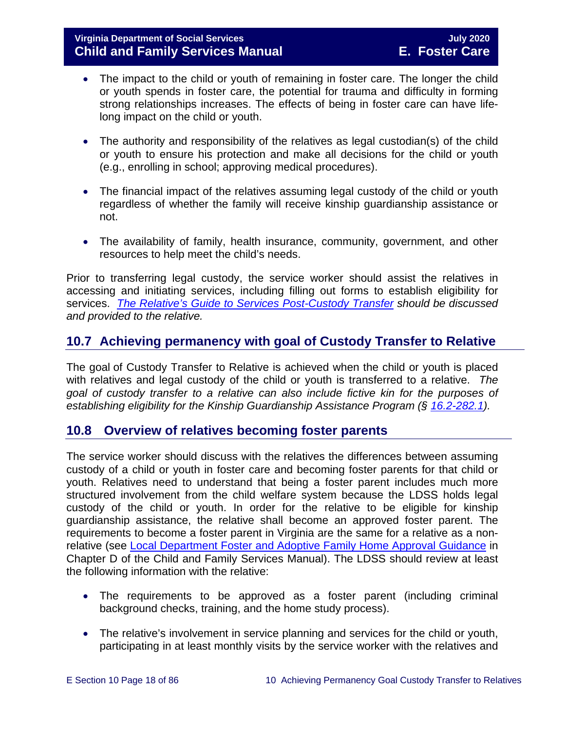- The impact to the child or youth of remaining in foster care. The longer the child or youth spends in foster care, the potential for trauma and difficulty in forming strong relationships increases. The effects of being in foster care can have lifelong impact on the child or youth.
- The authority and responsibility of the relatives as legal custodian(s) of the child or youth to ensure his protection and make all decisions for the child or youth (e.g., enrolling in school; approving medical procedures).
- The financial impact of the relatives assuming legal custody of the child or youth regardless of whether the family will receive kinship guardianship assistance or not.
- The availability of family, health insurance, community, government, and other resources to help meet the child's needs.

Prior to transferring legal custody, the service worker should assist the relatives in accessing and initiating services, including filling out forms to establish eligibility for services. *[The Relative's Guide to Services Post-Custody Transfer](https://fusion.dss.virginia.gov/LinkClick.aspx?fileticket=aiZQoogOxDU%3d&portalid=30) should be discussed and provided to the relative.*

# <span id="page-17-0"></span>**10.7 Achieving permanency with goal of Custody Transfer to Relative**

The goal of Custody Transfer to Relative is achieved when the child or youth is placed with relatives and legal custody of the child or youth is transferred to a relative. *The goal of custody transfer to a relative can also include fictive kin for the purposes of establishing eligibility for the Kinship Guardianship Assistance Program (§ [16.2-282.1\)](https://law.lis.virginia.gov/vacode/16.1-282.1/).*

# <span id="page-17-1"></span>**10.8 Overview of relatives becoming foster parents**

The service worker should discuss with the relatives the differences between assuming custody of a child or youth in foster care and becoming foster parents for that child or youth. Relatives need to understand that being a foster parent includes much more structured involvement from the child welfare system because the LDSS holds legal custody of the child or youth. In order for the relative to be eligible for kinship guardianship assistance, the relative shall become an approved foster parent. The requirements to become a foster parent in Virginia are the same for a relative as a nonrelative (see Local Department Foster [and Adoptive Family Home Approval Guidance](https://fusion.dss.virginia.gov/dfs/DFS-Home/Family-Recruitment/Family-Recruitment-Guidance) in Chapter D of the Child and Family Services Manual). The LDSS should review at least the following information with the relative:

- The requirements to be approved as a foster parent (including criminal background checks, training, and the home study process).
- The relative's involvement in service planning and services for the child or youth, participating in at least monthly visits by the service worker with the relatives and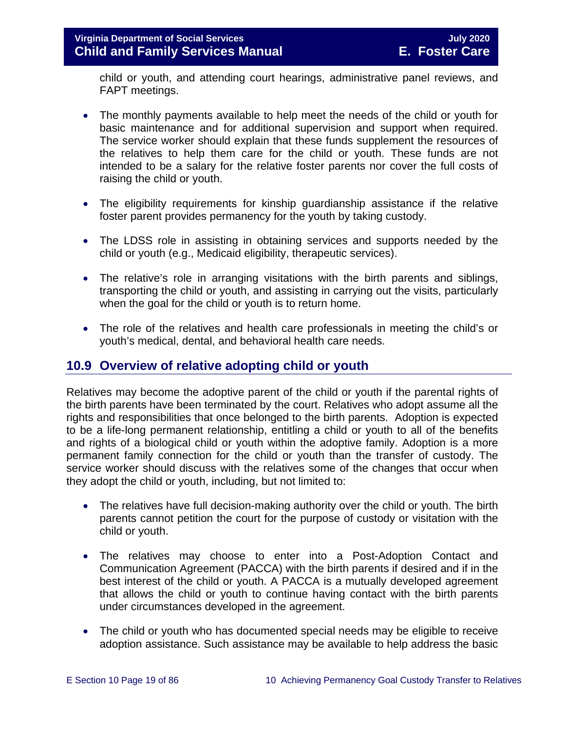# **Virginia Department of Social Services July 2020 Child and Family Services Manual**

child or youth, and attending court hearings, administrative panel reviews, and FAPT meetings.

- The monthly payments available to help meet the needs of the child or youth for basic maintenance and for additional supervision and support when required. The service worker should explain that these funds supplement the resources of the relatives to help them care for the child or youth. These funds are not intended to be a salary for the relative foster parents nor cover the full costs of raising the child or youth.
- The eligibility requirements for kinship guardianship assistance if the relative foster parent provides permanency for the youth by taking custody.
- The LDSS role in assisting in obtaining services and supports needed by the child or youth (e.g., Medicaid eligibility, therapeutic services).
- The relative's role in arranging visitations with the birth parents and siblings, transporting the child or youth, and assisting in carrying out the visits, particularly when the goal for the child or youth is to return home.
- The role of the relatives and health care professionals in meeting the child's or youth's medical, dental, and behavioral health care needs.

# <span id="page-18-0"></span>**10.9 Overview of relative adopting child or youth**

Relatives may become the adoptive parent of the child or youth if the parental rights of the birth parents have been terminated by the court. Relatives who adopt assume all the rights and responsibilities that once belonged to the birth parents. Adoption is expected to be a life-long permanent relationship, entitling a child or youth to all of the benefits and rights of a biological child or youth within the adoptive family. Adoption is a more permanent family connection for the child or youth than the transfer of custody. The service worker should discuss with the relatives some of the changes that occur when they adopt the child or youth, including, but not limited to:

- The relatives have full decision-making authority over the child or youth. The birth parents cannot petition the court for the purpose of custody or visitation with the child or youth.
- The relatives may choose to enter into a Post-Adoption Contact and Communication Agreement (PACCA) with the birth parents if desired and if in the best interest of the child or youth. A PACCA is a mutually developed agreement that allows the child or youth to continue having contact with the birth parents under circumstances developed in the agreement.
- The child or youth who has documented special needs may be eligible to receive adoption assistance. Such assistance may be available to help address the basic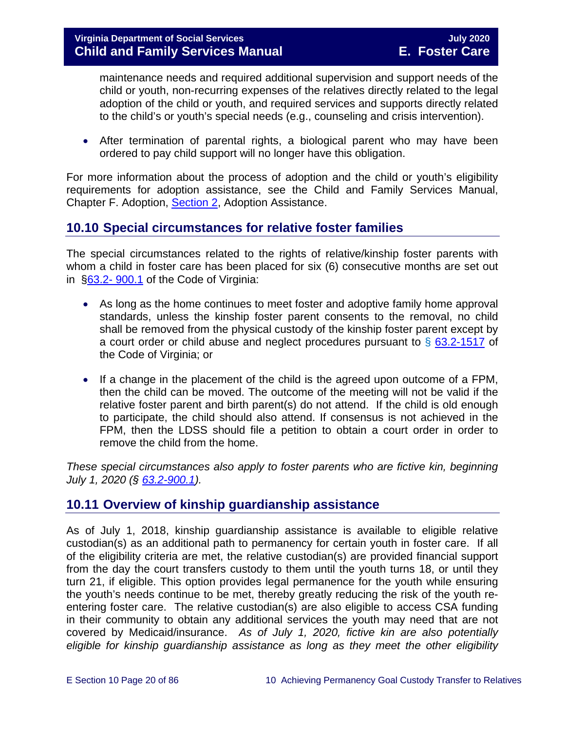maintenance needs and required additional supervision and support needs of the child or youth, non-recurring expenses of the relatives directly related to the legal adoption of the child or youth, and required services and supports directly related to the child's or youth's special needs (e.g., counseling and crisis intervention).

• After termination of parental rights, a biological parent who may have been ordered to pay child support will no longer have this obligation.

For more information about the process of adoption and the child or youth's eligibility requirements for adoption assistance, see the Child and Family Services Manual, Chapter F. Adoption, [Section 2,](https://fusion.dss.virginia.gov/Portals/%5Bdfs%5D/Files/Adoption/Guidance/2020/section_2_adoption%20assistance.pdf) Adoption Assistance.

# <span id="page-19-0"></span>**10.10 Special circumstances for relative foster families**

The special circumstances related to the rights of relative/kinship foster parents with whom a child in foster care has been placed for six (6) consecutive months are set out in [§63.2-](https://law.lis.virginia.gov/vacode/63.2-900.1/) 900.1 of the Code of Virginia:

- As long as the home continues to meet foster and adoptive family home approval standards, unless the kinship foster parent consents to the removal, no child shall be removed from the physical custody of the kinship foster parent except by a court order or child abuse and neglect procedures pursuant to  $\frac{6}{9}$  [63.2-1517](https://law.lis.virginia.gov/vacode/63.2-1517/) of the Code of Virginia; or
- If a change in the placement of the child is the agreed upon outcome of a FPM, then the child can be moved. The outcome of the meeting will not be valid if the relative foster parent and birth parent(s) do not attend. If the child is old enough to participate, the child should also attend. If consensus is not achieved in the FPM, then the LDSS should file a petition to obtain a court order in order to remove the child from the home.

*These special circumstances also apply to foster parents who are fictive kin, beginning July 1, 2020 (§ [63.2-900.1\)](https://law.lis.virginia.gov/vacode/63.2-900.1/).*

# <span id="page-19-1"></span>**10.11 Overview of kinship guardianship assistance**

As of July 1, 2018, kinship guardianship assistance is available to eligible relative custodian(s) as an additional path to permanency for certain youth in foster care. If all of the eligibility criteria are met, the relative custodian(s) are provided financial support from the day the court transfers custody to them until the youth turns 18, or until they turn 21, if eligible. This option provides legal permanence for the youth while ensuring the youth's needs continue to be met, thereby greatly reducing the risk of the youth reentering foster care. The relative custodian(s) are also eligible to access CSA funding in their community to obtain any additional services the youth may need that are not covered by Medicaid/insurance. *As of July 1, 2020, fictive kin are also potentially eligible for kinship guardianship assistance as long as they meet the other eligibility*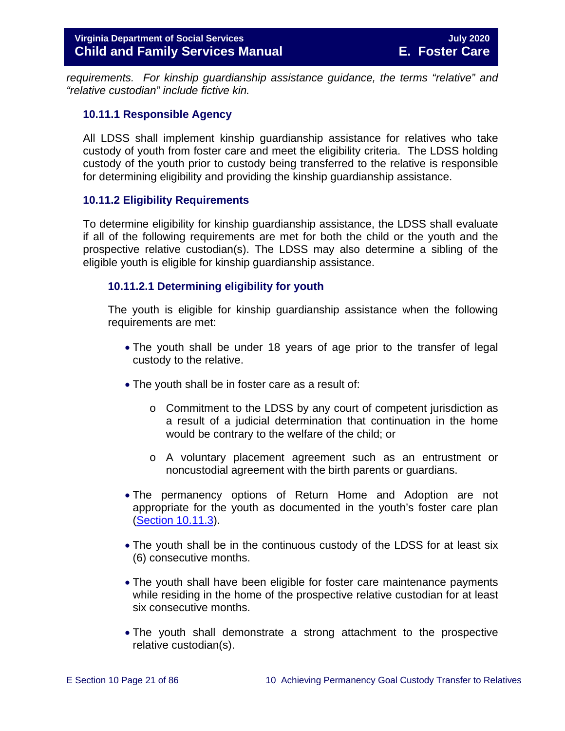*requirements. For kinship guardianship assistance guidance, the terms "relative" and "relative custodian" include fictive kin.*

#### <span id="page-20-0"></span>**10.11.1 Responsible Agency**

All LDSS shall implement kinship guardianship assistance for relatives who take custody of youth from foster care and meet the eligibility criteria. The LDSS holding custody of the youth prior to custody being transferred to the relative is responsible for determining eligibility and providing the kinship guardianship assistance.

#### <span id="page-20-1"></span>**10.11.2 Eligibility Requirements**

To determine eligibility for kinship guardianship assistance, the LDSS shall evaluate if all of the following requirements are met for both the child or the youth and the prospective relative custodian(s). The LDSS may also determine a sibling of the eligible youth is eligible for kinship guardianship assistance.

#### <span id="page-20-2"></span>**10.11.2.1 Determining eligibility for youth**

The youth is eligible for kinship guardianship assistance when the following requirements are met:

- The youth shall be under 18 years of age prior to the transfer of legal custody to the relative.
- The youth shall be in foster care as a result of:
	- $\circ$  Commitment to the LDSS by any court of competent jurisdiction as a result of a judicial determination that continuation in the home would be contrary to the welfare of the child; or
	- o A voluntary placement agreement such as an entrustment or noncustodial agreement with the birth parents or guardians.
- The permanency options of Return Home and Adoption are not appropriate for the youth as documented in the youth's foster care plan [\(Section 10.11.3\)](#page-23-0).
- The youth shall be in the continuous custody of the LDSS for at least six (6) consecutive months.
- The youth shall have been eligible for foster care maintenance payments while residing in the home of the prospective relative custodian for at least six consecutive months.
- The youth shall demonstrate a strong attachment to the prospective relative custodian(s).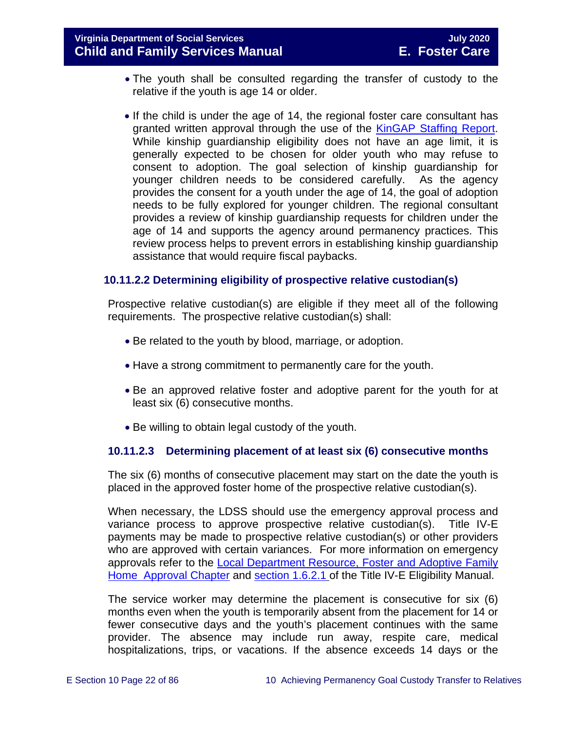- The youth shall be consulted regarding the transfer of custody to the relative if the youth is age 14 or older.
- If the child is under the age of 14, the regional foster care consultant has granted written approval through the use of the [KinGAP Staffing Report.](https://fusion.dss.virginia.gov/Portals/%5Bdfs%5D/Files/DFS%20FORMS/Foster%20Care%20Forms/KinGAP%20Staffing%20Report.docx) While kinship guardianship eligibility does not have an age limit, it is generally expected to be chosen for older youth who may refuse to consent to adoption. The goal selection of kinship guardianship for younger children needs to be considered carefully. As the agency provides the consent for a youth under the age of 14, the goal of adoption needs to be fully explored for younger children. The regional consultant provides a review of kinship guardianship requests for children under the age of 14 and supports the agency around permanency practices. This review process helps to prevent errors in establishing kinship guardianship assistance that would require fiscal paybacks.

# **10.11.2.2 Determining eligibility of prospective relative custodian(s)**

Prospective relative custodian(s) are eligible if they meet all of the following requirements. The prospective relative custodian(s) shall:

- Be related to the youth by blood, marriage, or adoption.
- Have a strong commitment to permanently care for the youth.
- Be an approved relative foster and adoptive parent for the youth for at least six (6) consecutive months.
- Be willing to obtain legal custody of the youth.

# **10.11.2.3 Determining placement of at least six (6) consecutive months**

The six (6) months of consecutive placement may start on the date the youth is placed in the approved foster home of the prospective relative custodian(s).

When necessary, the LDSS should use the emergency approval process and variance process to approve prospective relative custodian(s). Title IV-E payments may be made to prospective relative custodian(s) or other providers who are approved with certain variances. For more information on emergency approvals refer to the [Local Department Resource, Foster and Adoptive Family](https://fusion.dss.virginia.gov/dfs/DFS-Home/Family-Recruitment/Family-Recruitment-Guidance)  [Home Approval Chapter](https://fusion.dss.virginia.gov/dfs/DFS-Home/Family-Recruitment/Family-Recruitment-Guidance) and [section](https://fusion.dss.virginia.gov/Portals/%5Bdfs%5D/Files/Title%20IV-E/Title_IV-E_Foster_Care_Manual_July_2018.pdf#page=49) 1.6.2.1 of the Title IV-E Eligibility Manual.

The service worker may determine the placement is consecutive for six (6) months even when the youth is temporarily absent from the placement for 14 or fewer consecutive days and the youth's placement continues with the same provider. The absence may include run away, respite care, medical hospitalizations, trips, or vacations. If the absence exceeds 14 days or the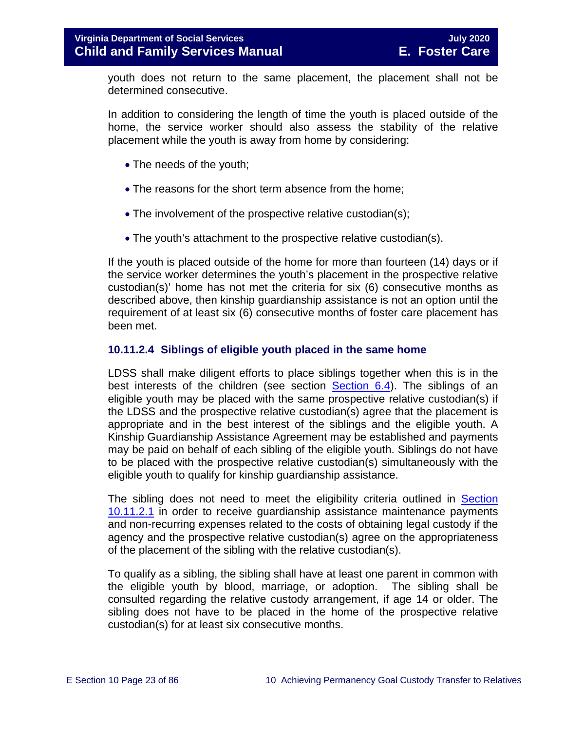youth does not return to the same placement, the placement shall not be determined consecutive.

In addition to considering the length of time the youth is placed outside of the home, the service worker should also assess the stability of the relative placement while the youth is away from home by considering:

- The needs of the youth;
- The reasons for the short term absence from the home;
- The involvement of the prospective relative custodian(s);
- The youth's attachment to the prospective relative custodian(s).

If the youth is placed outside of the home for more than fourteen (14) days or if the service worker determines the youth's placement in the prospective relative custodian(s)' home has not met the criteria for six (6) consecutive months as described above, then kinship guardianship assistance is not an option until the requirement of at least six (6) consecutive months of foster care placement has been met.

#### **10.11.2.4 Siblings of eligible youth placed in the same home**

LDSS shall make diligent efforts to place siblings together when this is in the best interests of the children (see section [Section](https://fusion.dss.virginia.gov/Portals/%5bdfs%5d/Files/DFS%20Manuals/Foster%20Care%20Manuals/Foster%20Care%20Manual%2007-2020/Final%20Foster%20Care%20Manual%2007-2020/section_6_placement_to_achieve_permanency.pdg#page=13) 6.4). The siblings of an eligible youth may be placed with the same prospective relative custodian(s) if the LDSS and the prospective relative custodian(s) agree that the placement is appropriate and in the best interest of the siblings and the eligible youth. A Kinship Guardianship Assistance Agreement may be established and payments may be paid on behalf of each sibling of the eligible youth. Siblings do not have to be placed with the prospective relative custodian(s) simultaneously with the eligible youth to qualify for kinship guardianship assistance.

The sibling does not need to meet the eligibility criteria outlined in [Section](#page-20-2)  [10.11.2.1](#page-20-2) in order to receive guardianship assistance maintenance payments and non-recurring expenses related to the costs of obtaining legal custody if the agency and the prospective relative custodian(s) agree on the appropriateness of the placement of the sibling with the relative custodian(s).

To qualify as a sibling, the sibling shall have at least one parent in common with the eligible youth by blood, marriage, or adoption. The sibling shall be consulted regarding the relative custody arrangement, if age 14 or older. The sibling does not have to be placed in the home of the prospective relative custodian(s) for at least six consecutive months.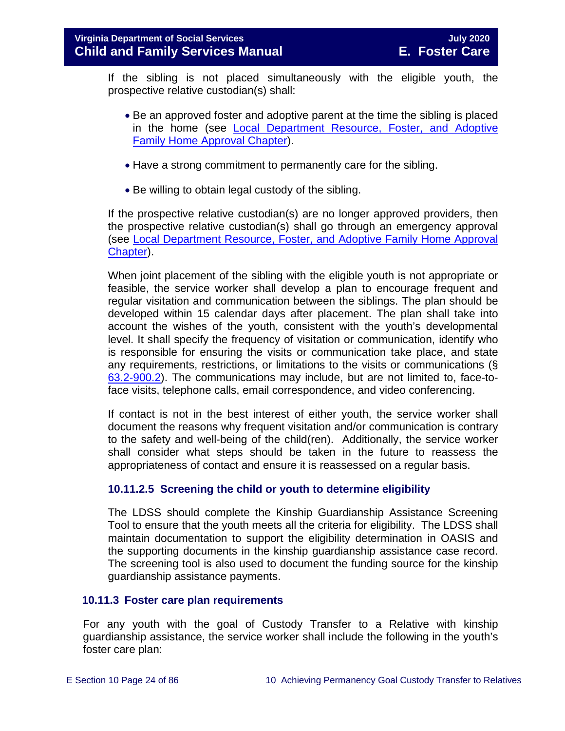If the sibling is not placed simultaneously with the eligible youth, the prospective relative custodian(s) shall:

- Be an approved foster and adoptive parent at the time the sibling is placed in the home (see [Local Department Resource, Foster, and Adoptive](https://fusion.dss.virginia.gov/dfs/DFS-Home/Family-Recruitment/Family-Recruitment-Guidance)  [Family Home Approval Chapter\)](https://fusion.dss.virginia.gov/dfs/DFS-Home/Family-Recruitment/Family-Recruitment-Guidance).
- Have a strong commitment to permanently care for the sibling.
- Be willing to obtain legal custody of the sibling.

If the prospective relative custodian(s) are no longer approved providers, then the prospective relative custodian(s) shall go through an emergency approval (see [Local Department Resource, Foster, and Adoptive Family Home Approval](https://fusion.dss.virginia.gov/dfs/DFS-Home/Family-Recruitment/Family-Recruitment-Guidance)  [Chapter\)](https://fusion.dss.virginia.gov/dfs/DFS-Home/Family-Recruitment/Family-Recruitment-Guidance).

When joint placement of the sibling with the eligible youth is not appropriate or feasible, the service worker shall develop a plan to encourage frequent and regular visitation and communication between the siblings. The plan should be developed within 15 calendar days after placement. The plan shall take into account the wishes of the youth, consistent with the youth's developmental level. It shall specify the frequency of visitation or communication, identify who is responsible for ensuring the visits or communication take place, and state any requirements, restrictions, or limitations to the visits or communications (§ [63.2-900.2\)](https://law.lis.virginia.gov/vacode/63.2-900.2/). The communications may include, but are not limited to, face-toface visits, telephone calls, email correspondence, and video conferencing.

If contact is not in the best interest of either youth, the service worker shall document the reasons why frequent visitation and/or communication is contrary to the safety and well-being of the child(ren). Additionally, the service worker shall consider what steps should be taken in the future to reassess the appropriateness of contact and ensure it is reassessed on a regular basis.

# **10.11.2.5 Screening the child or youth to determine eligibility**

The LDSS should complete the Kinship Guardianship Assistance Screening Tool to ensure that the youth meets all the criteria for eligibility. The LDSS shall maintain documentation to support the eligibility determination in OASIS and the supporting documents in the kinship guardianship assistance case record. The screening tool is also used to document the funding source for the kinship guardianship assistance payments.

# <span id="page-23-0"></span>**10.11.3 Foster care plan requirements**

For any youth with the goal of Custody Transfer to a Relative with kinship guardianship assistance, the service worker shall include the following in the youth's foster care plan: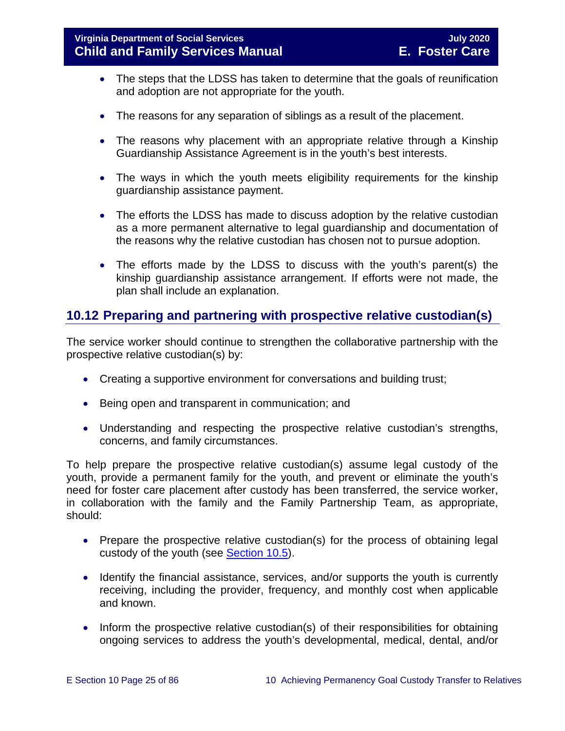- The steps that the LDSS has taken to determine that the goals of reunification and adoption are not appropriate for the youth.
- The reasons for any separation of siblings as a result of the placement.
- The reasons why placement with an appropriate relative through a Kinship Guardianship Assistance Agreement is in the youth's best interests.
- The ways in which the youth meets eligibility requirements for the kinship guardianship assistance payment.
- The efforts the LDSS has made to discuss adoption by the relative custodian as a more permanent alternative to legal guardianship and documentation of the reasons why the relative custodian has chosen not to pursue adoption.
- The efforts made by the LDSS to discuss with the youth's parent(s) the kinship guardianship assistance arrangement. If efforts were not made, the plan shall include an explanation.

# <span id="page-24-0"></span>**10.12 Preparing and partnering with prospective relative custodian(s)**

The service worker should continue to strengthen the collaborative partnership with the prospective relative custodian(s) by:

- Creating a supportive environment for conversations and building trust;
- Being open and transparent in communication; and
- Understanding and respecting the prospective relative custodian's strengths, concerns, and family circumstances.

To help prepare the prospective relative custodian(s) assume legal custody of the youth, provide a permanent family for the youth, and prevent or eliminate the youth's need for foster care placement after custody has been transferred, the service worker, in collaboration with the family and the Family Partnership Team, as appropriate, should:

- Prepare the prospective relative custodian(s) for the process of obtaining legal custody of the youth (see [Section 10.5\)](#page-15-0).
- Identify the financial assistance, services, and/or supports the youth is currently receiving, including the provider, frequency, and monthly cost when applicable and known.
- Inform the prospective relative custodian(s) of their responsibilities for obtaining ongoing services to address the youth's developmental, medical, dental, and/or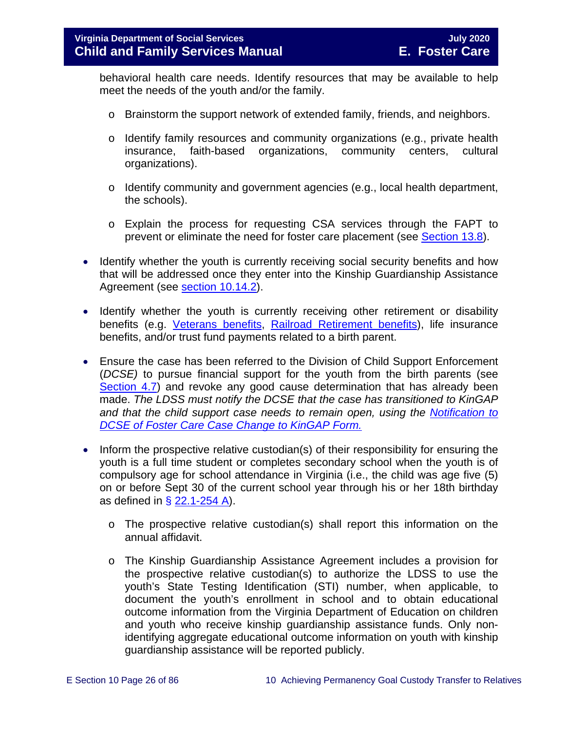behavioral health care needs. Identify resources that may be available to help meet the needs of the youth and/or the family.

- o Brainstorm the support network of extended family, friends, and neighbors.
- o Identify family resources and community organizations (e.g., private health insurance, faith-based organizations, community centers, cultural insurance, faith-based organizations, community centers, organizations).
- o Identify community and government agencies (e.g., local health department, the schools).
- o Explain the process for requesting CSA services through the FAPT to prevent or eliminate the need for foster care placement (see [Section 13.8\)](https://fusion.dss.virginia.gov/Portals/%5bdfs%5d/Files/DFS%20Manuals/Foster%20Care%20Manuals/Foster%20Care%20Manual%2007-2020/Final%20Foster%20Care%20Manual%2007-2020/Section_13_achieving_permanency_for_older_youth.pdf#page=23).
- Identify whether the youth is currently receiving social security benefits and how that will be addressed once they enter into the Kinship Guardianship Assistance Agreement (see [section 10.14.2\)](#page-29-0).
- Identify whether the youth is currently receiving other retirement or disability benefits (e.g. [Veterans benefits,](http://www.vba.va.gov/VBA/) [Railroad Retirement benefits\)](http://www.rrb.gov/), life insurance benefits, and/or trust fund payments related to a birth parent.
- Ensure the case has been referred to the Division of Child Support Enforcement (*DCSE)* to pursue financial support for the youth from the birth parents (see [Section 4.7\)](https://fusion.dss.virginia.gov/Portals/%5bdfs%5d/Files/DFS%20Manuals/Foster%20Care%20Manuals/Foster%20Care%20Manual%2007-2020/Final%20Foster%20Care%20Manual%2007-2020/section_4_opening_and_maintaining_case.pdf#page=12) and revoke any good cause determination that has already been made. *The LDSS must notify the DCSE that the case has transitioned to KinGAP and that the child support case needs to remain open, using the [Notification to](https://fusion.dss.virginia.gov/Portals/%5bdfs%5d/Files/DFS%20FORMS/Foster%20Care%20Forms/Notification%20to%20DCSE%20of%20Case%20Change%20to%20KinGAP.pdf)  [DCSE of Foster Care Case Change to KinGAP Form.](https://fusion.dss.virginia.gov/Portals/%5bdfs%5d/Files/DFS%20FORMS/Foster%20Care%20Forms/Notification%20to%20DCSE%20of%20Case%20Change%20to%20KinGAP.pdf)*
- Inform the prospective relative custodian(s) of their responsibility for ensuring the youth is a full time student or completes secondary school when the youth is of compulsory age for school attendance in Virginia (i.e., the child was age five (5) on or before Sept 30 of the current school year through his or her 18th birthday as defined in  $\S$  [22.1-254 A\)](https://law.lis.virginia.gov/vacode/22.1-254/).
	- o The prospective relative custodian(s) shall report this information on the annual affidavit.
	- o The Kinship Guardianship Assistance Agreement includes a provision for the prospective relative custodian(s) to authorize the LDSS to use the youth's State Testing Identification (STI) number, when applicable, to document the youth's enrollment in school and to obtain educational outcome information from the Virginia Department of Education on children and youth who receive kinship guardianship assistance funds. Only nonidentifying aggregate educational outcome information on youth with kinship guardianship assistance will be reported publicly.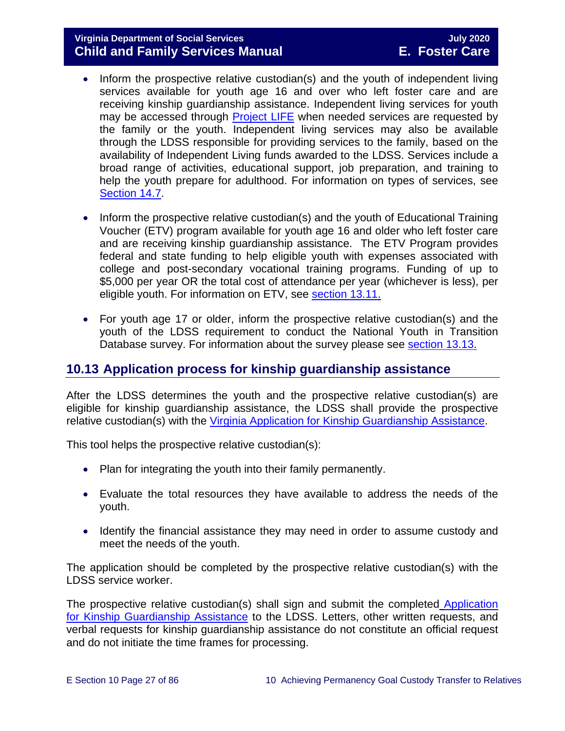# **Virginia Department of Social Services July 2020 Child and Family Services Manual**

- Inform the prospective relative custodian(s) and the youth of independent living services available for youth age 16 and over who left foster care and are receiving kinship guardianship assistance. Independent living services for youth may be accessed through [Project LIFE](http://www.vaprojectlife.org/) when needed services are requested by the family or the youth. Independent living services may also be available through the LDSS responsible for providing services to the family, based on the availability of Independent Living funds awarded to the LDSS. Services include a broad range of activities, educational support, job preparation, and training to help the youth prepare for adulthood. For information on types of services, see [Section 14.7.](https://fusion.dss.virginia.gov/Portals/%5bdfs%5d/Files/DFS%20Manuals/Foster%20Care%20Manuals/Foster%20Care%20Manual%2007-2020/Final%20Foster%20Care%20Manual%2007-2020/Section_14_Fostering_Futures.pdf#page=35)
- Inform the prospective relative custodian(s) and the youth of Educational Training Voucher (ETV) program available for youth age 16 and older who left foster care and are receiving kinship guardianship assistance. The ETV Program provides federal and state funding to help eligible youth with expenses associated with college and post-secondary vocational training programs. Funding of up to \$5,000 per year OR the total cost of attendance per year (whichever is less), per eligible youth. For information on ETV, see [section 13.11.](https://fusion.dss.virginia.gov/Portals/%5bdfs%5d/Files/DFS%20Manuals/Foster%20Care%20Manuals/Foster%20Care%20Manual%2007-2020/Final%20Foster%20Care%20Manual%2007-2020/Section_13_achieving_permanency_for_older_youth.pdf#page=26)
- For youth age 17 or older, inform the prospective relative custodian(s) and the youth of the LDSS requirement to conduct the National Youth in Transition Database survey. For information about the survey please see [section 13.13.](https://fusion.dss.virginia.gov/Portals/%5bdfs%5d/Files/DFS%20Manuals/Foster%20Care%20Manuals/Foster%20Care%20Manual%2007-2020/Final%20Foster%20Care%20Manual%2007-2020/Section_13_achieving_permanency_for_older_youth.pdf#page=33)

# <span id="page-26-0"></span>**10.13 Application process for kinship guardianship assistance**

After the LDSS determines the youth and the prospective relative custodian(s) are eligible for kinship guardianship assistance, the LDSS shall provide the prospective relative custodian(s) with the [Virginia Application for Kinship Guardianship Assistance.](https://fusion.dss.virginia.gov/Portals/%5Bdfs%5D/Files/DFS%20FORMS/Family%20Services-Generic%20Forms/Application%20for%20Assistance.pdf)

This tool helps the prospective relative custodian(s):

- Plan for integrating the youth into their family permanently.
- Evaluate the total resources they have available to address the needs of the youth.
- Identify the financial assistance they may need in order to assume custody and meet the needs of the youth.

The application should be completed by the prospective relative custodian(s) with the LDSS service worker.

The prospective relative custodian(s) shall sign and submit the completed Application [for Kinship Guardianship Assistance](https://fusion.dss.virginia.gov/Portals/%5Bdfs%5D/Files/DFS%20FORMS/Family%20Services-Generic%20Forms/Application%20for%20Assistance.pdf) to the LDSS. Letters, other written requests, and verbal requests for kinship guardianship assistance do not constitute an official request and do not initiate the time frames for processing.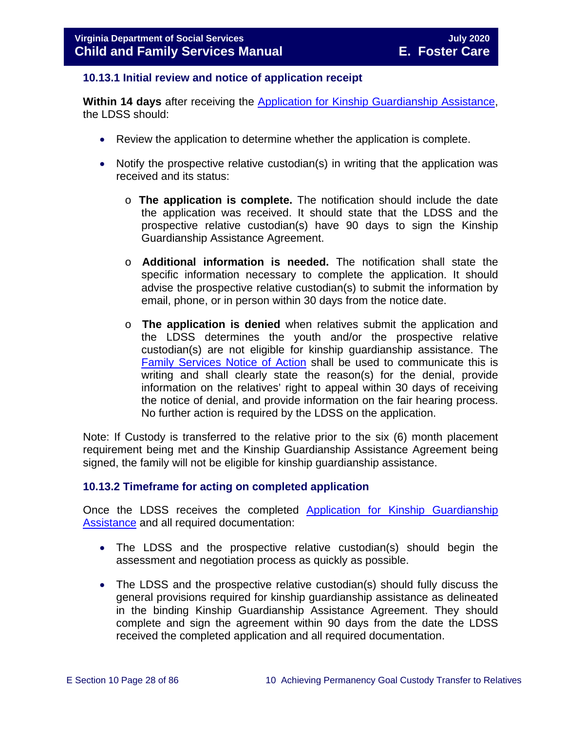#### <span id="page-27-0"></span>**10.13.1 Initial review and notice of application receipt**

**Within 14 days** after receiving the [Application for Kinship Guardianship Assistance,](https://fusion.dss.virginia.gov/Portals/%5Bdfs%5D/Files/DFS%20FORMS/Family%20Services-Generic%20Forms/Application%20for%20Assistance.pdf) the LDSS should:

- Review the application to determine whether the application is complete.
- Notify the prospective relative custodian(s) in writing that the application was received and its status:
	- o **The application is complete.** The notification should include the date the application was received. It should state that the LDSS and the prospective relative custodian(s) have 90 days to sign the Kinship Guardianship Assistance Agreement.
	- o **Additional information is needed.** The notification shall state the specific information necessary to complete the application. It should advise the prospective relative custodian(s) to submit the information by email, phone, or in person within 30 days from the notice date.
	- o **The application is denied** when relatives submit the application and the LDSS determines the youth and/or the prospective relative custodian(s) are not eligible for kinship guardianship assistance. The [Family Services Notice of Action](https://fusion.dss.virginia.gov/Portals/%5Bdfs%5D/Files/DFS%20FORMS/Family%20Services-Generic%20Forms/Family%20Services%20Notice%20of%20Action%20and%20Right%20to%20Appeal.pdf) shall be used to communicate this is writing and shall clearly state the reason(s) for the denial, provide information on the relatives' right to appeal within 30 days of receiving the notice of denial, and provide information on the fair hearing process. No further action is required by the LDSS on the application.

Note: If Custody is transferred to the relative prior to the six (6) month placement requirement being met and the Kinship Guardianship Assistance Agreement being signed, the family will not be eligible for kinship guardianship assistance.

#### <span id="page-27-1"></span>**10.13.2 Timeframe for acting on completed application**

Once the LDSS receives the completed [Application for Kinship Guardianship](https://fusion.dss.virginia.gov/Portals/%5Bdfs%5D/Files/DFS%20FORMS/Family%20Services-Generic%20Forms/Application%20for%20Assistance.pdf)  [Assistance](https://fusion.dss.virginia.gov/Portals/%5Bdfs%5D/Files/DFS%20FORMS/Family%20Services-Generic%20Forms/Application%20for%20Assistance.pdf) and all required documentation:

- The LDSS and the prospective relative custodian(s) should begin the assessment and negotiation process as quickly as possible.
- The LDSS and the prospective relative custodian(s) should fully discuss the general provisions required for kinship guardianship assistance as delineated in the binding Kinship Guardianship Assistance Agreement. They should complete and sign the agreement within 90 days from the date the LDSS received the completed application and all required documentation.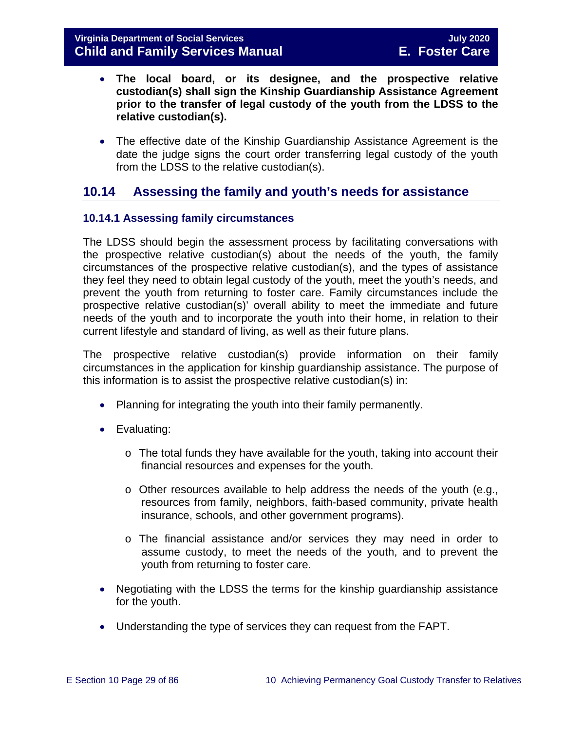- **The local board, or its designee, and the prospective relative custodian(s) shall sign the Kinship Guardianship Assistance Agreement prior to the transfer of legal custody of the youth from the LDSS to the relative custodian(s).**
- The effective date of the Kinship Guardianship Assistance Agreement is the date the judge signs the court order transferring legal custody of the youth from the LDSS to the relative custodian(s).

# <span id="page-28-0"></span>**10.14 Assessing the family and youth's needs for assistance**

# <span id="page-28-1"></span>**10.14.1 Assessing family circumstances**

The LDSS should begin the assessment process by facilitating conversations with the prospective relative custodian(s) about the needs of the youth, the family circumstances of the prospective relative custodian(s), and the types of assistance they feel they need to obtain legal custody of the youth, meet the youth's needs, and prevent the youth from returning to foster care. Family circumstances include the prospective relative custodian(s)' overall ability to meet the immediate and future needs of the youth and to incorporate the youth into their home, in relation to their current lifestyle and standard of living, as well as their future plans.

The prospective relative custodian(s) provide information on their family circumstances in the application for kinship guardianship assistance. The purpose of this information is to assist the prospective relative custodian(s) in:

- Planning for integrating the youth into their family permanently.
- Evaluating:
	- $\circ$  The total funds they have available for the youth, taking into account their financial resources and expenses for the youth.
	- o Other resources available to help address the needs of the youth (e.g., resources from family, neighbors, faith-based community, private health insurance, schools, and other government programs).
	- o The financial assistance and/or services they may need in order to assume custody, to meet the needs of the youth, and to prevent the youth from returning to foster care.
- Negotiating with the LDSS the terms for the kinship guardianship assistance for the youth.
- Understanding the type of services they can request from the FAPT.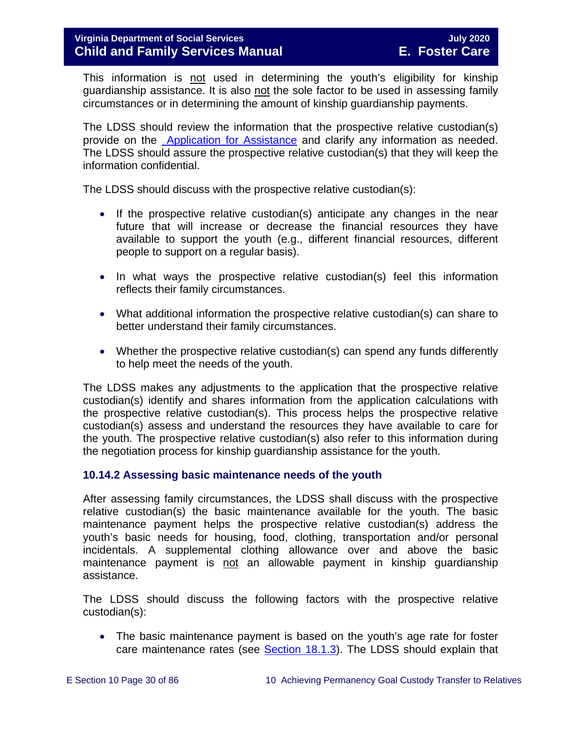This information is not used in determining the youth's eligibility for kinship guardianship assistance. It is also not the sole factor to be used in assessing family circumstances or in determining the amount of kinship guardianship payments.

The LDSS should review the information that the prospective relative custodian(s) provide on the [Application for](https://fusion.dss.virginia.gov/Portals/%5Bdfs%5D/Files/DFS%20FORMS/Family%20Services-Generic%20Forms/Application%20for%20Assistance.pdf) Assistance and clarify any information as needed. The LDSS should assure the prospective relative custodian(s) that they will keep the information confidential.

The LDSS should discuss with the prospective relative custodian(s):

- If the prospective relative custodian(s) anticipate any changes in the near future that will increase or decrease the financial resources they have available to support the youth (e.g., different financial resources, different people to support on a regular basis).
- In what ways the prospective relative custodian(s) feel this information reflects their family circumstances.
- What additional information the prospective relative custodian(s) can share to better understand their family circumstances.
- Whether the prospective relative custodian(s) can spend any funds differently to help meet the needs of the youth.

The LDSS makes any adjustments to the application that the prospective relative custodian(s) identify and shares information from the application calculations with the prospective relative custodian(s). This process helps the prospective relative custodian(s) assess and understand the resources they have available to care for the youth. The prospective relative custodian(s) also refer to this information during the negotiation process for kinship guardianship assistance for the youth.

#### <span id="page-29-0"></span>**10.14.2 Assessing basic maintenance needs of the youth**

After assessing family circumstances, the LDSS shall discuss with the prospective relative custodian(s) the basic maintenance available for the youth. The basic maintenance payment helps the prospective relative custodian(s) address the youth's basic needs for housing, food, clothing, transportation and/or personal incidentals. A supplemental clothing allowance over and above the basic maintenance payment is not an allowable payment in kinship guardianship assistance.

The LDSS should discuss the following factors with the prospective relative custodian(s):

• The basic maintenance payment is based on the youth's age rate for foster care maintenance rates (see [Section 18.1.3\)](https://fusion.dss.virginia.gov/Portals/%5bdfs%5d/Files/DFS%20Manuals/Foster%20Care%20Manuals/Foster%20Care%20Manual%2007-2020/Final%20Foster%20Care%20Manual%2007-2020/section_18_funding_maintenance_costs.pdf#page=4). The LDSS should explain that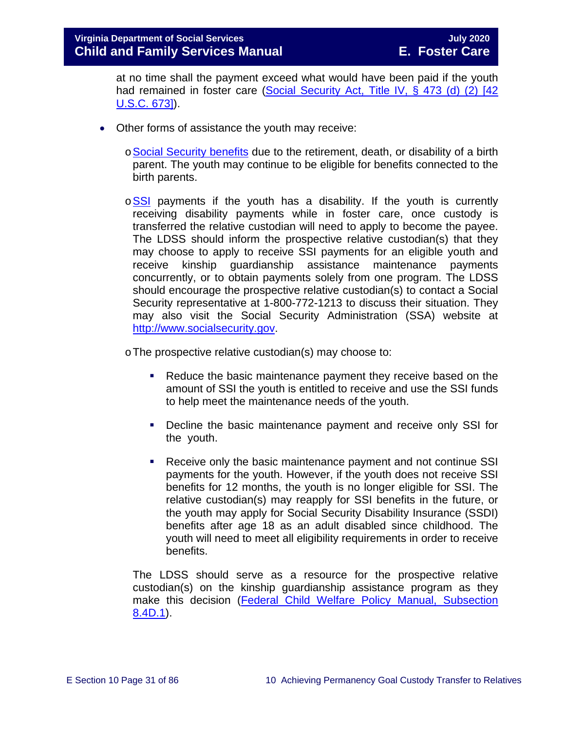at no time shall the payment exceed what would have been paid if the youth had remained in foster care (Social Security Act, Title IV, § 473 (d) (2) [42 [U.S.C. 673\]\)](http://www.socialsecurity.gov/OP_Home/ssact/title04/0473.htm).

- Other forms of assistance the youth may receive:
	- o[Social Security benefits](http://www.socialsecurity.gov/) due to the retirement, death, or disability of a birth parent. The youth may continue to be eligible for benefits connected to the birth parents.
	- $\circ$ [SSI](http://www.socialsecurity.gov/pgm/ssi.htm) payments if the youth has a disability. If the youth is currently receiving disability payments while in foster care, once custody is transferred the relative custodian will need to apply to become the payee. The LDSS should inform the prospective relative custodian(s) that they may choose to apply to receive SSI payments for an eligible youth and receive kinship guardianship assistance maintenance payments concurrently, or to obtain payments solely from one program. The LDSS should encourage the prospective relative custodian(s) to contact a Social Security representative at 1-800-772-1213 to discuss their situation. They may also visit the Social Security Administration (SSA) website at [http://www.socialsecurity.gov.](http://www.socialsecurity.gov/)

oThe prospective relative custodian(s) may choose to:

- Reduce the basic maintenance payment they receive based on the amount of SSI the youth is entitled to receive and use the SSI funds to help meet the maintenance needs of the youth.
- Decline the basic maintenance payment and receive only SSI for the youth.
- Receive only the basic maintenance payment and not continue SSI payments for the youth. However, if the youth does not receive SSI benefits for 12 months, the youth is no longer eligible for SSI. The relative custodian(s) may reapply for SSI benefits in the future, or the youth may apply for Social Security Disability Insurance (SSDI) benefits after age 18 as an adult disabled since childhood. The youth will need to meet all eligibility requirements in order to receive benefits.

The LDSS should serve as a resource for the prospective relative custodian(s) on the kinship guardianship assistance program as they make this decision [\(Federal Child Welfare Policy Manual, Subsection](http://www.acf.hhs.gov/cwpm/programs/cb/laws_policies/laws/cwpm/questDetail.jsp?QAId=76)  [8.4D.1\)](http://www.acf.hhs.gov/cwpm/programs/cb/laws_policies/laws/cwpm/questDetail.jsp?QAId=76).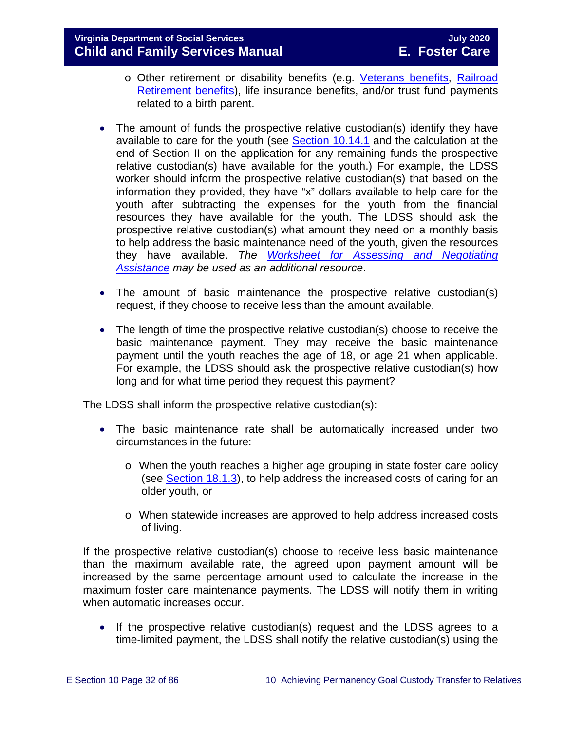- o Other retirement or disability benefits (e.g. [Veterans benefits,](http://www.vba.va.gov/VBA/) [Railroad](http://www.rrb.gov/)  [Retirement benefits\)](http://www.rrb.gov/), life insurance benefits, and/or trust fund payments related to a birth parent.
- The amount of funds the prospective relative custodian(s) identify they have available to care for the youth (see **Section 10.14.1** and the calculation at the end of Section II on the application for any remaining funds the prospective relative custodian(s) have available for the youth.) For example, the LDSS worker should inform the prospective relative custodian(s) that based on the information they provided, they have "x" dollars available to help care for the youth after subtracting the expenses for the youth from the financial resources they have available for the youth. The LDSS should ask the prospective relative custodian(s) what amount they need on a monthly basis to help address the basic maintenance need of the youth, given the resources they have available. *The [Worksheet for Assessing and Negotiating](https://fusion.dss.virginia.gov/Portals/%5Bdfs%5D/Files/Adoption/Adoption%20Assistance/Assessing%20and%20Negotiating%20-%20Worksheet.doc)  [Assistance](https://fusion.dss.virginia.gov/Portals/%5Bdfs%5D/Files/Adoption/Adoption%20Assistance/Assessing%20and%20Negotiating%20-%20Worksheet.doc) may be used as an additional resource*.
- The amount of basic maintenance the prospective relative custodian(s) request, if they choose to receive less than the amount available.
- The length of time the prospective relative custodian(s) choose to receive the basic maintenance payment. They may receive the basic maintenance payment until the youth reaches the age of 18, or age 21 when applicable. For example, the LDSS should ask the prospective relative custodian(s) how long and for what time period they request this payment?

The LDSS shall inform the prospective relative custodian(s):

- The basic maintenance rate shall be automatically increased under two circumstances in the future:
	- o When the youth reaches a higher age grouping in state foster care policy (see [Section 18.1.3\)](https://fusion.dss.virginia.gov/Portals/%5bdfs%5d/Files/DFS%20Manuals/Foster%20Care%20Manuals/Foster%20Care%20Manual%2007-2020/Final%20Foster%20Care%20Manual%2007-2020/section_18_funding_maintenance_costs.pdf#page=4), to help address the increased costs of caring for an older youth, or
	- o When statewide increases are approved to help address increased costs of living.

If the prospective relative custodian(s) choose to receive less basic maintenance than the maximum available rate, the agreed upon payment amount will be increased by the same percentage amount used to calculate the increase in the maximum foster care maintenance payments. The LDSS will notify them in writing when automatic increases occur.

• If the prospective relative custodian(s) request and the LDSS agrees to a time-limited payment, the LDSS shall notify the relative custodian(s) using the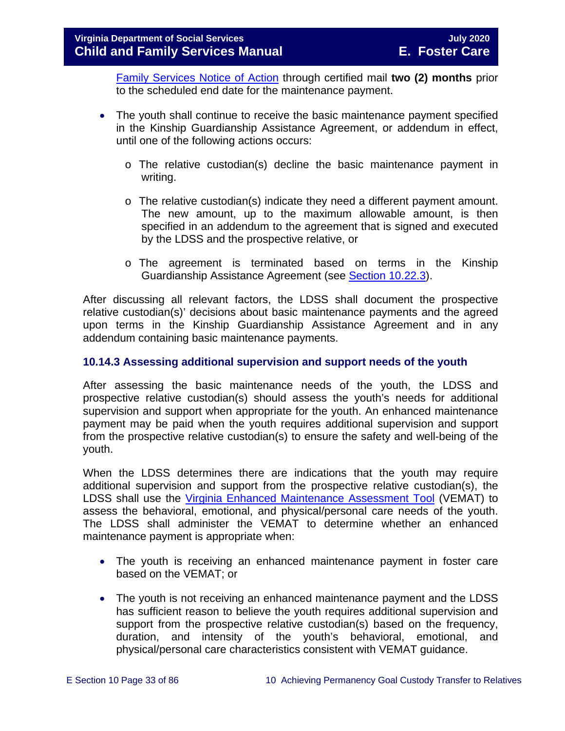[Family Services Notice of Action](https://fusion.dss.virginia.gov/Portals/%5Bdfs%5D/Files/DFS%20FORMS/Family%20Services-Generic%20Forms/Family%20Services%20Notice%20of%20Action%20and%20Right%20to%20Appeal.pdf) through certified mail **two (2) months** prior to the scheduled end date for the maintenance payment.

- The youth shall continue to receive the basic maintenance payment specified in the Kinship Guardianship Assistance Agreement, or addendum in effect, until one of the following actions occurs:
	- o The relative custodian(s) decline the basic maintenance payment in writing.
	- $\circ$  The relative custodian(s) indicate they need a different payment amount. The new amount, up to the maximum allowable amount, is then specified in an addendum to the agreement that is signed and executed by the LDSS and the prospective relative, or
	- o The agreement is terminated based on terms in the Kinship Guardianship Assistance Agreement (see [Section 10.22.3\)](#page-69-0).

After discussing all relevant factors, the LDSS shall document the prospective relative custodian(s)' decisions about basic maintenance payments and the agreed upon terms in the Kinship Guardianship Assistance Agreement and in any addendum containing basic maintenance payments.

# <span id="page-32-0"></span>**10.14.3 Assessing additional supervision and support needs of the youth**

After assessing the basic maintenance needs of the youth, the LDSS and prospective relative custodian(s) should assess the youth's needs for additional supervision and support when appropriate for the youth. An enhanced maintenance payment may be paid when the youth requires additional supervision and support from the prospective relative custodian(s) to ensure the safety and well-being of the youth.

When the LDSS determines there are indications that the youth may require additional supervision and support from the prospective relative custodian(s), the LDSS shall use the [Virginia Enhanced Maintenance Assessment Tool](https://fusion.dss.virginia.gov/dis/IT-Services/Applications/VEMAT) (VEMAT) to assess the behavioral, emotional, and physical/personal care needs of the youth. The LDSS shall administer the VEMAT to determine whether an enhanced maintenance payment is appropriate when:

- The youth is receiving an enhanced maintenance payment in foster care based on the VEMAT; or
- The youth is not receiving an enhanced maintenance payment and the LDSS has sufficient reason to believe the youth requires additional supervision and support from the prospective relative custodian(s) based on the frequency, duration, and intensity of the youth's behavioral, emotional, and physical/personal care characteristics consistent with VEMAT guidance.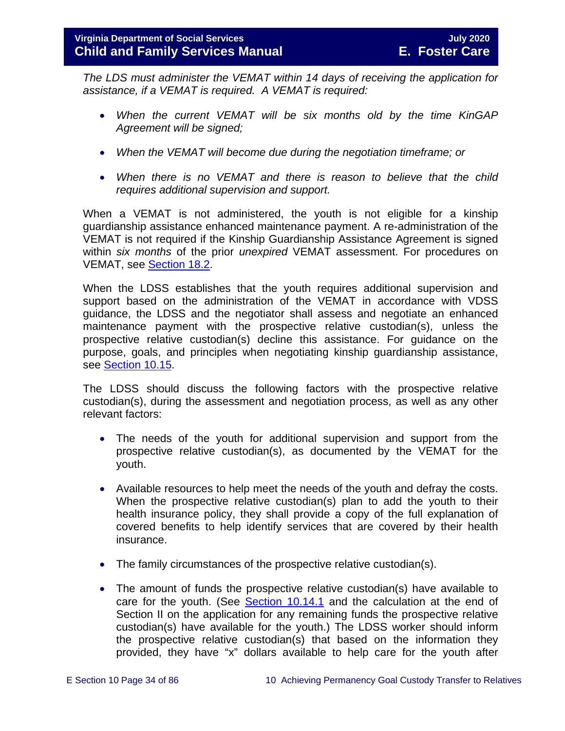*The LDS must administer the VEMAT within 14 days of receiving the application for assistance, if a VEMAT is required. A VEMAT is required:* 

- *When the current VEMAT will be six months old by the time KinGAP Agreement will be signed;*
- *When the VEMAT will become due during the negotiation timeframe; or*
- *When there is no VEMAT and there is reason to believe that the child requires additional supervision and support.*

When a VEMAT is not administered, the youth is not eligible for a kinship guardianship assistance enhanced maintenance payment. A re-administration of the VEMAT is not required if the Kinship Guardianship Assistance Agreement is signed within *six months* of the prior *unexpired* VEMAT assessment. For procedures on VEMAT, see [Section 18.2.](https://fusion.dss.virginia.gov/Portals/%5bdfs%5d/Files/DFS%20Manuals/Foster%20Care%20Manuals/Foster%20Care%20Manual%2007-2020/Final%20Foster%20Care%20Manual%2007-2020/section_18_funding_maintenance_costs.pdf#page=11)

When the LDSS establishes that the youth requires additional supervision and support based on the administration of the VEMAT in accordance with VDSS guidance, the LDSS and the negotiator shall assess and negotiate an enhanced maintenance payment with the prospective relative custodian(s), unless the prospective relative custodian(s) decline this assistance. For guidance on the purpose, goals, and principles when negotiating kinship guardianship assistance, see [Section 10.15.](#page-38-0)

The LDSS should discuss the following factors with the prospective relative custodian(s), during the assessment and negotiation process, as well as any other relevant factors:

- The needs of the youth for additional supervision and support from the prospective relative custodian(s), as documented by the VEMAT for the youth.
- Available resources to help meet the needs of the youth and defray the costs. When the prospective relative custodian(s) plan to add the youth to their health insurance policy, they shall provide a copy of the full explanation of covered benefits to help identify services that are covered by their health insurance.
- The family circumstances of the prospective relative custodian(s).
- The amount of funds the prospective relative custodian(s) have available to care for the youth. (See [Section 10.14.1](#page-28-1) and the calculation at the end of Section II on the application for any remaining funds the prospective relative custodian(s) have available for the youth.) The LDSS worker should inform the prospective relative custodian(s) that based on the information they provided, they have "x" dollars available to help care for the youth after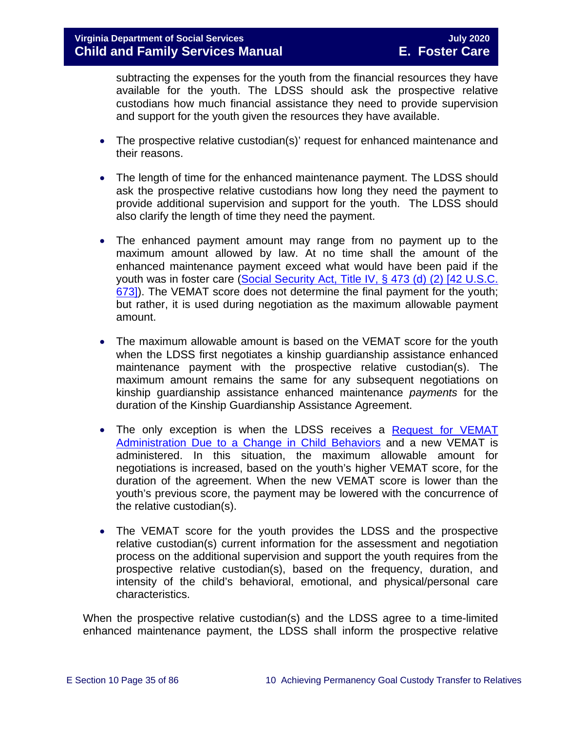subtracting the expenses for the youth from the financial resources they have available for the youth. The LDSS should ask the prospective relative custodians how much financial assistance they need to provide supervision and support for the youth given the resources they have available.

- The prospective relative custodian(s)' request for enhanced maintenance and their reasons.
- The length of time for the enhanced maintenance payment. The LDSS should ask the prospective relative custodians how long they need the payment to provide additional supervision and support for the youth. The LDSS should also clarify the length of time they need the payment.
- The enhanced payment amount may range from no payment up to the maximum amount allowed by law. At no time shall the amount of the enhanced maintenance payment exceed what would have been paid if the youth was in foster care [\(Social Security Act, Title IV, § 473 \(d\) \(2\) \[42 U.S.C.](http://www.socialsecurity.gov/OP_Home/ssact/title04/0473.htm)  [673\]\)](http://www.socialsecurity.gov/OP_Home/ssact/title04/0473.htm). The VEMAT score does not determine the final payment for the youth; but rather, it is used during negotiation as the maximum allowable payment amount.
- The maximum allowable amount is based on the VEMAT score for the youth when the LDSS first negotiates a kinship guardianship assistance enhanced maintenance payment with the prospective relative custodian(s). The maximum amount remains the same for any subsequent negotiations on kinship guardianship assistance enhanced maintenance *payments* for the duration of the Kinship Guardianship Assistance Agreement.
- The only exception is when the LDSS receives a Request for VEMAT [Administration Due to a Change in Child Behaviors](https://fusion.dss.virginia.gov/Portals/%5BDIS%5D/Files/032-04-0048-01-eng.doc) and a new VEMAT is administered. In this situation, the maximum allowable amount for negotiations is increased, based on the youth's higher VEMAT score, for the duration of the agreement. When the new VEMAT score is lower than the youth's previous score, the payment may be lowered with the concurrence of the relative custodian(s).
- The VEMAT score for the youth provides the LDSS and the prospective relative custodian(s) current information for the assessment and negotiation process on the additional supervision and support the youth requires from the prospective relative custodian(s), based on the frequency, duration, and intensity of the child's behavioral, emotional, and physical/personal care characteristics.

When the prospective relative custodian(s) and the LDSS agree to a time-limited enhanced maintenance payment, the LDSS shall inform the prospective relative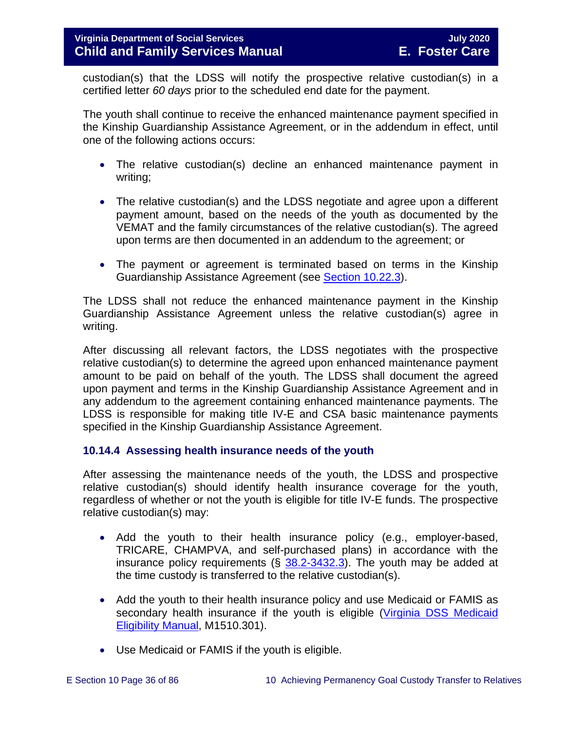custodian(s) that the LDSS will notify the prospective relative custodian(s) in a certified letter *60 days* prior to the scheduled end date for the payment.

The youth shall continue to receive the enhanced maintenance payment specified in the Kinship Guardianship Assistance Agreement, or in the addendum in effect, until one of the following actions occurs:

- The relative custodian(s) decline an enhanced maintenance payment in writing;
- The relative custodian(s) and the LDSS negotiate and agree upon a different payment amount, based on the needs of the youth as documented by the VEMAT and the family circumstances of the relative custodian(s). The agreed upon terms are then documented in an addendum to the agreement; or
- The payment or agreement is terminated based on terms in the Kinship Guardianship Assistance Agreement (see [Section 10.22.3\)](#page-69-0).

The LDSS shall not reduce the enhanced maintenance payment in the Kinship Guardianship Assistance Agreement unless the relative custodian(s) agree in writing.

After discussing all relevant factors, the LDSS negotiates with the prospective relative custodian(s) to determine the agreed upon enhanced maintenance payment amount to be paid on behalf of the youth. The LDSS shall document the agreed upon payment and terms in the Kinship Guardianship Assistance Agreement and in any addendum to the agreement containing enhanced maintenance payments. The LDSS is responsible for making title IV-E and CSA basic maintenance payments specified in the Kinship Guardianship Assistance Agreement.

# <span id="page-35-0"></span>**10.14.4 Assessing health insurance needs of the youth**

After assessing the maintenance needs of the youth, the LDSS and prospective relative custodian(s) should identify health insurance coverage for the youth, regardless of whether or not the youth is eligible for title IV-E funds. The prospective relative custodian(s) may:

- Add the youth to their health insurance policy (e.g., employer-based, TRICARE, CHAMPVA, and self-purchased plans) in accordance with the insurance policy requirements  $(\S$  [38.2-3432.3\)](https://law.lis.virginia.gov/vacode/38.2-3432.3/). The youth may be added at the time custody is transferred to the relative custodian(s).
- Add the youth to their health insurance policy and use Medicaid or FAMIS as secondary health insurance if the youth is eligible [\(Virginia DSS Medicaid](http://www.dss.virginia.gov/benefit/medical_assistance/manual.cgi)  [Eligibility Manual,](http://www.dss.virginia.gov/benefit/medical_assistance/manual.cgi) M1510.301).
- Use Medicaid or FAMIS if the youth is eligible.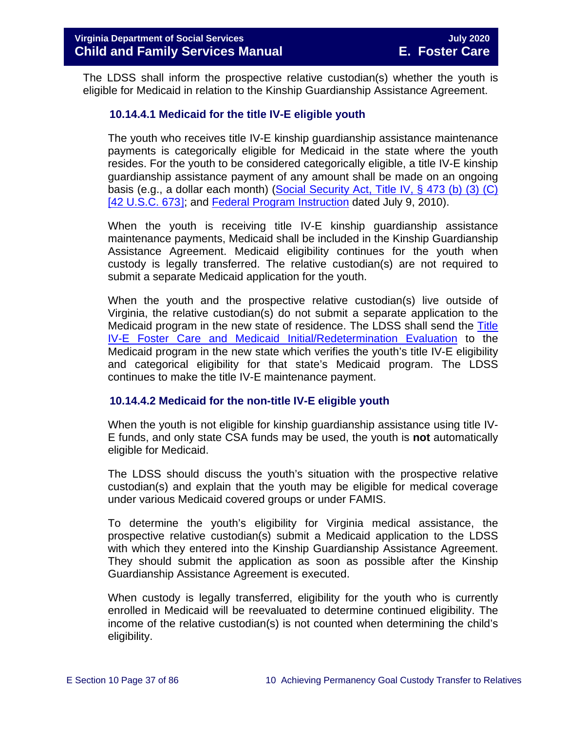The LDSS shall inform the prospective relative custodian(s) whether the youth is eligible for Medicaid in relation to the Kinship Guardianship Assistance Agreement.

### **10.14.4.1 Medicaid for the title IV-E eligible youth**

The youth who receives title IV-E kinship guardianship assistance maintenance payments is categorically eligible for Medicaid in the state where the youth resides. For the youth to be considered categorically eligible, a title IV-E kinship guardianship assistance payment of any amount shall be made on an ongoing basis (e.g., a dollar each month) [\(Social Security Act, Title IV, § 473 \(b\) \(3\) \(C\)](http://www.socialsecurity.gov/OP_Home/ssact/title04/0473.htm)  [\[42 U.S.C. 673](http://www.socialsecurity.gov/OP_Home/ssact/title04/0473.htm)]; and [Federal Program Instruction](http://www.acf.hhs.gov/programs/cb/laws_policies/policy/pi/2010/pi1011.htm#sectd) dated July 9, 2010).

When the youth is receiving title IV-E kinship guardianship assistance maintenance payments, Medicaid shall be included in the Kinship Guardianship Assistance Agreement. Medicaid eligibility continues for the youth when custody is legally transferred. The relative custodian(s) are not required to submit a separate Medicaid application for the youth.

When the youth and the prospective relative custodian(s) live outside of Virginia, the relative custodian(s) do not submit a separate application to the Medicaid program in the new state of residence. The LDSS shall send the [Title](https://fusion.dss.virginia.gov/dfs/DFS-Home/Title-IV-E/Title-IV-E-Forms)  [IV-E Foster Care and Medicaid Initial/Redetermination Evaluation](https://fusion.dss.virginia.gov/dfs/DFS-Home/Title-IV-E/Title-IV-E-Forms) to the Medicaid program in the new state which verifies the youth's title IV-E eligibility and categorical eligibility for that state's Medicaid program. The LDSS continues to make the title IV-E maintenance payment.

#### **10.14.4.2 Medicaid for the non-title IV-E eligible youth**

When the youth is not eligible for kinship guardianship assistance using title IV-E funds, and only state CSA funds may be used, the youth is **not** automatically eligible for Medicaid.

The LDSS should discuss the youth's situation with the prospective relative custodian(s) and explain that the youth may be eligible for medical coverage under various Medicaid covered groups or under FAMIS.

To determine the youth's eligibility for Virginia medical assistance, the prospective relative custodian(s) submit a Medicaid application to the LDSS with which they entered into the Kinship Guardianship Assistance Agreement. They should submit the application as soon as possible after the Kinship Guardianship Assistance Agreement is executed.

When custody is legally transferred, eligibility for the youth who is currently enrolled in Medicaid will be reevaluated to determine continued eligibility. The income of the relative custodian(s) is not counted when determining the child's eligibility.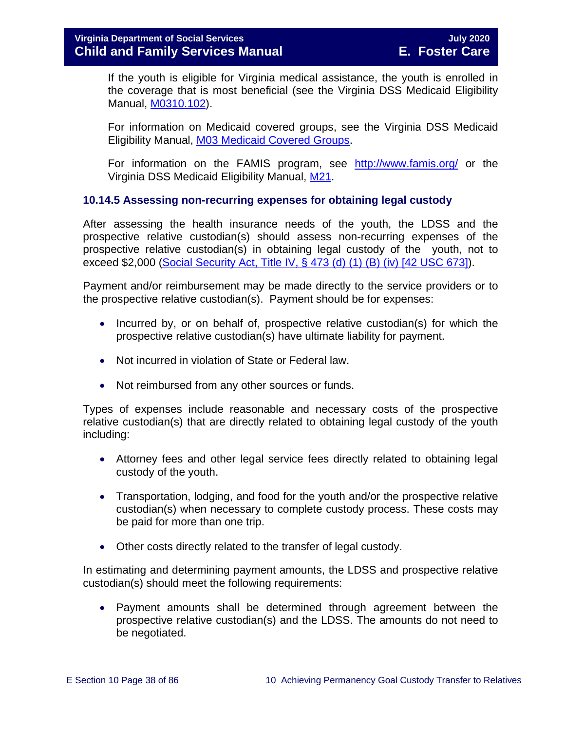## **Virginia Department of Social Services July 2020 Child and Family Services Manual E. Foster Care**

If the youth is eligible for Virginia medical assistance, the youth is enrolled in the coverage that is most beneficial (see the Virginia DSS Medicaid Eligibility Manual, [M0310.102\)](http://www.dss.virginia.gov/files/division/bp/medical_assistance/manual_transmittals/manual/m03.pdf).

For information on Medicaid covered groups, see the Virginia DSS Medicaid Eligibility Manual, [M03 Medicaid Covered Groups.](http://www.dss.virginia.gov/files/division/bp/medical_assistance/manual_transmittals/manual/m03.pdf)

For information on the FAMIS program, see <http://www.famis.org/> or the Virginia DSS Medicaid Eligibility Manual, [M21.](http://www.dss.virginia.gov/files/division/bp/medical_assistance/manual_transmittals/manual/m21.pdf)

## **10.14.5 Assessing non-recurring expenses for obtaining legal custody**

After assessing the health insurance needs of the youth, the LDSS and the prospective relative custodian(s) should assess non-recurring expenses of the prospective relative custodian(s) in obtaining legal custody of the youth, not to exceed \$2,000 [\(Social Security Act, Title IV, § 473 \(d\) \(1\) \(B\) \(iv\) \[42 USC 673\]\)](http://www.socialsecurity.gov/OP_Home/ssact/title04/0473.htm).

Payment and/or reimbursement may be made directly to the service providers or to the prospective relative custodian(s). Payment should be for expenses:

- Incurred by, or on behalf of, prospective relative custodian(s) for which the prospective relative custodian(s) have ultimate liability for payment.
- Not incurred in violation of State or Federal law.
- Not reimbursed from any other sources or funds.

Types of expenses include reasonable and necessary costs of the prospective relative custodian(s) that are directly related to obtaining legal custody of the youth including:

- Attorney fees and other legal service fees directly related to obtaining legal custody of the youth.
- Transportation, lodging, and food for the youth and/or the prospective relative custodian(s) when necessary to complete custody process. These costs may be paid for more than one trip.
- Other costs directly related to the transfer of legal custody.

In estimating and determining payment amounts, the LDSS and prospective relative custodian(s) should meet the following requirements:

• Payment amounts shall be determined through agreement between the prospective relative custodian(s) and the LDSS. The amounts do not need to be negotiated.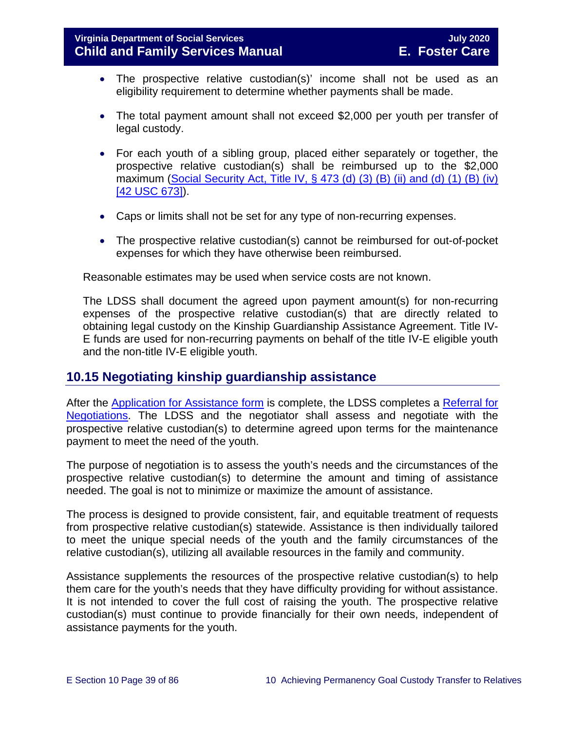- The prospective relative custodian(s)' income shall not be used as an eligibility requirement to determine whether payments shall be made.
- The total payment amount shall not exceed \$2,000 per youth per transfer of legal custody.
- For each youth of a sibling group, placed either separately or together, the prospective relative custodian(s) shall be reimbursed up to the \$2,000 maximum (Social Security Act, Title IV,  $\S$  473 (d) (3) (B) (ii) and (d) (1) (B) (iv) [\[42 USC 673\]\)](http://www.socialsecurity.gov/OP_Home/ssact/title04/0473.htm).
- Caps or limits shall not be set for any type of non-recurring expenses.
- The prospective relative custodian(s) cannot be reimbursed for out-of-pocket expenses for which they have otherwise been reimbursed.

Reasonable estimates may be used when service costs are not known.

The LDSS shall document the agreed upon payment amount(s) for non-recurring expenses of the prospective relative custodian(s) that are directly related to obtaining legal custody on the Kinship Guardianship Assistance Agreement. Title IV-E funds are used for non-recurring payments on behalf of the title IV-E eligible youth and the non-title IV-E eligible youth.

# **10.15 Negotiating kinship guardianship assistance**

After the Application for [Assistance form](https://fusion.dss.virginia.gov/Portals/%5Bdfs%5D/Files/DFS%20FORMS/Family%20Services-Generic%20Forms/Application%20for%20Assistance.pdf) is complete, the LDSS completes a Referral for [Negotiations.](https://fusion.dss.virginia.gov/Portals/%5Bdfs%5D/Files/DFS%20FORMS/Family%20Services-Generic%20Forms/Referral%20for%20Negotiations.pdf) The LDSS and the negotiator shall assess and negotiate with the prospective relative custodian(s) to determine agreed upon terms for the maintenance payment to meet the need of the youth.

The purpose of negotiation is to assess the youth's needs and the circumstances of the prospective relative custodian(s) to determine the amount and timing of assistance needed. The goal is not to minimize or maximize the amount of assistance.

The process is designed to provide consistent, fair, and equitable treatment of requests from prospective relative custodian(s) statewide. Assistance is then individually tailored to meet the unique special needs of the youth and the family circumstances of the relative custodian(s), utilizing all available resources in the family and community.

Assistance supplements the resources of the prospective relative custodian(s) to help them care for the youth's needs that they have difficulty providing for without assistance. It is not intended to cover the full cost of raising the youth. The prospective relative custodian(s) must continue to provide financially for their own needs, independent of assistance payments for the youth.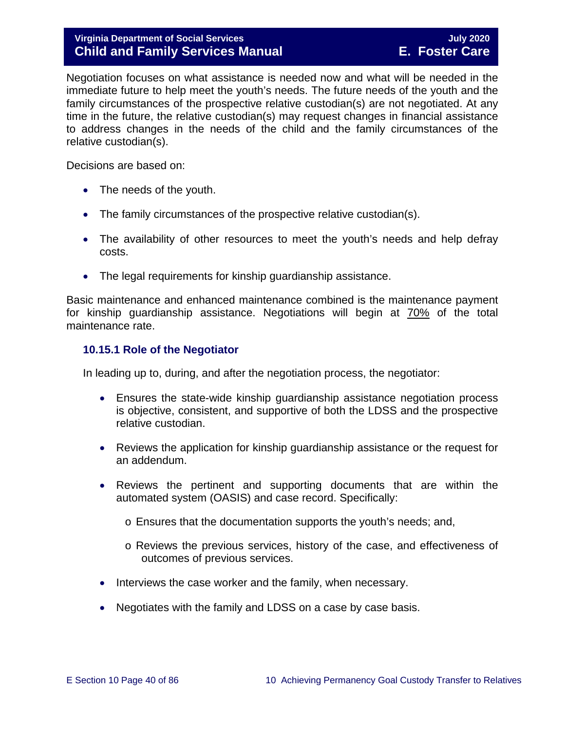# **Virginia Department of Social Services July 2020 Child and Family Services Manual**

Negotiation focuses on what assistance is needed now and what will be needed in the immediate future to help meet the youth's needs. The future needs of the youth and the family circumstances of the prospective relative custodian(s) are not negotiated. At any time in the future, the relative custodian(s) may request changes in financial assistance to address changes in the needs of the child and the family circumstances of the relative custodian(s).

Decisions are based on:

- The needs of the youth.
- The family circumstances of the prospective relative custodian(s).
- The availability of other resources to meet the youth's needs and help defray costs.
- The legal requirements for kinship guardianship assistance.

Basic maintenance and enhanced maintenance combined is the maintenance payment for kinship guardianship assistance. Negotiations will begin at 70% of the total maintenance rate.

#### **10.15.1 Role of the Negotiator**

In leading up to, during, and after the negotiation process, the negotiator:

- Ensures the state-wide kinship guardianship assistance negotiation process is objective, consistent, and supportive of both the LDSS and the prospective relative custodian.
- Reviews the application for kinship guardianship assistance or the request for an addendum.
- Reviews the pertinent and supporting documents that are within the automated system (OASIS) and case record. Specifically:
	- o Ensures that the documentation supports the youth's needs; and,
	- o Reviews the previous services, history of the case, and effectiveness of outcomes of previous services.
- Interviews the case worker and the family, when necessary.
- Negotiates with the family and LDSS on a case by case basis.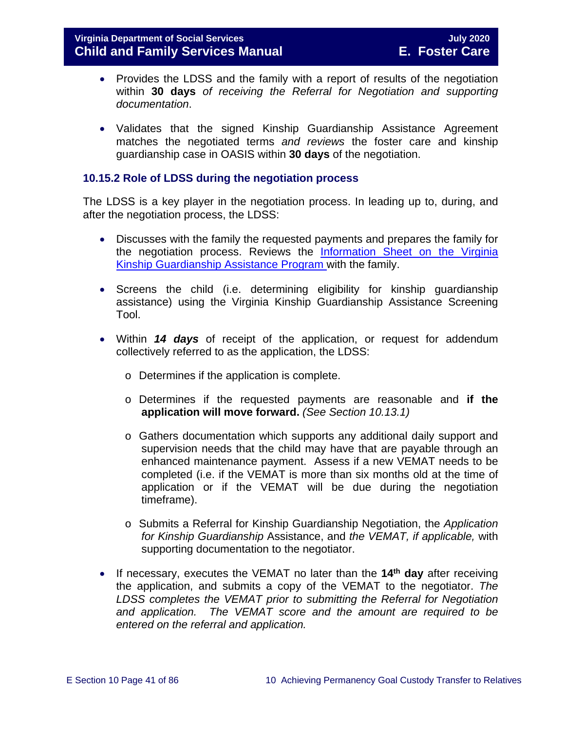- Provides the LDSS and the family with a report of results of the negotiation within **30 days** *of receiving the Referral for Negotiation and supporting documentation*.
- Validates that the signed Kinship Guardianship Assistance Agreement matches the negotiated terms *and reviews* the foster care and kinship guardianship case in OASIS within **30 days** of the negotiation.

### **10.15.2 Role of LDSS during the negotiation process**

The LDSS is a key player in the negotiation process. In leading up to, during, and after the negotiation process, the LDSS:

- Discusses with the family the requested payments and prepares the family for the negotiation process. Reviews the [Information Sheet on the Virginia](http://www.dss.virginia.gov/family/ap/index.cgi)  [Kinship Guardianship Assistance](http://www.dss.virginia.gov/family/ap/index.cgi) Program with the family.
- Screens the child (i.e. determining eligibility for kinship guardianship assistance) using the Virginia Kinship Guardianship Assistance Screening Tool.
- Within *14 days* of receipt of the application, or request for addendum collectively referred to as the application, the LDSS:
	- o Determines if the application is complete.
	- o Determines if the requested payments are reasonable and **if the application will move forward.** *(See Section 10.13.1)*
	- o Gathers documentation which supports any additional daily support and supervision needs that the child may have that are payable through an enhanced maintenance payment. Assess if a new VEMAT needs to be completed (i.e. if the VEMAT is more than six months old at the time of application or if the VEMAT will be due during the negotiation timeframe).
	- o Submits a Referral for Kinship Guardianship Negotiation, the *Application for Kinship Guardianship* Assistance, and *the VEMAT, if applicable,* with supporting documentation to the negotiator.
- If necessary, executes the VEMAT no later than the **14th day** after receiving the application, and submits a copy of the VEMAT to the negotiator. *The LDSS completes the VEMAT prior to submitting the Referral for Negotiation and application. The VEMAT score and the amount are required to be entered on the referral and application.*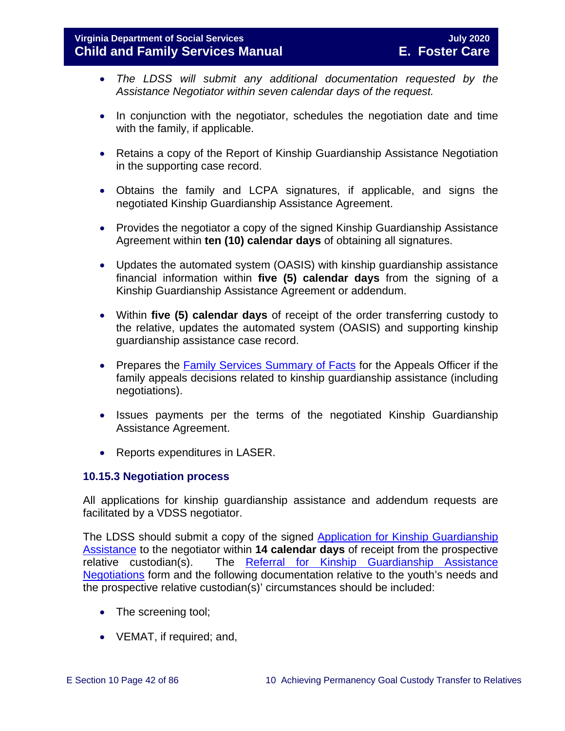- *The LDSS will submit any additional documentation requested by the Assistance Negotiator within seven calendar days of the request.*
- In conjunction with the negotiator, schedules the negotiation date and time with the family, if applicable.
- Retains a copy of the Report of Kinship Guardianship Assistance Negotiation in the supporting case record.
- Obtains the family and LCPA signatures, if applicable, and signs the negotiated Kinship Guardianship Assistance Agreement.
- Provides the negotiator a copy of the signed Kinship Guardianship Assistance Agreement within **ten (10) calendar days** of obtaining all signatures.
- Updates the automated system (OASIS) with kinship guardianship assistance financial information within **five (5) calendar days** from the signing of a Kinship Guardianship Assistance Agreement or addendum.
- Within **five (5) calendar days** of receipt of the order transferring custody to the relative, updates the automated system (OASIS) and supporting kinship guardianship assistance case record.
- Prepares the [Family Services Summary of Facts](https://fusion.dss.virginia.gov/Portals/%5Bdfs%5D/Files/DFS%20FORMS/Family%20Services-Generic%20Forms/Family%20Services%20Summary%20of%20Facts.pdf) for the Appeals Officer if the family appeals decisions related to kinship guardianship assistance (including negotiations).
- Issues payments per the terms of the negotiated Kinship Guardianship Assistance Agreement.
- Reports expenditures in LASER.

## **10.15.3 Negotiation process**

All applications for kinship guardianship assistance and addendum requests are facilitated by a VDSS negotiator.

The LDSS should submit a copy of the signed [Application for Kinship Guardianship](https://fusion.dss.virginia.gov/Portals/%5Bdfs%5D/Files/DFS%20FORMS/Family%20Services-Generic%20Forms/Application%20for%20Assistance.pdf)  [Assistance](https://fusion.dss.virginia.gov/Portals/%5Bdfs%5D/Files/DFS%20FORMS/Family%20Services-Generic%20Forms/Application%20for%20Assistance.pdf) to the negotiator within **14 calendar days** of receipt from the prospective relative custodian(s). The [Referral for Kinship Guardianship Assistance](https://fusion.dss.virginia.gov/Portals/%5Bdfs%5D/Files/DFS%20FORMS/Family%20Services-Generic%20Forms/Referral%20for%20Negotiations.pdf) [Negotiations](https://fusion.dss.virginia.gov/Portals/%5Bdfs%5D/Files/DFS%20FORMS/Family%20Services-Generic%20Forms/Referral%20for%20Negotiations.pdf) form and the following documentation relative to the youth's needs and the prospective relative custodian(s)' circumstances should be included:

- The screening tool;
- VEMAT, if required; and,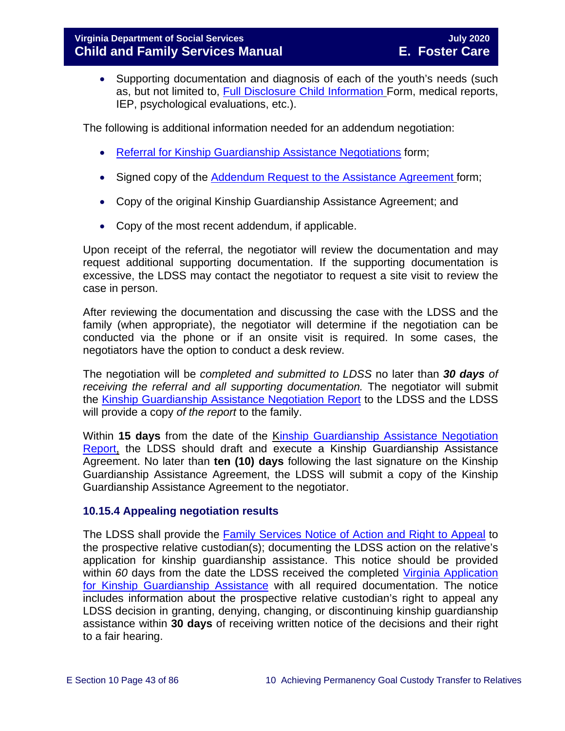• Supporting documentation and diagnosis of each of the youth's needs (such as, but not limited to, [Full Disclosure Child Information](https://fusion.dss.virginia.gov/Portals/%5Bdfs%5D/Files/Adoption/Full%20Disclosure%20Form.docx) Form, medical reports, IEP, psychological evaluations, etc.).

The following is additional information needed for an addendum negotiation:

- [Referral for Kinship Guardianship Assistance](https://fusion.dss.virginia.gov/Portals/%5Bdfs%5D/Files/DFS%20FORMS/Family%20Services-Generic%20Forms/Referral%20for%20Negotiations.pdf) Negotiations form;
- Signed copy of the Addendum Request to the [Assistance Agreement](https://fusion.dss.virginia.gov/Portals/%5Bdfs%5D/Files/DFS%20FORMS/Family%20Services-Generic%20Forms/Addendum%20Request%20to%20the%20Assistance%20Agreement.pdf) form;
- Copy of the original Kinship Guardianship Assistance Agreement; and
- Copy of the most recent addendum, if applicable.

Upon receipt of the referral, the negotiator will review the documentation and may request additional supporting documentation. If the supporting documentation is excessive, the LDSS may contact the negotiator to request a site visit to review the case in person.

After reviewing the documentation and discussing the case with the LDSS and the family (when appropriate), the negotiator will determine if the negotiation can be conducted via the phone or if an onsite visit is required. In some cases, the negotiators have the option to conduct a desk review.

The negotiation will be *completed and submitted to LDSS* no later than *30 days of receiving the referral and all supporting documentation.* The negotiator will submit the [Kinship Guardianship Assistance](https://fusion.dss.virginia.gov/Portals/%5Bdfs%5D/Files/DFS%20FORMS/Family%20Services-Generic%20Forms/Negotiation%20Report.pdf) Negotiation Report to the LDSS and the LDSS will provide a copy *of the report* to the family.

Within **15 days** from the date of the [Kinship Guardianship Assistance](https://fusion.dss.virginia.gov/Portals/%5Bdfs%5D/Files/DFS%20FORMS/Family%20Services-Generic%20Forms/Negotiation%20Report.pdf) Negotiation [Report,](https://fusion.dss.virginia.gov/Portals/%5Bdfs%5D/Files/DFS%20FORMS/Family%20Services-Generic%20Forms/Negotiation%20Report.pdf) the LDSS should draft and execute a Kinship Guardianship Assistance Agreement. No later than **ten (10) days** following the last signature on the Kinship Guardianship Assistance Agreement, the LDSS will submit a copy of the Kinship Guardianship Assistance Agreement to the negotiator.

## **10.15.4 Appealing negotiation results**

The LDSS shall provide the [Family Services Notice of Action and Right to Appeal](https://fusion.dss.virginia.gov/Portals/%5Bdfs%5D/Files/DFS%20FORMS/Family%20Services-Generic%20Forms/Family%20Services%20Notice%20of%20Action%20and%20Right%20to%20Appeal.pdf) to the prospective relative custodian(s); documenting the LDSS action on the relative's application for kinship guardianship assistance. This notice should be provided within *60* days from the date the LDSS received the completed [Virginia Application](https://fusion.dss.virginia.gov/Portals/%5Bdfs%5D/Files/DFS%20FORMS/Family%20Services-Generic%20Forms/Application%20for%20Assistance.pdf)  [for Kinship Guardianship](https://fusion.dss.virginia.gov/Portals/%5Bdfs%5D/Files/DFS%20FORMS/Family%20Services-Generic%20Forms/Application%20for%20Assistance.pdf) Assistance with all required documentation. The notice includes information about the prospective relative custodian's right to appeal any LDSS decision in granting, denying, changing, or discontinuing kinship guardianship assistance within **30 days** of receiving written notice of the decisions and their right to a fair hearing.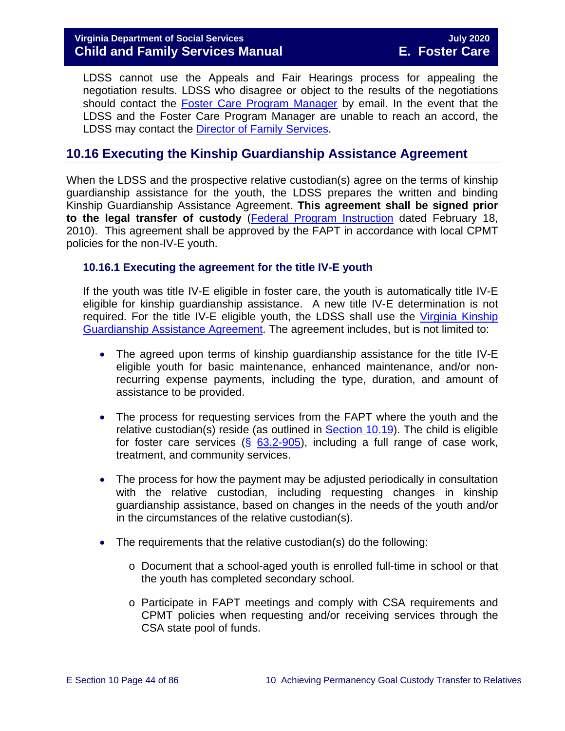LDSS cannot use the Appeals and Fair Hearings process for appealing the negotiation results. LDSS who disagree or object to the results of the negotiations should contact the [Foster Care Program](mailto:traci.jones@dss.virginia.gov) Manager by email. In the event that the LDSS and the Foster Care Program Manager are unable to reach an accord, the LDSS may contact the [Director of Family Services.](mailto:kristin.zagar@dss.virginia.gov)

# **10.16 Executing the Kinship Guardianship Assistance Agreement**

When the LDSS and the prospective relative custodian(s) agree on the terms of kinship guardianship assistance for the youth, the LDSS prepares the written and binding Kinship Guardianship Assistance Agreement. **This agreement shall be signed prior to the legal transfer of custody** [\(Federal Program Instruction](http://www.acf.hhs.gov/programs/cb/laws_policies/policy/pi/2010/pi1001.htm) dated February 18, 2010). This agreement shall be approved by the FAPT in accordance with local CPMT policies for the non-IV-E youth.

### **10.16.1 Executing the agreement for the title IV-E youth**

If the youth was title IV-E eligible in foster care, the youth is automatically title IV-E eligible for kinship guardianship assistance. A new title IV-E determination is not required. For the title IV-E eligible youth, the LDSS shall use the [Virginia Kinship](https://fusion.dss.virginia.gov/Portals/%5Bdfs%5D/Files/DFS%20FORMS/Foster%20Care%20Forms/Virginia%20Kinship%20Guardianship%20%28KinGAP%29%20Agreement.docx)  [Guardianship Assistance](https://fusion.dss.virginia.gov/Portals/%5Bdfs%5D/Files/DFS%20FORMS/Foster%20Care%20Forms/Virginia%20Kinship%20Guardianship%20%28KinGAP%29%20Agreement.docx) Agreement. The agreement includes, but is not limited to:

- The agreed upon terms of kinship guardianship assistance for the title IV-E eligible youth for basic maintenance, enhanced maintenance, and/or nonrecurring expense payments, including the type, duration, and amount of assistance to be provided.
- The process for requesting services from the FAPT where the youth and the relative custodian(s) reside (as outlined in [Section 10.19\)](#page-53-0). The child is eligible for foster care services ( $\S$  [63.2-905\)](https://law.lis.virginia.gov/vacode/63.2-905/), including a full range of case work, treatment, and community services.
- The process for how the payment may be adjusted periodically in consultation with the relative custodian, including requesting changes in kinship guardianship assistance, based on changes in the needs of the youth and/or in the circumstances of the relative custodian(s).
- The requirements that the relative custodian(s) do the following:
	- o Document that a school-aged youth is enrolled full-time in school or that the youth has completed secondary school.
	- o Participate in FAPT meetings and comply with CSA requirements and CPMT policies when requesting and/or receiving services through the CSA state pool of funds.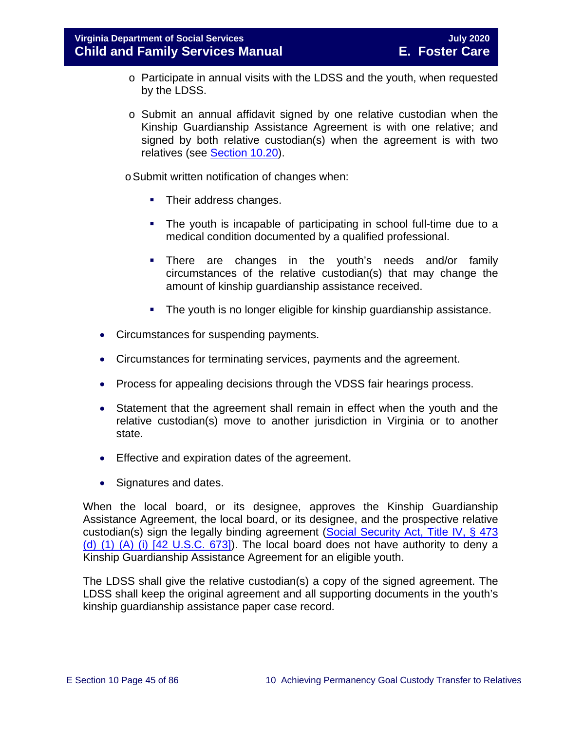- o Participate in annual visits with the LDSS and the youth, when requested by the LDSS.
- o Submit an annual affidavit signed by one relative custodian when the Kinship Guardianship Assistance Agreement is with one relative; and signed by both relative custodian(s) when the agreement is with two relatives (see [Section 10.20\)](#page-55-0).

oSubmit written notification of changes when:

- Their address changes.
- The youth is incapable of participating in school full-time due to a medical condition documented by a qualified professional.
- There are changes in the youth's needs and/or family circumstances of the relative custodian(s) that may change the amount of kinship guardianship assistance received.
- **The youth is no longer eligible for kinship guardianship assistance.**
- Circumstances for suspending payments.
- Circumstances for terminating services, payments and the agreement.
- Process for appealing decisions through the VDSS fair hearings process.
- Statement that the agreement shall remain in effect when the youth and the relative custodian(s) move to another jurisdiction in Virginia or to another state.
- Effective and expiration dates of the agreement.
- Signatures and dates.

When the local board, or its designee, approves the Kinship Guardianship Assistance Agreement, the local board, or its designee, and the prospective relative custodian(s) sign the legally binding agreement (Social Security Act, Title IV, § 473 [\(d\) \(1\) \(A\) \(i\) \[42 U.S.C. 673\]\)](http://www.socialsecurity.gov/OP_Home/ssact/title04/0473.htm). The local board does not have authority to deny a Kinship Guardianship Assistance Agreement for an eligible youth.

The LDSS shall give the relative custodian(s) a copy of the signed agreement. The LDSS shall keep the original agreement and all supporting documents in the youth's kinship guardianship assistance paper case record.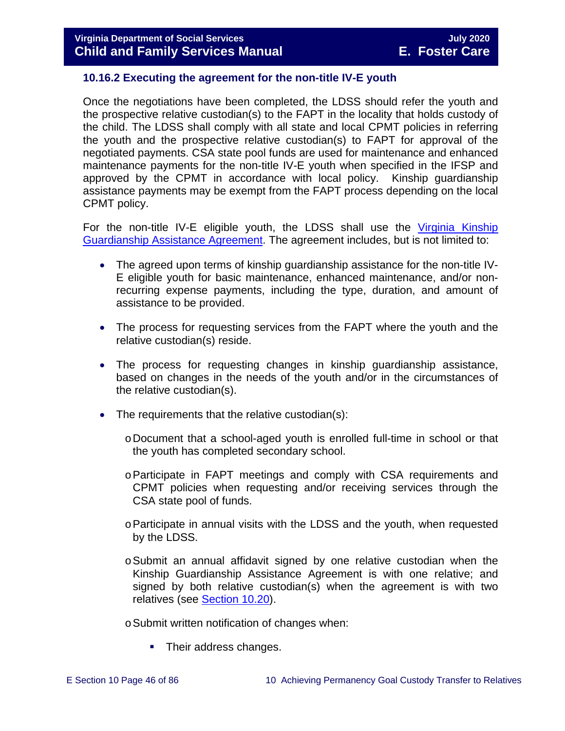### **10.16.2 Executing the agreement for the non-title IV-E youth**

Once the negotiations have been completed, the LDSS should refer the youth and the prospective relative custodian(s) to the FAPT in the locality that holds custody of the child. The LDSS shall comply with all state and local CPMT policies in referring the youth and the prospective relative custodian(s) to FAPT for approval of the negotiated payments. CSA state pool funds are used for maintenance and enhanced maintenance payments for the non-title IV-E youth when specified in the IFSP and approved by the CPMT in accordance with local policy. Kinship guardianship assistance payments may be exempt from the FAPT process depending on the local CPMT policy.

For the non-title IV-E eligible youth, the LDSS shall use the [Virginia Kinship](https://fusion.dss.virginia.gov/Portals/%5Bdfs%5D/Files/DFS%20FORMS/Foster%20Care%20Forms/Virginia%20Kinship%20Guardianship%20%28KinGAP%29%20Agreement.docx)  [Guardianship Assistance Agreement.](https://fusion.dss.virginia.gov/Portals/%5Bdfs%5D/Files/DFS%20FORMS/Foster%20Care%20Forms/Virginia%20Kinship%20Guardianship%20%28KinGAP%29%20Agreement.docx) The agreement includes, but is not limited to:

- The agreed upon terms of kinship guardianship assistance for the non-title IV-E eligible youth for basic maintenance, enhanced maintenance, and/or nonrecurring expense payments, including the type, duration, and amount of assistance to be provided.
- The process for requesting services from the FAPT where the youth and the relative custodian(s) reside.
- The process for requesting changes in kinship guardianship assistance, based on changes in the needs of the youth and/or in the circumstances of the relative custodian(s).
- The requirements that the relative custodian(s):
	- oDocument that a school-aged youth is enrolled full-time in school or that the youth has completed secondary school.
	- oParticipate in FAPT meetings and comply with CSA requirements and CPMT policies when requesting and/or receiving services through the CSA state pool of funds.
	- oParticipate in annual visits with the LDSS and the youth, when requested by the LDSS.
	- $\circ$ Submit an annual affidavit signed by one relative custodian when the Kinship Guardianship Assistance Agreement is with one relative; and signed by both relative custodian(s) when the agreement is with two relatives (see **Section 10.20**).

oSubmit written notification of changes when:

• Their address changes.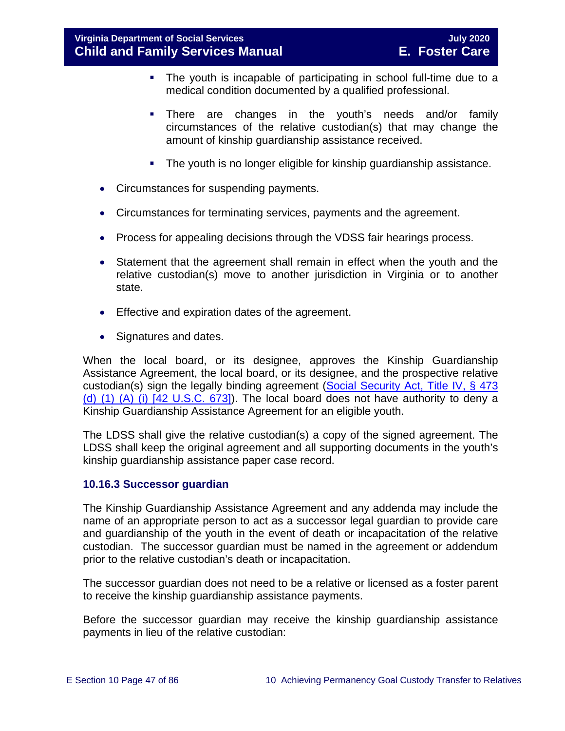- The youth is incapable of participating in school full-time due to a medical condition documented by a qualified professional.
- There are changes in the youth's needs and/or family circumstances of the relative custodian(s) that may change the amount of kinship guardianship assistance received.
- The youth is no longer eligible for kinship guardianship assistance.
- Circumstances for suspending payments.
- Circumstances for terminating services, payments and the agreement.
- Process for appealing decisions through the VDSS fair hearings process.
- Statement that the agreement shall remain in effect when the youth and the relative custodian(s) move to another jurisdiction in Virginia or to another state.
- Effective and expiration dates of the agreement.
- Signatures and dates.

When the local board, or its designee, approves the Kinship Guardianship Assistance Agreement, the local board, or its designee, and the prospective relative custodian(s) sign the legally binding agreement [\(Social Security Act, Title IV, § 473](http://www.socialsecurity.gov/OP_Home/ssact/title04/0473.htm)  [\(d\) \(1\) \(A\) \(i\) \[42 U.S.C. 673\]\)](http://www.socialsecurity.gov/OP_Home/ssact/title04/0473.htm). The local board does not have authority to deny a Kinship Guardianship Assistance Agreement for an eligible youth.

The LDSS shall give the relative custodian(s) a copy of the signed agreement. The LDSS shall keep the original agreement and all supporting documents in the youth's kinship guardianship assistance paper case record.

#### <span id="page-46-0"></span>**10.16.3 Successor guardian**

The Kinship Guardianship Assistance Agreement and any addenda may include the name of an appropriate person to act as a successor legal guardian to provide care and guardianship of the youth in the event of death or incapacitation of the relative custodian. The successor guardian must be named in the agreement or addendum prior to the relative custodian's death or incapacitation.

The successor guardian does not need to be a relative or licensed as a foster parent to receive the kinship guardianship assistance payments.

Before the successor guardian may receive the kinship guardianship assistance payments in lieu of the relative custodian: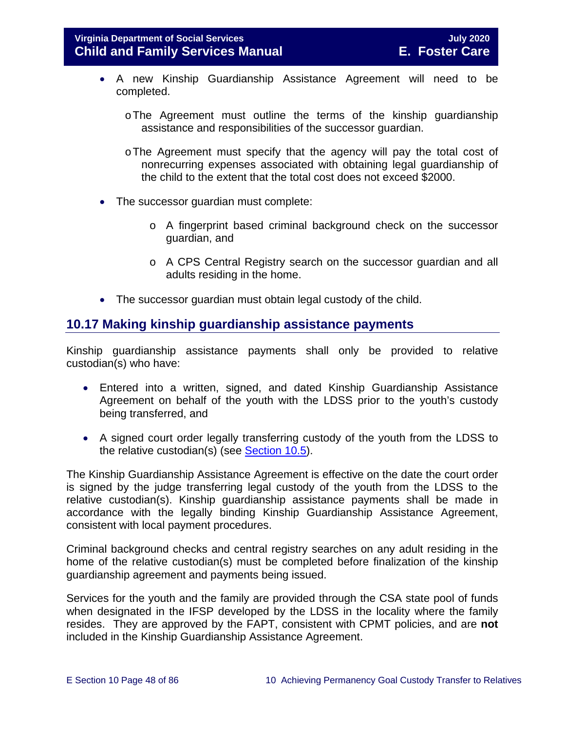- A new Kinship Guardianship Assistance Agreement will need to be completed.
	- oThe Agreement must outline the terms of the kinship guardianship assistance and responsibilities of the successor guardian.
	- oThe Agreement must specify that the agency will pay the total cost of nonrecurring expenses associated with obtaining legal guardianship of the child to the extent that the total cost does not exceed \$2000.
- The successor quardian must complete:
	- o A fingerprint based criminal background check on the successor guardian, and
	- o A CPS Central Registry search on the successor guardian and all adults residing in the home.
- The successor quardian must obtain legal custody of the child.

# **10.17 Making kinship guardianship assistance payments**

Kinship guardianship assistance payments shall only be provided to relative custodian(s) who have:

- Entered into a written, signed, and dated Kinship Guardianship Assistance Agreement on behalf of the youth with the LDSS prior to the youth's custody being transferred, and
- A signed court order legally transferring custody of the youth from the LDSS to the relative custodian(s) (see [Section 10.5\)](#page-15-0).

The Kinship Guardianship Assistance Agreement is effective on the date the court order is signed by the judge transferring legal custody of the youth from the LDSS to the relative custodian(s). Kinship guardianship assistance payments shall be made in accordance with the legally binding Kinship Guardianship Assistance Agreement, consistent with local payment procedures.

Criminal background checks and central registry searches on any adult residing in the home of the relative custodian(s) must be completed before finalization of the kinship guardianship agreement and payments being issued.

Services for the youth and the family are provided through the CSA state pool of funds when designated in the IFSP developed by the LDSS in the locality where the family resides. They are approved by the FAPT, consistent with CPMT policies, and are **not** included in the Kinship Guardianship Assistance Agreement.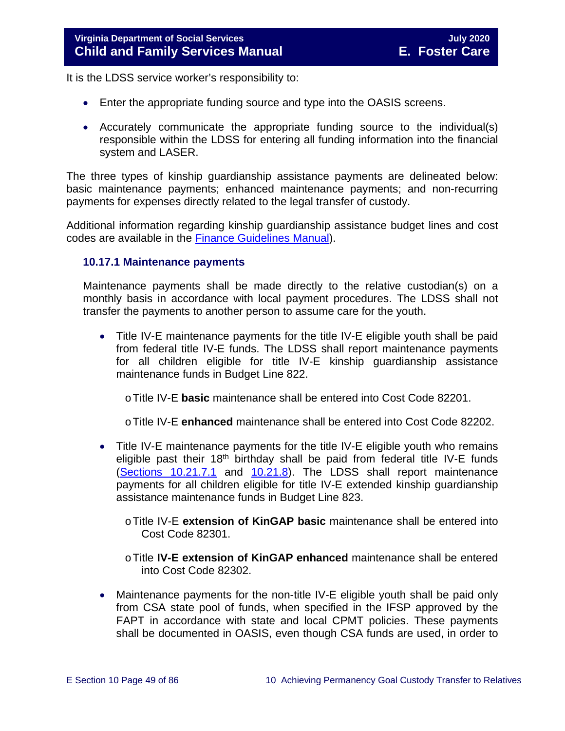It is the LDSS service worker's responsibility to:

- Enter the appropriate funding source and type into the OASIS screens.
- Accurately communicate the appropriate funding source to the individual(s) responsible within the LDSS for entering all funding information into the financial system and LASER.

The three types of kinship guardianship assistance payments are delineated below: basic maintenance payments; enhanced maintenance payments; and non-recurring payments for expenses directly related to the legal transfer of custody.

Additional information regarding kinship guardianship assistance budget lines and cost codes are available in the [Finance Guidelines Manual\)](https://fusion.dss.virginia.gov/dof/DOF-Home/LOCAL-RESOURCES/Finance-Guidelines-Manual-LDSS).

### **10.17.1 Maintenance payments**

Maintenance payments shall be made directly to the relative custodian(s) on a monthly basis in accordance with local payment procedures. The LDSS shall not transfer the payments to another person to assume care for the youth.

• Title IV-E maintenance payments for the title IV-E eligible youth shall be paid from federal title IV-E funds. The LDSS shall report maintenance payments for all children eligible for title IV-E kinship guardianship assistance maintenance funds in Budget Line 822.

oTitle IV-E **basic** maintenance shall be entered into Cost Code 82201.

oTitle IV-E **enhanced** maintenance shall be entered into Cost Code 82202.

- Title IV-E maintenance payments for the title IV-E eligible youth who remains eligible past their  $18<sup>th</sup>$  birthday shall be paid from federal title IV-E funds (Sections [10.21.7.1](#page-63-0) and [10.21.8\)](#page-64-0). The LDSS shall report maintenance payments for all children eligible for title IV-E extended kinship guardianship assistance maintenance funds in Budget Line 823.
	- oTitle IV-E **extension of KinGAP basic** maintenance shall be entered into Cost Code 82301.
	- oTitle **IV-E extension of KinGAP enhanced** maintenance shall be entered into Cost Code 82302.
- Maintenance payments for the non-title IV-E eligible youth shall be paid only from CSA state pool of funds, when specified in the IFSP approved by the FAPT in accordance with state and local CPMT policies. These payments shall be documented in OASIS, even though CSA funds are used, in order to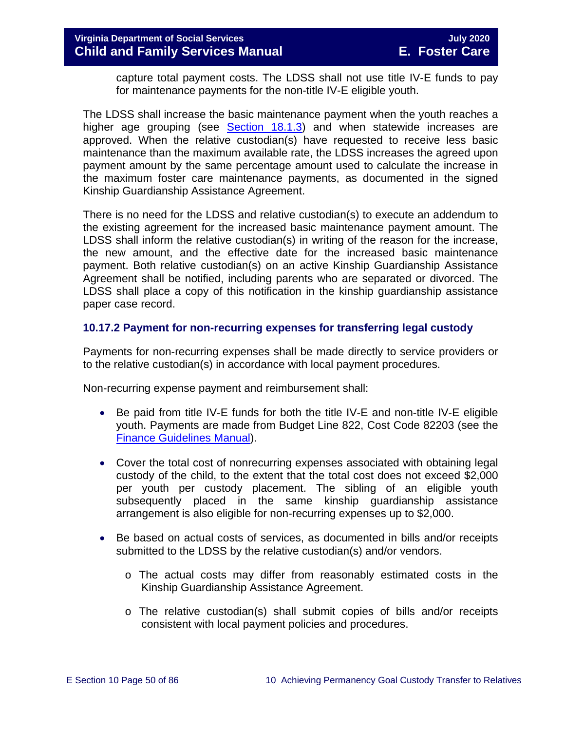capture total payment costs. The LDSS shall not use title IV-E funds to pay for maintenance payments for the non-title IV-E eligible youth.

The LDSS shall increase the basic maintenance payment when the youth reaches a higher age grouping (see [Section 18.1.3\)](https://fusion.dss.virginia.gov/Portals/%5bdfs%5d/Files/DFS%20Manuals/Foster%20Care%20Manuals/Foster%20Care%20Manual%2007-2020/Final%20Foster%20Care%20Manual%2007-2020/section_18_funding_maintenance_costs.pdf#page=4) and when statewide increases are approved. When the relative custodian(s) have requested to receive less basic maintenance than the maximum available rate, the LDSS increases the agreed upon payment amount by the same percentage amount used to calculate the increase in the maximum foster care maintenance payments, as documented in the signed Kinship Guardianship Assistance Agreement.

There is no need for the LDSS and relative custodian(s) to execute an addendum to the existing agreement for the increased basic maintenance payment amount. The LDSS shall inform the relative custodian(s) in writing of the reason for the increase, the new amount, and the effective date for the increased basic maintenance payment. Both relative custodian(s) on an active Kinship Guardianship Assistance Agreement shall be notified, including parents who are separated or divorced. The LDSS shall place a copy of this notification in the kinship guardianship assistance paper case record.

### **10.17.2 Payment for non-recurring expenses for transferring legal custody**

Payments for non-recurring expenses shall be made directly to service providers or to the relative custodian(s) in accordance with local payment procedures.

Non-recurring expense payment and reimbursement shall:

- Be paid from title IV-E funds for both the title IV-E and non-title IV-E eligible youth. Payments are made from Budget Line 822, Cost Code 82203 (see the [Finance Guidelines Manual\)](https://fusion.dss.virginia.gov/dof/DOF-Home/LOCAL-RESOURCES/Finance-Guidelines-Manual-LDSS).
- Cover the total cost of nonrecurring expenses associated with obtaining legal custody of the child, to the extent that the total cost does not exceed \$2,000 per youth per custody placement. The sibling of an eligible youth subsequently placed in the same kinship guardianship assistance arrangement is also eligible for non-recurring expenses up to \$2,000.
- Be based on actual costs of services, as documented in bills and/or receipts submitted to the LDSS by the relative custodian(s) and/or vendors.
	- o The actual costs may differ from reasonably estimated costs in the Kinship Guardianship Assistance Agreement.
	- $\circ$  The relative custodian(s) shall submit copies of bills and/or receipts consistent with local payment policies and procedures.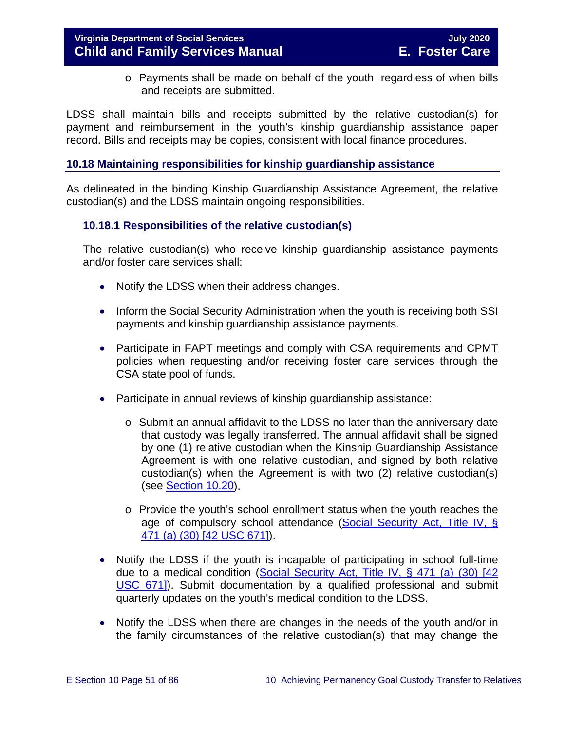## **Virginia Department of Social Services July 2020 Child and Family Services Manual**

o Payments shall be made on behalf of the youth regardless of when bills and receipts are submitted.

LDSS shall maintain bills and receipts submitted by the relative custodian(s) for payment and reimbursement in the youth's kinship guardianship assistance paper record. Bills and receipts may be copies, consistent with local finance procedures.

### **10.18 Maintaining responsibilities for kinship guardianship assistance**

As delineated in the binding Kinship Guardianship Assistance Agreement, the relative custodian(s) and the LDSS maintain ongoing responsibilities.

### **10.18.1 Responsibilities of the relative custodian(s)**

The relative custodian(s) who receive kinship guardianship assistance payments and/or foster care services shall:

- Notify the LDSS when their address changes.
- Inform the Social Security Administration when the youth is receiving both SSI payments and kinship guardianship assistance payments.
- Participate in FAPT meetings and comply with CSA requirements and CPMT policies when requesting and/or receiving foster care services through the CSA state pool of funds.
- Participate in annual reviews of kinship guardianship assistance:
	- o Submit an annual affidavit to the LDSS no later than the anniversary date that custody was legally transferred. The annual affidavit shall be signed by one (1) relative custodian when the Kinship Guardianship Assistance Agreement is with one relative custodian, and signed by both relative custodian(s) when the Agreement is with two (2) relative custodian(s) (see [Section 10.20\)](#page-55-0).
	- o Provide the youth's school enrollment status when the youth reaches the age of compulsory school attendance [\(Social Security Act, Title IV, §](http://www.socialsecurity.gov/OP_Home/ssact/title04/0471.htm)  [471 \(a\) \(30\) \[42 USC 671\]\)](http://www.socialsecurity.gov/OP_Home/ssact/title04/0471.htm).
- Notify the LDSS if the youth is incapable of participating in school full-time due to a medical condition (Social Security Act, Title IV, § 471 (a) (30) [42 [USC 671\]\)](http://www.socialsecurity.gov/OP_Home/ssact/title04/0471.htm). Submit documentation by a qualified professional and submit quarterly updates on the youth's medical condition to the LDSS.
- Notify the LDSS when there are changes in the needs of the youth and/or in the family circumstances of the relative custodian(s) that may change the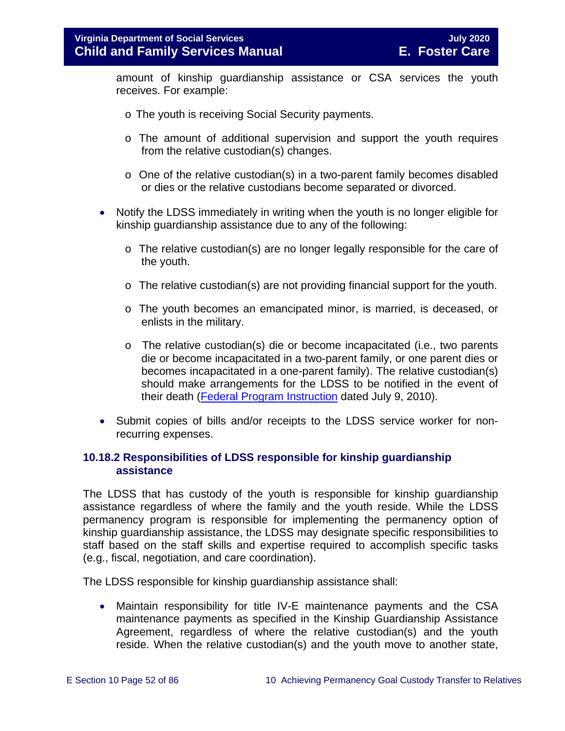amount of kinship guardianship assistance or CSA services the youth receives. For example:

- o The youth is receiving Social Security payments.
- o The amount of additional supervision and support the youth requires from the relative custodian(s) changes.
- o One of the relative custodian(s) in a two-parent family becomes disabled or dies or the relative custodians become separated or divorced.
- Notify the LDSS immediately in writing when the youth is no longer eligible for kinship guardianship assistance due to any of the following:
	- o The relative custodian(s) are no longer legally responsible for the care of the youth.
	- o The relative custodian(s) are not providing financial support for the youth.
	- o The youth becomes an emancipated minor, is married, is deceased, or enlists in the military.
	- o The relative custodian(s) die or become incapacitated (i.e., two parents die or become incapacitated in a two-parent family, or one parent dies or becomes incapacitated in a one-parent family). The relative custodian(s) should make arrangements for the LDSS to be notified in the event of their death [\(Federal Program Instruction](http://www.acf.hhs.gov/programs/cb/laws_policies/policy/pi/2010/pi1011.htm#sectd) dated July 9, 2010).
- Submit copies of bills and/or receipts to the LDSS service worker for nonrecurring expenses.

### <span id="page-51-0"></span>**10.18.2 Responsibilities of LDSS responsible for kinship guardianship assistance**

The LDSS that has custody of the youth is responsible for kinship guardianship assistance regardless of where the family and the youth reside. While the LDSS permanency program is responsible for implementing the permanency option of kinship guardianship assistance, the LDSS may designate specific responsibilities to staff based on the staff skills and expertise required to accomplish specific tasks (e.g., fiscal, negotiation, and care coordination).

The LDSS responsible for kinship guardianship assistance shall:

• Maintain responsibility for title IV-E maintenance payments and the CSA maintenance payments as specified in the Kinship Guardianship Assistance Agreement, regardless of where the relative custodian(s) and the youth reside. When the relative custodian(s) and the youth move to another state,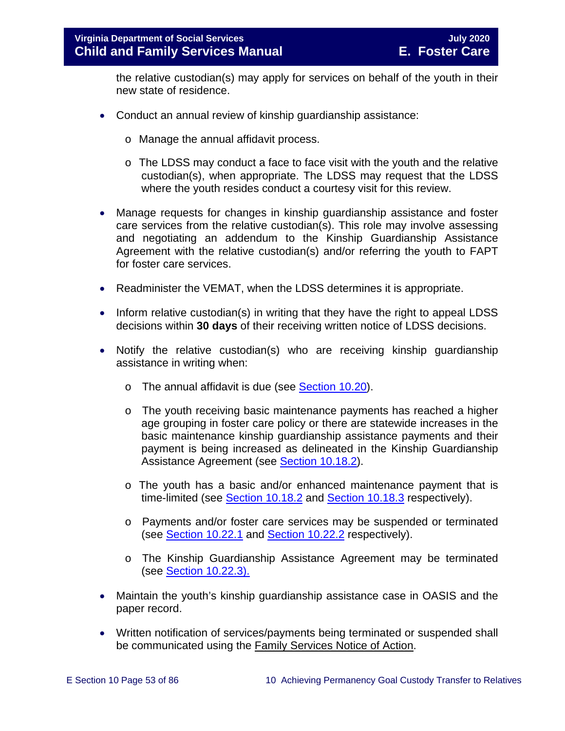the relative custodian(s) may apply for services on behalf of the youth in their new state of residence.

- Conduct an annual review of kinship guardianship assistance:
	- o Manage the annual affidavit process.
	- o The LDSS may conduct a face to face visit with the youth and the relative custodian(s), when appropriate. The LDSS may request that the LDSS where the youth resides conduct a courtesy visit for this review.
- Manage requests for changes in kinship guardianship assistance and foster care services from the relative custodian(s). This role may involve assessing and negotiating an addendum to the Kinship Guardianship Assistance Agreement with the relative custodian(s) and/or referring the youth to FAPT for foster care services.
- Readminister the VEMAT, when the LDSS determines it is appropriate.
- Inform relative custodian(s) in writing that they have the right to appeal LDSS decisions within **30 days** of their receiving written notice of LDSS decisions.
- Notify the relative custodian(s) who are receiving kinship guardianship assistance in writing when:
	- o The annual affidavit is due (see [Section 10.20\)](#page-55-0).
	- o The youth receiving basic maintenance payments has reached a higher age grouping in foster care policy or there are statewide increases in the basic maintenance kinship guardianship assistance payments and their payment is being increased as delineated in the Kinship Guardianship Assistance Agreement (see [Section 10.18.2\)](#page-51-0).
	- o The youth has a basic and/or enhanced maintenance payment that is time-limited (see [Section 10.18.2](#page-51-0) and [Section 10.18.3](#page-51-0) respectively).
	- o Payments and/or foster care services may be suspended or terminated (see [Section 10.22.1](#page-67-0) and [Section 10.22.2](#page-68-0) respectively).
	- o The Kinship Guardianship Assistance Agreement may be terminated (see [Section 10.22.3\).](#page-69-0)
- Maintain the youth's kinship guardianship assistance case in OASIS and the paper record.
- Written notification of services/payments being terminated or suspended shall be communicated using the Family Services Notice of Action.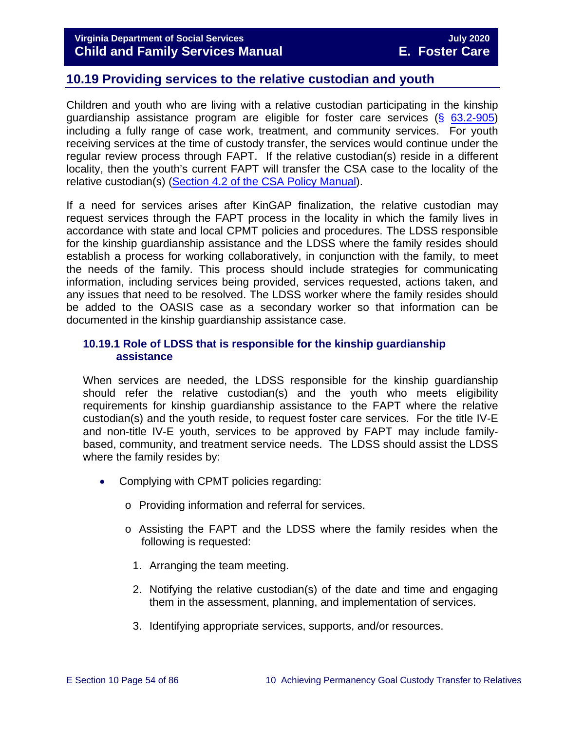# <span id="page-53-0"></span>**10.19 Providing services to the relative custodian and youth**

Children and youth who are living with a relative custodian participating in the kinship guardianship assistance program are eligible for foster care services  $(S$  [63.2-905\)](https://law.lis.virginia.gov/vacode/63.2-905/) including a fully range of case work, treatment, and community services. For youth receiving services at the time of custody transfer, the services would continue under the regular review process through FAPT. If the relative custodian(s) reside in a different locality, then the youth's current FAPT will transfer the CSA case to the locality of the relative custodian(s) [\(Section 4.2 of the CSA Policy Manual\)](https://www.csa.virginia.gov/content/doc/CSA_Policy_Manual_2019_revision.pdf#page=43).

If a need for services arises after KinGAP finalization, the relative custodian may request services through the FAPT process in the locality in which the family lives in accordance with state and local CPMT policies and procedures. The LDSS responsible for the kinship guardianship assistance and the LDSS where the family resides should establish a process for working collaboratively, in conjunction with the family, to meet the needs of the family. This process should include strategies for communicating information, including services being provided, services requested, actions taken, and any issues that need to be resolved. The LDSS worker where the family resides should be added to the OASIS case as a secondary worker so that information can be documented in the kinship guardianship assistance case.

### **10.19.1 Role of LDSS that is responsible for the kinship guardianship assistance**

When services are needed, the LDSS responsible for the kinship guardianship should refer the relative custodian(s) and the youth who meets eligibility requirements for kinship guardianship assistance to the FAPT where the relative custodian(s) and the youth reside, to request foster care services. For the title IV-E and non-title IV-E youth, services to be approved by FAPT may include familybased, community, and treatment service needs. The LDSS should assist the LDSS where the family resides by:

- Complying with CPMT policies regarding:
	- o Providing information and referral for services.
	- o Assisting the FAPT and the LDSS where the family resides when the following is requested:
		- 1. Arranging the team meeting.
		- 2. Notifying the relative custodian(s) of the date and time and engaging them in the assessment, planning, and implementation of services.
		- 3. Identifying appropriate services, supports, and/or resources.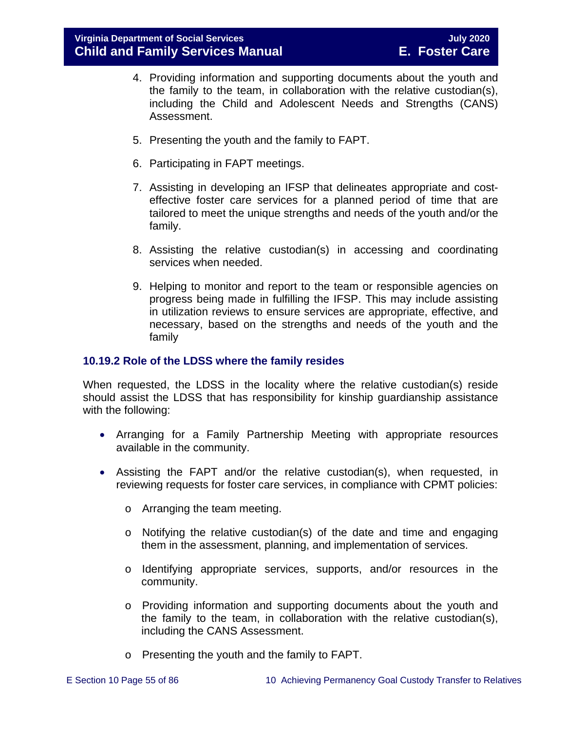- 4. Providing information and supporting documents about the youth and the family to the team, in collaboration with the relative custodian(s), including the Child and Adolescent Needs and Strengths (CANS) Assessment.
- 5. Presenting the youth and the family to FAPT.
- 6. Participating in FAPT meetings.
- 7. Assisting in developing an IFSP that delineates appropriate and costeffective foster care services for a planned period of time that are tailored to meet the unique strengths and needs of the youth and/or the family.
- 8. Assisting the relative custodian(s) in accessing and coordinating services when needed.
- 9. Helping to monitor and report to the team or responsible agencies on progress being made in fulfilling the IFSP. This may include assisting in utilization reviews to ensure services are appropriate, effective, and necessary, based on the strengths and needs of the youth and the family

### **10.19.2 Role of the LDSS where the family resides**

When requested, the LDSS in the locality where the relative custodian(s) reside should assist the LDSS that has responsibility for kinship guardianship assistance with the following:

- Arranging for a Family Partnership Meeting with appropriate resources available in the community.
- Assisting the FAPT and/or the relative custodian(s), when requested, in reviewing requests for foster care services, in compliance with CPMT policies:
	- o Arranging the team meeting.
	- o Notifying the relative custodian(s) of the date and time and engaging them in the assessment, planning, and implementation of services.
	- o Identifying appropriate services, supports, and/or resources in the community.
	- o Providing information and supporting documents about the youth and the family to the team, in collaboration with the relative custodian(s), including the CANS Assessment.
	- o Presenting the youth and the family to FAPT.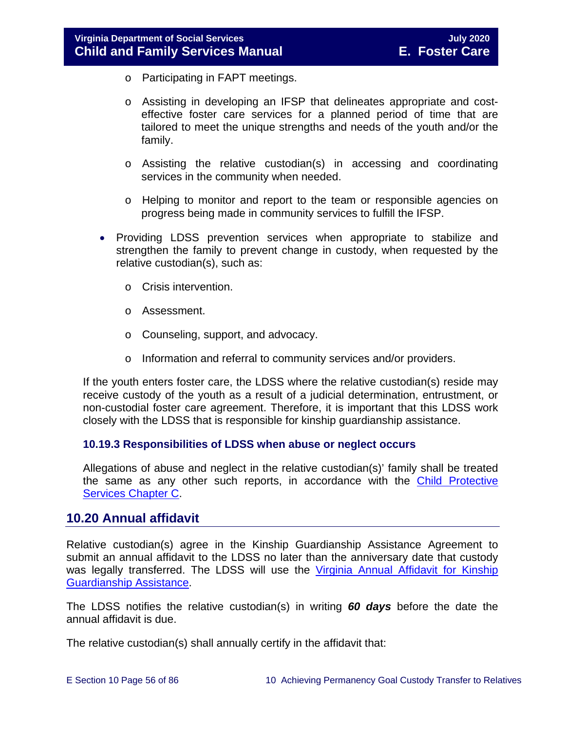- o Participating in FAPT meetings.
- o Assisting in developing an IFSP that delineates appropriate and costeffective foster care services for a planned period of time that are tailored to meet the unique strengths and needs of the youth and/or the family.
- o Assisting the relative custodian(s) in accessing and coordinating services in the community when needed.
- o Helping to monitor and report to the team or responsible agencies on progress being made in community services to fulfill the IFSP.
- Providing LDSS prevention services when appropriate to stabilize and strengthen the family to prevent change in custody, when requested by the relative custodian(s), such as:
	- o Crisis intervention.
	- o Assessment.
	- o Counseling, support, and advocacy.
	- o Information and referral to community services and/or providers.

If the youth enters foster care, the LDSS where the relative custodian(s) reside may receive custody of the youth as a result of a judicial determination, entrustment, or non-custodial foster care agreement. Therefore, it is important that this LDSS work closely with the LDSS that is responsible for kinship guardianship assistance.

## **10.19.3 Responsibilities of LDSS when abuse or neglect occurs**

Allegations of abuse and neglect in the relative custodian(s)' family shall be treated the same as any other such reports, in accordance with the Child Protective [Services Chapter C.](https://fusion.dss.virginia.gov/Portals/%5Bdfs%5D/Files/DFS%20Manuals/CPS%20Manuals/Manual--2020/section_3_complaints_reports%20July%202020.pdf)

# <span id="page-55-0"></span>**10.20 Annual affidavit**

Relative custodian(s) agree in the Kinship Guardianship Assistance Agreement to submit an annual affidavit to the LDSS no later than the anniversary date that custody was legally transferred. The LDSS will use the [Virginia Annual Affidavit for Kinship](https://fusion.dss.virginia.gov/Portals/%5bdfs%5d/Files/DFS%20FORMS/Foster%20Care%20Forms/Annual%20Affidavit%20for%20Kinship%20Guardianship%20Assistance.pdf)  [Guardianship](https://fusion.dss.virginia.gov/Portals/%5bdfs%5d/Files/DFS%20FORMS/Foster%20Care%20Forms/Annual%20Affidavit%20for%20Kinship%20Guardianship%20Assistance.pdf) Assistance.

The LDSS notifies the relative custodian(s) in writing *60 days* before the date the annual affidavit is due.

The relative custodian(s) shall annually certify in the affidavit that: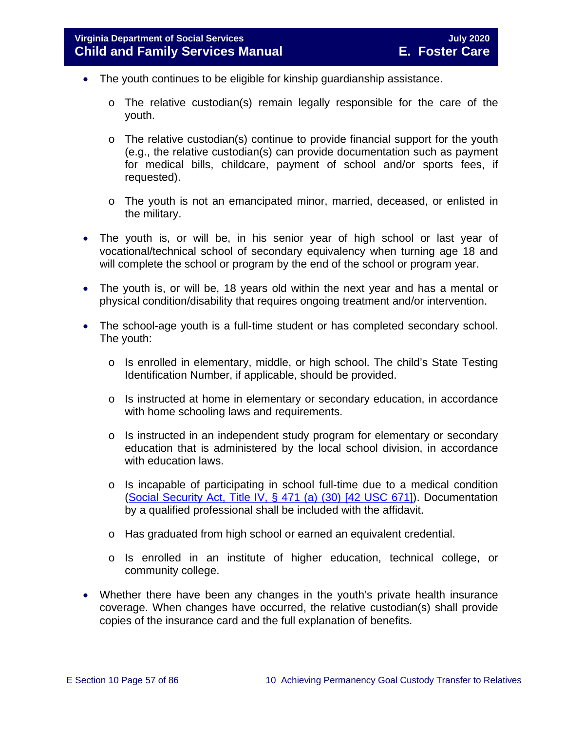- The youth continues to be eligible for kinship quardianship assistance.
	- o The relative custodian(s) remain legally responsible for the care of the youth.
	- $\circ$  The relative custodian(s) continue to provide financial support for the youth (e.g., the relative custodian(s) can provide documentation such as payment for medical bills, childcare, payment of school and/or sports fees, if requested).
	- o The youth is not an emancipated minor, married, deceased, or enlisted in the military.
- The youth is, or will be, in his senior year of high school or last year of vocational/technical school of secondary equivalency when turning age 18 and will complete the school or program by the end of the school or program year.
- The youth is, or will be, 18 years old within the next year and has a mental or physical condition/disability that requires ongoing treatment and/or intervention.
- The school-age youth is a full-time student or has completed secondary school. The youth:
	- o Is enrolled in elementary, middle, or high school. The child's State Testing Identification Number, if applicable, should be provided.
	- o Is instructed at home in elementary or secondary education, in accordance with home schooling laws and requirements.
	- $\circ$  Is instructed in an independent study program for elementary or secondary education that is administered by the local school division, in accordance with education laws.
	- o Is incapable of participating in school full-time due to a medical condition [\(Social Security Act, Title IV, § 471 \(a\) \(30\) \[42 USC 671\]\)](http://www.socialsecurity.gov/OP_Home/ssact/title04/0471.htm). Documentation by a qualified professional shall be included with the affidavit.
	- o Has graduated from high school or earned an equivalent credential.
	- o Is enrolled in an institute of higher education, technical college, or community college.
- Whether there have been any changes in the youth's private health insurance coverage. When changes have occurred, the relative custodian(s) shall provide copies of the insurance card and the full explanation of benefits.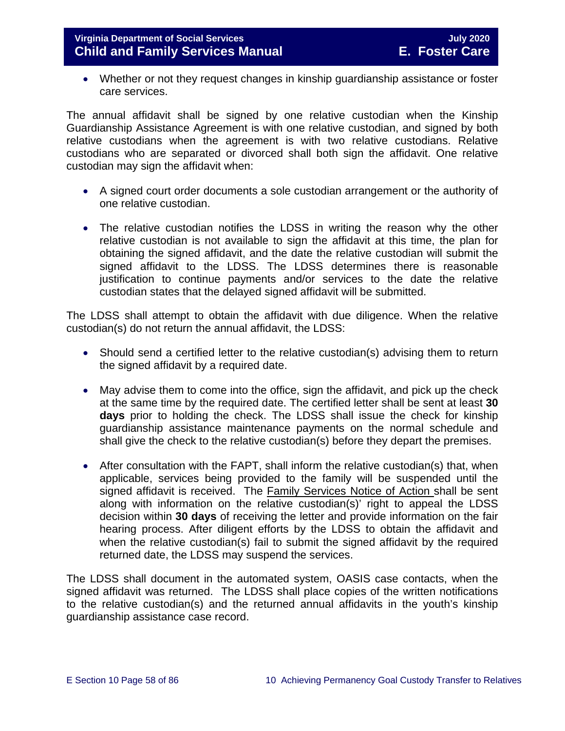• Whether or not they request changes in kinship guardianship assistance or foster care services.

The annual affidavit shall be signed by one relative custodian when the Kinship Guardianship Assistance Agreement is with one relative custodian, and signed by both relative custodians when the agreement is with two relative custodians. Relative custodians who are separated or divorced shall both sign the affidavit. One relative custodian may sign the affidavit when:

- A signed court order documents a sole custodian arrangement or the authority of one relative custodian.
- The relative custodian notifies the LDSS in writing the reason why the other relative custodian is not available to sign the affidavit at this time, the plan for obtaining the signed affidavit, and the date the relative custodian will submit the signed affidavit to the LDSS. The LDSS determines there is reasonable justification to continue payments and/or services to the date the relative custodian states that the delayed signed affidavit will be submitted.

The LDSS shall attempt to obtain the affidavit with due diligence. When the relative custodian(s) do not return the annual affidavit, the LDSS:

- Should send a certified letter to the relative custodian(s) advising them to return the signed affidavit by a required date.
- May advise them to come into the office, sign the affidavit, and pick up the check at the same time by the required date. The certified letter shall be sent at least **30 days** prior to holding the check. The LDSS shall issue the check for kinship guardianship assistance maintenance payments on the normal schedule and shall give the check to the relative custodian(s) before they depart the premises.
- After consultation with the FAPT, shall inform the relative custodian(s) that, when applicable, services being provided to the family will be suspended until the signed affidavit is received. The Family Services Notice of Action shall be sent along with information on the relative custodian(s)' right to appeal the LDSS decision within **30 days** of receiving the letter and provide information on the fair hearing process. After diligent efforts by the LDSS to obtain the affidavit and when the relative custodian(s) fail to submit the signed affidavit by the required returned date, the LDSS may suspend the services.

The LDSS shall document in the automated system, OASIS case contacts, when the signed affidavit was returned. The LDSS shall place copies of the written notifications to the relative custodian(s) and the returned annual affidavits in the youth's kinship guardianship assistance case record.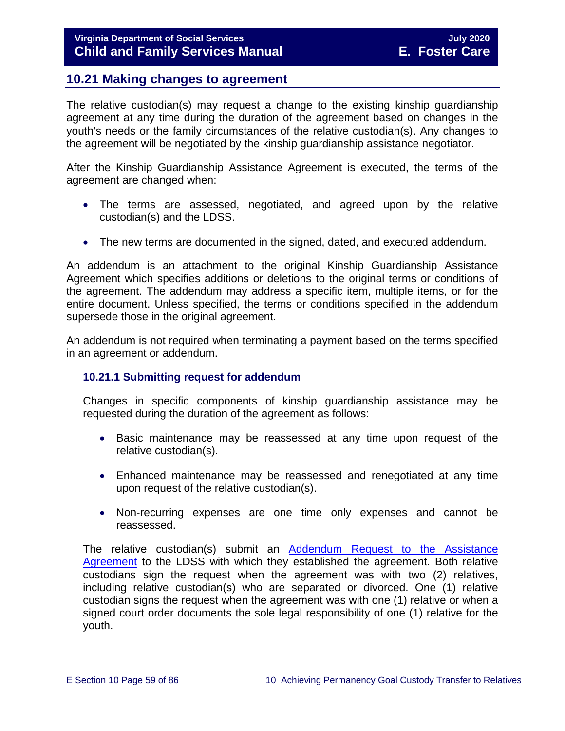# **10.21 Making changes to agreement**

The relative custodian(s) may request a change to the existing kinship guardianship agreement at any time during the duration of the agreement based on changes in the youth's needs or the family circumstances of the relative custodian(s). Any changes to the agreement will be negotiated by the kinship guardianship assistance negotiator.

After the Kinship Guardianship Assistance Agreement is executed, the terms of the agreement are changed when:

- The terms are assessed, negotiated, and agreed upon by the relative custodian(s) and the LDSS.
- The new terms are documented in the signed, dated, and executed [addendum.](http://www.dss.virginia.gov/family/ap/index.cgi)

An addendum is an attachment to the original Kinship Guardianship Assistance Agreement which specifies additions or deletions to the original terms or conditions of the agreement. The addendum may address a specific item, multiple items, or for the entire document. Unless specified, the terms or conditions specified in the addendum supersede those in the original agreement.

An addendum is not required when terminating a payment based on the terms specified in an agreement or addendum.

#### **10.21.1 Submitting request for addendum**

Changes in specific components of kinship guardianship assistance may be requested during the duration of the agreement as follows:

- Basic maintenance may be reassessed at any time upon request of the relative custodian(s).
- Enhanced maintenance may be reassessed and renegotiated at any time upon request of the relative custodian(s).
- Non-recurring expenses are one time only expenses and cannot be reassessed.

The relative custodian(s) submit an [Addendum Request to the Assistance](https://fusion.dss.virginia.gov/Portals/%5Bdfs%5D/Files/DFS%20FORMS/Family%20Services-Generic%20Forms/Addendum%20Request%20to%20the%20Assistance%20Agreement.pdf)  [Agreement](https://fusion.dss.virginia.gov/Portals/%5Bdfs%5D/Files/DFS%20FORMS/Family%20Services-Generic%20Forms/Addendum%20Request%20to%20the%20Assistance%20Agreement.pdf) to the LDSS with which they established the agreement. Both relative custodians sign the request when the agreement was with two (2) relatives, including relative custodian(s) who are separated or divorced. One (1) relative custodian signs the request when the agreement was with one (1) relative or when a signed court order documents the sole legal responsibility of one (1) relative for the youth.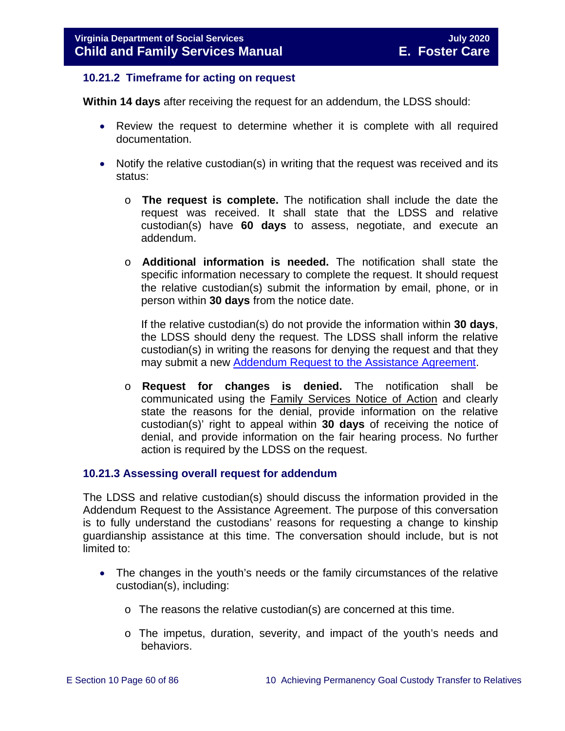### **10.21.2 Timeframe for acting on request**

**Within 14 days** after receiving the request for an addendum, the LDSS should:

- Review the request to determine whether it is complete with all required documentation.
- Notify the relative custodian(s) in writing that the request was received and its status:
	- o **The request is complete.** The notification shall include the date the request was received. It shall state that the LDSS and relative custodian(s) have **60 days** to assess, negotiate, and execute an addendum.
	- o **Additional information is needed.** The notification shall state the specific information necessary to complete the request. It should request the relative custodian(s) submit the information by email, phone, or in person within **30 days** from the notice date.

If the relative custodian(s) do not provide the information within **30 days**, the LDSS should deny the request. The LDSS shall inform the relative custodian(s) in writing the reasons for denying the request and that they may submit a new [Addendum Request to the Assistance Agreement.](https://fusion.dss.virginia.gov/Portals/%5Bdfs%5D/Files/DFS%20FORMS/Family%20Services-Generic%20Forms/Addendum%20Request%20to%20the%20Assistance%20Agreement.pdf)

o **Request for changes is denied.** The notification shall be communicated using the Family Services Notice of Action and clearly state the reasons for the denial, provide information on the relative custodian(s)' right to appeal within **30 days** of receiving the notice of denial, and provide information on the fair hearing process. No further action is required by the LDSS on the request.

## **10.21.3 Assessing overall request for addendum**

The LDSS and relative custodian(s) should discuss the information provided in the Addendum Request to the Assistance Agreement. The purpose of this conversation is to fully understand the custodians' reasons for requesting a change to kinship guardianship assistance at this time. The conversation should include, but is not limited to:

- The changes in the youth's needs or the family circumstances of the relative custodian(s), including:
	- o The reasons the relative custodian(s) are concerned at this time.
	- o The impetus, duration, severity, and impact of the youth's needs and behaviors.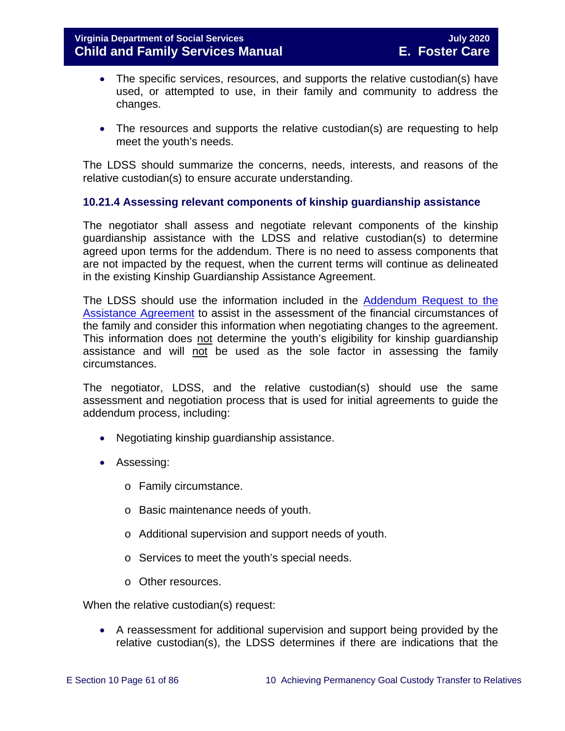- The specific services, resources, and supports the relative custodian(s) have used, or attempted to use, in their family and community to address the changes.
- The resources and supports the relative custodian(s) are requesting to help meet the youth's needs.

The LDSS should summarize the concerns, needs, interests, and reasons of the relative custodian(s) to ensure accurate understanding.

## **10.21.4 Assessing relevant components of kinship guardianship assistance**

The negotiator shall assess and negotiate relevant components of the kinship guardianship assistance with the LDSS and relative custodian(s) to determine agreed upon terms for the addendum. There is no need to assess components that are not impacted by the request, when the current terms will continue as delineated in the existing Kinship Guardianship Assistance Agreement.

The LDSS should use the information included in the [Addendum](https://fusion.dss.virginia.gov/Portals/%5Bdfs%5D/Files/DFS%20FORMS/Family%20Services-Generic%20Forms/Addendum%20Request%20to%20the%20Assistance%20Agreement.pdf) Request to the Assistance Agreement to assist in the assessment of the financial circumstances of the family and consider this information when negotiating changes to the agreement. This information does not determine the youth's eligibility for kinship guardianship assistance and will not be used as the sole factor in assessing the family circumstances.

The negotiator, LDSS, and the relative custodian(s) should use the same assessment and negotiation process that is used for initial agreements to guide the addendum process, including:

- Negotiating kinship guardianship assistance.
- Assessing:
	- o Family circumstance.
	- o Basic maintenance needs of youth.
	- o Additional supervision and support needs of youth.
	- o Services to meet the youth's special needs.
	- o Other resources.

When the relative custodian(s) request:

• A reassessment for additional supervision and support being provided by the relative custodian(s), the LDSS determines if there are indications that the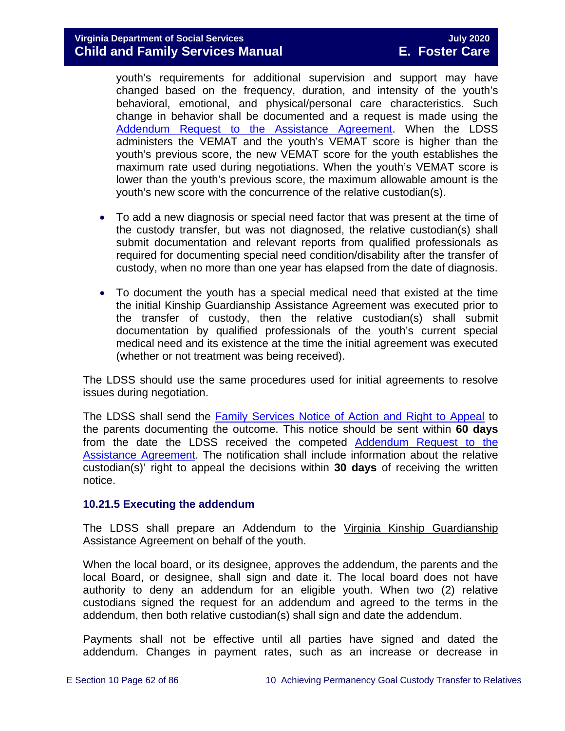# **Virginia Department of Social Services July 2020 Child and Family Services Manual**

youth's requirements for additional supervision and support may have changed based on the frequency, duration, and intensity of the youth's behavioral, emotional, and physical/personal care characteristics. Such change in behavior shall be documented and a request is made using the [Addendum Request to the Assistance Agreement.](https://fusion.dss.virginia.gov/Portals/%5Bdfs%5D/Files/DFS%20FORMS/Family%20Services-Generic%20Forms/Addendum%20Request%20to%20the%20Assistance%20Agreement.pdf) When the LDSS administers the VEMAT and the youth's VEMAT score is higher than the youth's previous score, the new VEMAT score for the youth establishes the maximum rate used during negotiations. When the youth's VEMAT score is lower than the youth's previous score, the maximum allowable amount is the youth's new score with the concurrence of the relative custodian(s).

- To add a new diagnosis or special need factor that was present at the time of the custody transfer, but was not diagnosed, the relative custodian(s) shall submit documentation and relevant reports from qualified professionals as required for documenting special need condition/disability after the transfer of custody, when no more than one year has elapsed from the date of diagnosis.
- To document the youth has a special medical need that existed at the time the initial Kinship Guardianship Assistance Agreement was executed prior to the transfer of custody, then the relative custodian(s) shall submit documentation by qualified professionals of the youth's current special medical need and its existence at the time the initial agreement was executed (whether or not treatment was being received).

The LDSS should use the same procedures used for initial agreements to resolve issues during negotiation.

The LDSS shall send the [Family Services Notice of Action and Right to Appeal](http://www.dss.virginia.gov/files/division/dfs/ap/intro_page/forms/032-02-0669-00-eng.pdf) to the parents documenting the outcome. This notice should be sent within **60 days**  from the date the LDSS received the competed [Addendum Request to the](https://fusion.dss.virginia.gov/Portals/%5Bdfs%5D/Files/DFS%20FORMS/Family%20Services-Generic%20Forms/Addendum%20Request%20to%20the%20Assistance%20Agreement.pdf)  [Assistance Agreement.](https://fusion.dss.virginia.gov/Portals/%5Bdfs%5D/Files/DFS%20FORMS/Family%20Services-Generic%20Forms/Addendum%20Request%20to%20the%20Assistance%20Agreement.pdf) The notification shall include information about the relative custodian(s)' right to appeal the decisions within **30 days** of receiving the written notice.

#### **10.21.5 Executing the addendum**

The LDSS shall prepare an Addendum to the Virginia Kinship Guardianship Assistance Agreement on behalf of the youth.

When the local board, or its designee, approves the addendum, the parents and the local Board, or designee, shall sign and date it. The local board does not have authority to deny an addendum for an eligible youth. When two (2) relative custodians signed the request for an addendum and agreed to the terms in the addendum, then both relative custodian(s) shall sign and date the addendum.

Payments shall not be effective until all parties have signed and dated the addendum. Changes in payment rates, such as an increase or decrease in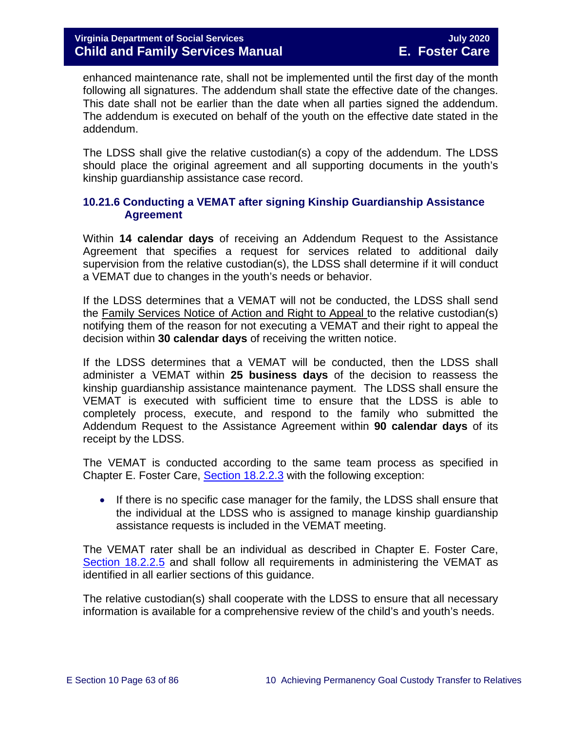enhanced maintenance rate, shall not be implemented until the first day of the month following all signatures. The addendum shall state the effective date of the changes. This date shall not be earlier than the date when all parties signed the addendum. The addendum is executed on behalf of the youth on the effective date stated in the addendum.

The LDSS shall give the relative custodian(s) a copy of the addendum. The LDSS should place the original agreement and all supporting documents in the youth's kinship guardianship assistance case record.

## **10.21.6 Conducting a VEMAT after signing Kinship Guardianship Assistance Agreement**

Within **14 calendar days** of receiving an Addendum Request to the Assistance Agreement that specifies a request for services related to additional daily supervision from the relative custodian(s), the LDSS shall determine if it will conduct a VEMAT due to changes in the youth's needs or behavior.

If the LDSS determines that a VEMAT will not be conducted, the LDSS shall send the Family Services Notice of Action and Right to Appeal to the relative custodian(s) notifying them of the reason for not executing a VEMAT and their right to appeal the decision within **30 calendar days** of receiving the written notice.

If the LDSS determines that a VEMAT will be conducted, then the LDSS shall administer a VEMAT within **25 business days** of the decision to reassess the kinship guardianship assistance maintenance payment. The LDSS shall ensure the VEMAT is executed with sufficient time to ensure that the LDSS is able to completely process, execute, and respond to the family who submitted the Addendum Request to the Assistance Agreement within **90 calendar days** of its receipt by the LDSS.

The VEMAT is conducted according to the same team process as specified in Chapter E. Foster Care, [Section 18.2.2.3](https://fusion.dss.virginia.gov/Portals/%5bdfs%5d/Files/DFS%20Manuals/Foster%20Care%20Manuals/Foster%20Care%20Manual%2007-2020/Final%20Foster%20Care%20Manual%2007-2020/section_18_funding_maintenance_costs.pdf#page=16) with the following exception:

• If there is no specific case manager for the family, the LDSS shall ensure that the individual at the LDSS who is assigned to manage kinship guardianship assistance requests is included in the VEMAT meeting.

The VEMAT rater shall be an individual as described in Chapter E. Foster Care, [Section 18.2.2.5](https://fusion.dss.virginia.gov/Portals/%5bdfs%5d/Files/DFS%20Manuals/Foster%20Care%20Manuals/Foster%20Care%20Manual%2007-2020/Final%20Foster%20Care%20Manual%2007-2020/section_18_funding_maintenance_costs.pdf#page=21) and shall follow all requirements in administering the VEMAT as identified in all earlier sections of this guidance.

The relative custodian(s) shall cooperate with the LDSS to ensure that all necessary information is available for a comprehensive review of the child's and youth's needs.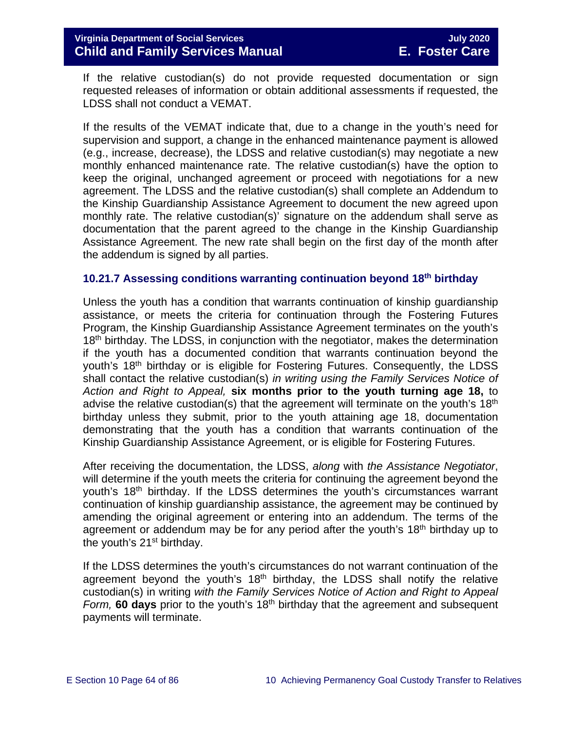If the relative custodian(s) do not provide requested documentation or sign requested releases of information or obtain additional assessments if requested, the LDSS shall not conduct a VEMAT.

If the results of the VEMAT indicate that, due to a change in the youth's need for supervision and support, a change in the enhanced maintenance payment is allowed (e.g., increase, decrease), the LDSS and relative custodian(s) may negotiate a new monthly enhanced maintenance rate. The relative custodian(s) have the option to keep the original, unchanged agreement or proceed with negotiations for a new agreement. The LDSS and the relative custodian(s) shall complete an Addendum to the Kinship Guardianship Assistance Agreement to document the new agreed upon monthly rate. The relative custodian(s)' signature on the addendum shall serve as documentation that the parent agreed to the change in the Kinship Guardianship Assistance Agreement. The new rate shall begin on the first day of the month after the addendum is signed by all parties.

#### <span id="page-63-0"></span>**10.21.7 Assessing conditions warranting continuation beyond 18th birthday**

Unless the youth has a condition that warrants continuation of kinship guardianship assistance, or meets the criteria for continuation through the Fostering Futures Program, the Kinship Guardianship Assistance Agreement terminates on the youth's 18<sup>th</sup> birthday. The LDSS, in conjunction with the negotiator, makes the determination if the youth has a documented condition that warrants continuation beyond the youth's 18<sup>th</sup> birthday or is eligible for Fostering Futures. Consequently, the LDSS shall contact the relative custodian(s) *in writing using the Family Services Notice of Action and Right to Appeal,* **six months prior to the youth turning age 18,** to advise the relative custodian(s) that the agreement will terminate on the youth's  $18<sup>th</sup>$ birthday unless they submit, prior to the youth attaining age 18, documentation demonstrating that the youth has a condition that warrants continuation of the Kinship Guardianship Assistance Agreement, or is eligible for Fostering Futures.

After receiving the documentation, the LDSS, *along* with *the Assistance Negotiator*, will determine if the youth meets the criteria for continuing the agreement beyond the youth's 18th birthday. If the LDSS determines the youth's circumstances warrant continuation of kinship guardianship assistance, the agreement may be continued by amending the original agreement or entering into an addendum. The terms of the agreement or addendum may be for any period after the youth's 18<sup>th</sup> birthday up to the youth's  $21<sup>st</sup>$  birthday.

If the LDSS determines the youth's circumstances do not warrant continuation of the agreement beyond the youth's  $18<sup>th</sup>$  birthday, the LDSS shall notify the relative custodian(s) in writing *with the Family Services Notice of Action and Right to Appeal Form,* **60 days** prior to the youth's 18th birthday that the agreement and subsequent payments will terminate.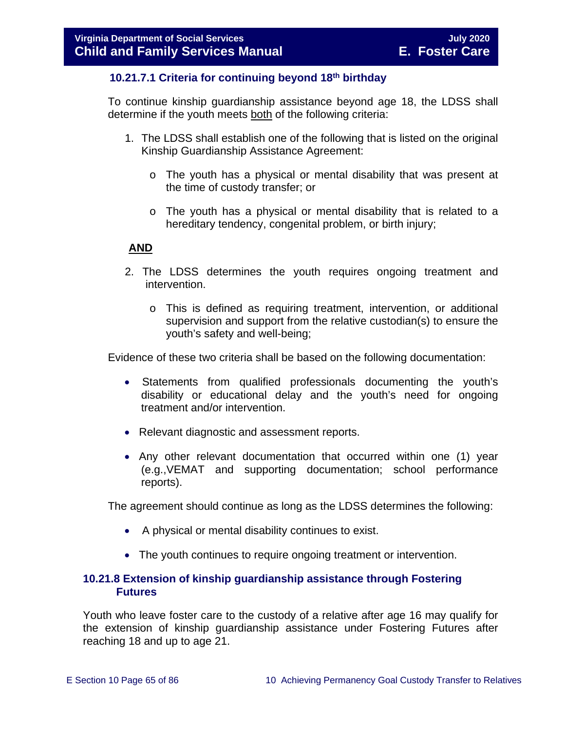## **10.21.7.1 Criteria for continuing beyond 18th birthday**

To continue kinship guardianship assistance beyond age 18, the LDSS shall determine if the youth meets both of the following criteria:

- 1. The LDSS shall establish one of the following that is listed on the original Kinship Guardianship Assistance Agreement:
	- o The youth has a physical or mental disability that was present at the time of custody transfer; or
	- $\circ$  The youth has a physical or mental disability that is related to a hereditary tendency, congenital problem, or birth injury;

### **AND**

- 2. The LDSS determines the youth requires ongoing treatment and intervention.
	- o This is defined as requiring treatment, intervention, or additional supervision and support from the relative custodian(s) to ensure the youth's safety and well-being;

Evidence of these two criteria shall be based on the following documentation:

- Statements from qualified professionals documenting the youth's disability or educational delay and the youth's need for ongoing treatment and/or intervention.
- Relevant diagnostic and assessment reports.
- Any other relevant documentation that occurred within one (1) year (e.g.,VEMAT and supporting documentation; school performance reports).

The agreement should continue as long as the LDSS determines the following:

- A physical or mental disability continues to exist.
- The youth continues to require ongoing treatment or intervention.

### <span id="page-64-0"></span>**10.21.8 Extension of kinship guardianship assistance through Fostering Futures**

Youth who leave foster care to the custody of a relative after age 16 may qualify for the extension of kinship guardianship assistance under Fostering Futures after reaching 18 and up to age 21.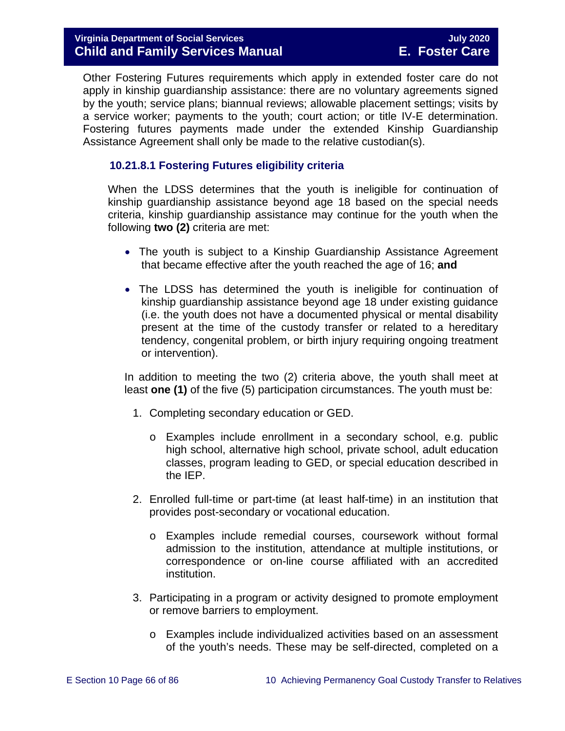Other Fostering Futures requirements which apply in extended foster care do not apply in kinship guardianship assistance: there are no voluntary agreements signed by the youth; service plans; biannual reviews; allowable placement settings; visits by a service worker; payments to the youth; court action; or title IV-E determination. Fostering futures payments made under the extended Kinship Guardianship Assistance Agreement shall only be made to the relative custodian(s).

## **10.21.8.1 Fostering Futures eligibility criteria**

When the LDSS determines that the youth is ineligible for continuation of kinship guardianship assistance beyond age 18 based on the special needs criteria, kinship guardianship assistance may continue for the youth when the following **two (2)** criteria are met:

- The youth is subject to a Kinship Guardianship Assistance Agreement that became effective after the youth reached the age of 16; **and**
- The LDSS has determined the youth is ineligible for continuation of kinship guardianship assistance beyond age 18 under existing guidance (i.e. the youth does not have a documented physical or mental disability present at the time of the custody transfer or related to a hereditary tendency, congenital problem, or birth injury requiring ongoing treatment or intervention).

In addition to meeting the two (2) criteria above, the youth shall meet at least **one (1)** of the five (5) participation circumstances. The youth must be:

- 1. Completing secondary education or GED.
	- o Examples include enrollment in a secondary school, e.g. public high school, alternative high school, private school, adult education classes, program leading to GED, or special education described in the IEP.
- 2. Enrolled full-time or part-time (at least half-time) in an institution that provides post-secondary or vocational education.
	- o Examples include remedial courses, coursework without formal admission to the institution, attendance at multiple institutions, or correspondence or on-line course affiliated with an accredited institution.
- 3. Participating in a program or activity designed to promote employment or remove barriers to employment.
	- o Examples include individualized activities based on an assessment of the youth's needs. These may be self-directed, completed on a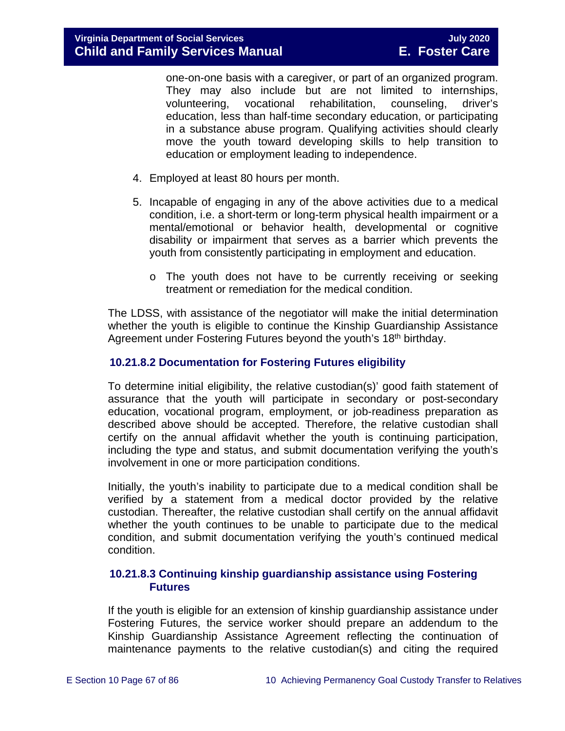one-on-one basis with a caregiver, or part of an organized program. They may also include but are not limited to internships, volunteering, vocational rehabilitation, counseling, driver's education, less than half-time secondary education, or participating in a substance abuse program. Qualifying activities should clearly move the youth toward developing skills to help transition to education or employment leading to independence.

- 4. Employed at least 80 hours per month.
- 5. Incapable of engaging in any of the above activities due to a medical condition, i.e. a short-term or long-term physical health impairment or a mental/emotional or behavior health, developmental or cognitive disability or impairment that serves as a barrier which prevents the youth from consistently participating in employment and education.
	- o The youth does not have to be currently receiving or seeking treatment or remediation for the medical condition.

The LDSS, with assistance of the negotiator will make the initial determination whether the youth is eligible to continue the Kinship Guardianship Assistance Agreement under Fostering Futures beyond the youth's 18<sup>th</sup> birthday.

### **10.21.8.2 Documentation for Fostering Futures eligibility**

To determine initial eligibility, the relative custodian(s)' good faith statement of assurance that the youth will participate in secondary or post-secondary education, vocational program, employment, or job-readiness preparation as described above should be accepted. Therefore, the relative custodian shall certify on the annual affidavit whether the youth is continuing participation, including the type and status, and submit documentation verifying the youth's involvement in one or more participation conditions.

Initially, the youth's inability to participate due to a medical condition shall be verified by a statement from a medical doctor provided by the relative custodian. Thereafter, the relative custodian shall certify on the annual affidavit whether the youth continues to be unable to participate due to the medical condition, and submit documentation verifying the youth's continued medical condition.

### **10.21.8.3 Continuing kinship guardianship assistance using Fostering Futures**

If the youth is eligible for an extension of kinship guardianship assistance under Fostering Futures, the service worker should prepare an addendum to the Kinship Guardianship Assistance Agreement reflecting the continuation of maintenance payments to the relative custodian(s) and citing the required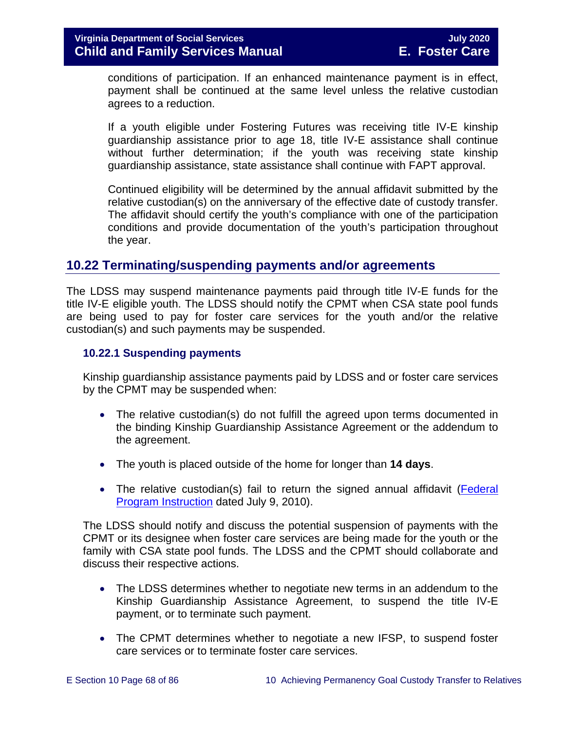conditions of participation. If an enhanced maintenance payment is in effect, payment shall be continued at the same level unless the relative custodian agrees to a reduction.

If a youth eligible under Fostering Futures was receiving title IV-E kinship guardianship assistance prior to age 18, title IV-E assistance shall continue without further determination; if the youth was receiving state kinship guardianship assistance, state assistance shall continue with FAPT approval.

Continued eligibility will be determined by the annual affidavit submitted by the relative custodian(s) on the anniversary of the effective date of custody transfer. The affidavit should certify the youth's compliance with one of the participation conditions and provide documentation of the youth's participation throughout the year.

# **10.22 Terminating/suspending payments and/or agreements**

The LDSS may suspend maintenance payments paid through title IV-E funds for the title IV-E eligible youth. The LDSS should notify the CPMT when CSA state pool funds are being used to pay for foster care services for the youth and/or the relative custodian(s) and such payments may be suspended.

#### <span id="page-67-0"></span>**10.22.1 Suspending payments**

Kinship guardianship assistance payments paid by LDSS and or foster care services by the CPMT may be suspended when:

- The relative custodian(s) do not fulfill the agreed upon terms documented in the binding Kinship Guardianship Assistance Agreement or the addendum to the agreement.
- The youth is placed outside of the home for longer than **14 days**.
- The relative custodian(s) fail to return the signed annual affidavit (Federal [Program Instruction](http://www.acf.hhs.gov/programs/cb/laws_policies/policy/pi/2010/pi1011.htm#sectd) dated July 9, 2010).

The LDSS should notify and discuss the potential suspension of payments with the CPMT or its designee when foster care services are being made for the youth or the family with CSA state pool funds. The LDSS and the CPMT should collaborate and discuss their respective actions.

- The LDSS determines whether to negotiate new terms in an addendum to the Kinship Guardianship Assistance Agreement, to suspend the title IV-E payment, or to terminate such payment.
- The CPMT determines whether to negotiate a new IFSP, to suspend foster care services or to terminate foster care services.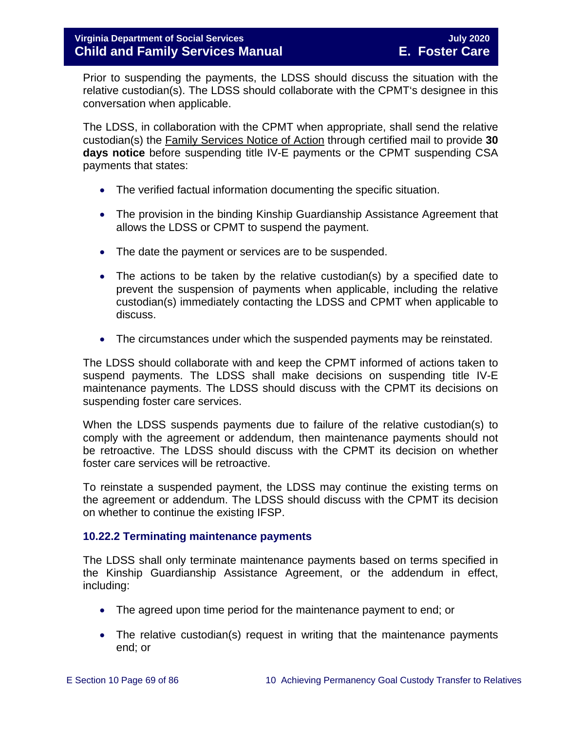Prior to suspending the payments, the LDSS should discuss the situation with the relative custodian(s). The LDSS should collaborate with the CPMT's designee in this conversation when applicable.

The LDSS, in collaboration with the CPMT when appropriate, shall send the relative custodian(s) the Family Services Notice of Action through certified mail to provide **30 days notice** before suspending title IV-E payments or the CPMT suspending CSA payments that states:

- The verified factual information documenting the specific situation.
- The provision in the binding Kinship Guardianship Assistance Agreement that allows the LDSS or CPMT to suspend the payment.
- The date the payment or services are to be suspended.
- The actions to be taken by the relative custodian(s) by a specified date to prevent the suspension of payments when applicable, including the relative custodian(s) immediately contacting the LDSS and CPMT when applicable to discuss.
- The circumstances under which the suspended payments may be reinstated.

The LDSS should collaborate with and keep the CPMT informed of actions taken to suspend payments. The LDSS shall make decisions on suspending title IV-E maintenance payments. The LDSS should discuss with the CPMT its decisions on suspending foster care services.

When the LDSS suspends payments due to failure of the relative custodian(s) to comply with the agreement or addendum, then maintenance payments should not be retroactive. The LDSS should discuss with the CPMT its decision on whether foster care services will be retroactive.

To reinstate a suspended payment, the LDSS may continue the existing terms on the agreement or addendum. The LDSS should discuss with the CPMT its decision on whether to continue the existing IFSP.

#### <span id="page-68-0"></span>**10.22.2 Terminating maintenance payments**

The LDSS shall only terminate maintenance payments based on terms specified in the Kinship Guardianship Assistance Agreement, or the addendum in effect, including:

- The agreed upon time period for the maintenance payment to end; or
- The relative custodian(s) request in writing that the maintenance payments end; or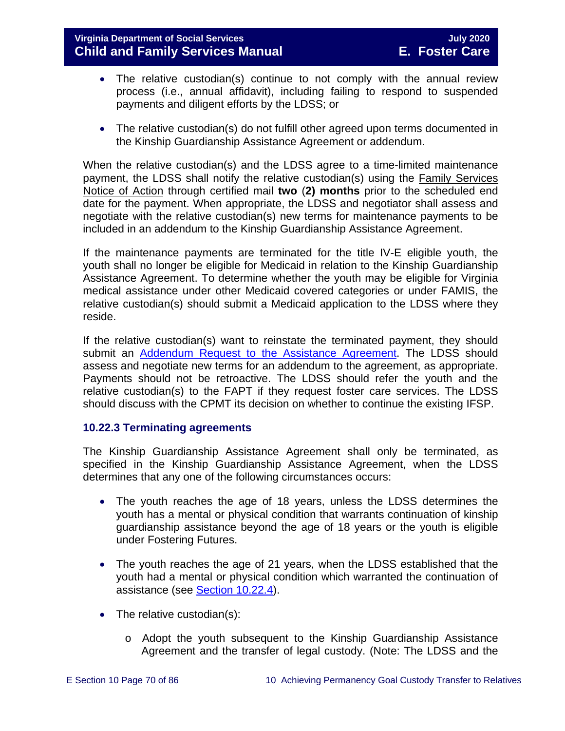## **Virginia Department of Social Services July 2020 Child and Family Services Manual**

- The relative custodian(s) continue to not comply with the annual review process (i.e., annual affidavit), including failing to respond to suspended payments and diligent efforts by the LDSS; or
- The relative custodian(s) do not fulfill other agreed upon terms documented in the Kinship Guardianship Assistance Agreement or addendum.

When the relative custodian(s) and the LDSS agree to a time-limited maintenance payment, the LDSS shall notify the relative custodian(s) using the Family Services Notice of Action through certified mail **two** (**2) months** prior to the scheduled end date for the payment. When appropriate, the LDSS and negotiator shall assess and negotiate with the relative custodian(s) new terms for maintenance payments to be included in an addendum to the Kinship Guardianship Assistance Agreement.

If the maintenance payments are terminated for the title IV-E eligible youth, the youth shall no longer be eligible for Medicaid in relation to the Kinship Guardianship Assistance Agreement. To determine whether the youth may be eligible for Virginia medical assistance under other Medicaid covered categories or under FAMIS, the relative custodian(s) should submit a Medicaid application to the LDSS where they reside.

If the relative custodian(s) want to reinstate the terminated payment, they should submit an [Addendum Request to the Assistance](https://fusion.dss.virginia.gov/Portals/%5Bdfs%5D/Files/DFS%20FORMS/Family%20Services-Generic%20Forms/Addendum%20Request%20to%20the%20Assistance%20Agreement.pdf) Agreement. The LDSS should assess and negotiate new terms for an addendum to the agreement, as appropriate. Payments should not be retroactive. The LDSS should refer the youth and the relative custodian(s) to the FAPT if they request foster care services. The LDSS should discuss with the CPMT its decision on whether to continue the existing IFSP.

## <span id="page-69-0"></span>**10.22.3 Terminating agreements**

The Kinship Guardianship Assistance Agreement shall only be terminated, as specified in the Kinship Guardianship Assistance Agreement, when the LDSS determines that any one of the following circumstances occurs:

- The youth reaches the age of 18 years, unless the LDSS determines the youth has a mental or physical condition that warrants continuation of kinship guardianship assistance beyond the age of 18 years or the youth is eligible under Fostering Futures.
- The youth reaches the age of 21 years, when the LDSS established that the youth had a mental or physical condition which warranted the continuation of assistance (see [Section 10.22.4\)](#page-71-0).
- The relative custodian(s):
	- o Adopt the youth subsequent to the Kinship Guardianship Assistance Agreement and the transfer of legal custody. (Note: The LDSS and the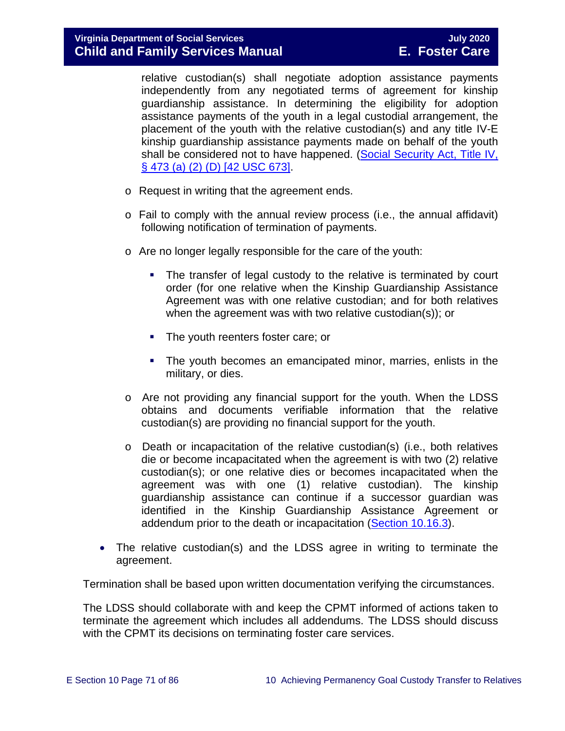relative custodian(s) shall negotiate adoption assistance payments independently from any negotiated terms of agreement for kinship guardianship assistance. In determining the eligibility for adoption assistance payments of the youth in a legal custodial arrangement, the placement of the youth with the relative custodian(s) and any title IV-E kinship guardianship assistance payments made on behalf of the youth shall be considered not to have happened. [\(Social Security Act, Title IV,](http://www.socialsecurity.gov/OP_Home/ssact/title04/0473.htm)  [§ 473 \(a\) \(2\) \(D\) \[42 USC 673\].](http://www.socialsecurity.gov/OP_Home/ssact/title04/0473.htm)

- o Request in writing that the agreement ends.
- o Fail to comply with the annual review process (i.e., the annual affidavit) following notification of termination of payments.
- o Are no longer legally responsible for the care of the youth:
	- The transfer of legal custody to the relative is terminated by court order (for one relative when the Kinship Guardianship Assistance Agreement was with one relative custodian; and for both relatives when the agreement was with two relative custodian(s)); or
	- The youth reenters foster care; or
	- The youth becomes an emancipated minor, marries, enlists in the military, or dies.
- o Are not providing any financial support for the youth. When the LDSS obtains and documents verifiable information that the relative custodian(s) are providing no financial support for the youth.
- o Death or incapacitation of the relative custodian(s) (i.e., both relatives die or become incapacitated when the agreement is with two (2) relative custodian(s); or one relative dies or becomes incapacitated when the agreement was with one (1) relative custodian). The kinship guardianship assistance can continue if a successor guardian was identified in the Kinship Guardianship Assistance Agreement or addendum prior to the death or incapacitation [\(Section 10.16.3\)](#page-46-0).
- The relative custodian(s) and the LDSS agree in writing to terminate the agreement.

Termination shall be based upon written documentation verifying the circumstances.

The LDSS should collaborate with and keep the CPMT informed of actions taken to terminate the agreement which includes all addendums. The LDSS should discuss with the CPMT its decisions on terminating foster care services.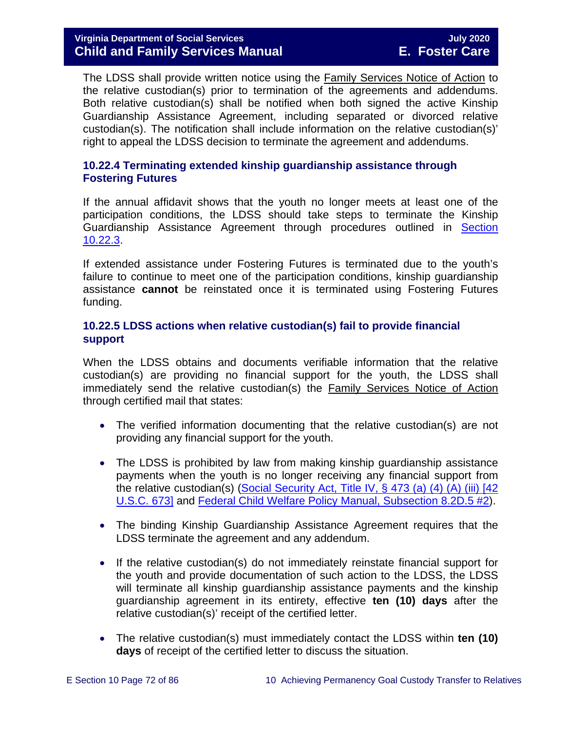# **Virginia Department of Social Services July 2020 Child and Family Services Manual**

The LDSS shall provide written notice using the Family Services Notice of Action to the relative custodian(s) prior to termination of the agreements and addendums. Both relative custodian(s) shall be notified when both signed the active Kinship Guardianship Assistance Agreement, including separated or divorced relative custodian(s). The notification shall include information on the relative custodian(s)' right to appeal the LDSS decision to terminate the agreement and addendums.

### <span id="page-71-0"></span>**10.22.4 Terminating extended kinship guardianship assistance through Fostering Futures**

If the annual affidavit shows that the youth no longer meets at least one of the participation conditions, the LDSS should take steps to terminate the Kinship Guardianship Assistance Agreement through procedures outlined in Section [10.22.3.](#page-69-0)

If extended assistance under Fostering Futures is terminated due to the youth's failure to continue to meet one of the participation conditions, kinship guardianship assistance **cannot** be reinstated once it is terminated using Fostering Futures funding.

### **10.22.5 LDSS actions when relative custodian(s) fail to provide financial support**

When the LDSS obtains and documents verifiable information that the relative custodian(s) are providing no financial support for the youth, the LDSS shall immediately send the relative custodian(s) the Family Services Notice of Action through certified mail that states:

- The verified information documenting that the relative custodian(s) are not providing any financial support for the youth.
- The LDSS is prohibited by law from making kinship quardianship assistance payments when the youth is no longer receiving any financial support from the relative custodian(s) [\(Social Security Act, Title IV, § 473 \(a\) \(4\) \(A\) \(iii\) \[42](https://www.ssa.gov/OP_Home/ssact/title04/0473.htm)  [U.S.C. 673\]](https://www.ssa.gov/OP_Home/ssact/title04/0473.htm) and [Federal Child Welfare Policy Manual, Subsection 8.2D.5 #2\)](https://www.acf.hhs.gov/cwpm/public_html/programs/cb/laws_policies/laws/cwpm/policy_dsp.jsp?citID=82).
- The binding Kinship Guardianship Assistance Agreement requires that the LDSS terminate the agreement and any addendum.
- If the relative custodian(s) do not immediately reinstate financial support for the youth and provide documentation of such action to the LDSS, the LDSS will terminate all kinship guardianship assistance payments and the kinship guardianship agreement in its entirety, effective **ten (10) days** after the relative custodian(s)' receipt of the certified letter.
- The relative custodian(s) must immediately contact the LDSS within **ten (10) days** of receipt of the certified letter to discuss the situation.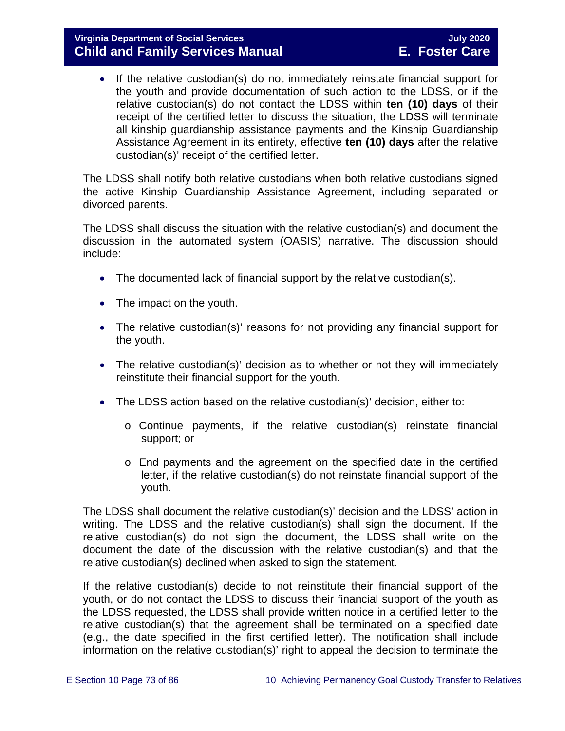• If the relative custodian(s) do not immediately reinstate financial support for the youth and provide documentation of such action to the LDSS, or if the relative custodian(s) do not contact the LDSS within **ten (10) days** of their receipt of the certified letter to discuss the situation, the LDSS will terminate all kinship guardianship assistance payments and the Kinship Guardianship Assistance Agreement in its entirety, effective **ten (10) days** after the relative custodian(s)' receipt of the certified letter.

The LDSS shall notify both relative custodians when both relative custodians signed the active Kinship Guardianship Assistance Agreement, including separated or divorced parents.

The LDSS shall discuss the situation with the relative custodian(s) and document the discussion in the automated system (OASIS) narrative. The discussion should include:

- The documented lack of financial support by the relative custodian(s).
- The impact on the youth.
- The relative custodian(s)' reasons for not providing any financial support for the youth.
- The relative custodian(s)' decision as to whether or not they will immediately reinstitute their financial support for the youth.
- The LDSS action based on the relative custodian(s)' decision, either to:
	- o Continue payments, if the relative custodian(s) reinstate financial support; or
	- o End payments and the agreement on the specified date in the certified letter, if the relative custodian(s) do not reinstate financial support of the youth.

The LDSS shall document the relative custodian(s)' decision and the LDSS' action in writing. The LDSS and the relative custodian(s) shall sign the document. If the relative custodian(s) do not sign the document, the LDSS shall write on the document the date of the discussion with the relative custodian(s) and that the relative custodian(s) declined when asked to sign the statement.

If the relative custodian(s) decide to not reinstitute their financial support of the youth, or do not contact the LDSS to discuss their financial support of the youth as the LDSS requested, the LDSS shall provide written notice in a certified letter to the relative custodian(s) that the agreement shall be terminated on a specified date (e.g., the date specified in the first certified letter). The notification shall include information on the relative custodian(s)' right to appeal the decision to terminate the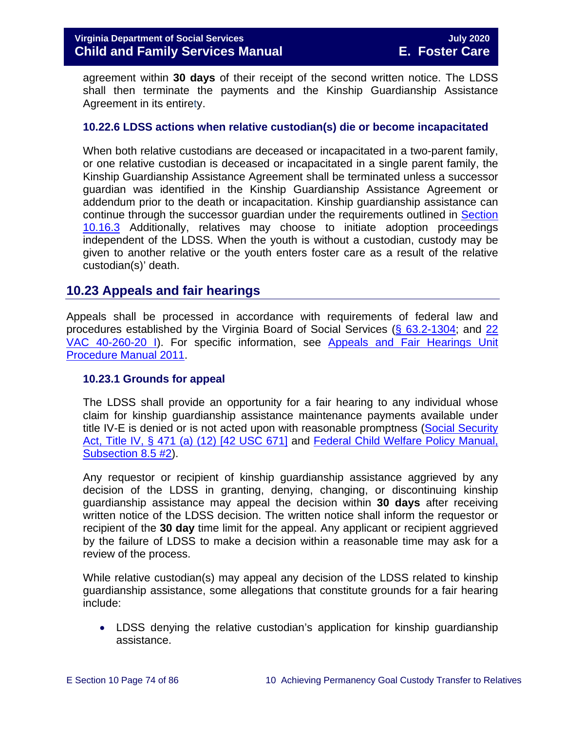agreement within **30 days** of their receipt of the second written notice. The LDSS shall then terminate the payments and the Kinship Guardianship Assistance Agreement in its entirety.

#### **10.22.6 LDSS actions when relative custodian(s) die or become incapacitated**

When both relative custodians are deceased or incapacitated in a two-parent family, or one relative custodian is deceased or incapacitated in a single parent family, the Kinship Guardianship Assistance Agreement shall be terminated unless a successor guardian was identified in the Kinship Guardianship Assistance Agreement or addendum prior to the death or incapacitation. Kinship guardianship assistance can continue through the successor guardian under the requirements outlined in [Section](#page-46-0)  [10.16.3](#page-46-0) Additionally, relatives may choose to initiate adoption proceedings independent of the LDSS. When the youth is without a custodian, custody may be given to another relative or the youth enters foster care as a result of the relative custodian(s)' death.

## **10.23 Appeals and fair hearings**

Appeals shall be processed in accordance with requirements of federal law and procedures established by the Virginia Board of Social Services [\(§ 63.2-1304;](http://leg1.state.va.us/cgi-bin/legp504.exe?000+cod+63.2-1304) and [22](http://leg1.state.va.us/cgi-bin/legp504.exe?000+reg+22VAC40-260-20)  [VAC 40-260-20 I\)](http://leg1.state.va.us/cgi-bin/legp504.exe?000+reg+22VAC40-260-20). For specific information, see [Appeals and Fair Hearings Unit](https://fusion.dss.virginia.gov/Portals/%5BAC%5D/Files/Appeals%2C%20Fair%20Hearings%20and%20Civil%20Rights/AFH_Procedure_Manual.pdf)  [Procedure Manual 2011.](https://fusion.dss.virginia.gov/Portals/%5BAC%5D/Files/Appeals%2C%20Fair%20Hearings%20and%20Civil%20Rights/AFH_Procedure_Manual.pdf)

#### **10.23.1 Grounds for appeal**

The LDSS shall provide an opportunity for a fair hearing to any individual whose claim for kinship guardianship assistance maintenance payments available under title IV-E is denied or is not acted upon with reasonable promptness [\(Social Security](http://www.ssa.gov/OP_Home/ssact/title04/0471.htm)  [Act, Title IV, § 471 \(a\) \(12\) \[42 USC 671\]](http://www.ssa.gov/OP_Home/ssact/title04/0471.htm) and [Federal Child Welfare Policy Manual,](http://www.acf.hhs.gov/cwpm/programs/cb/laws_policies/laws/cwpm/policy_dsp.jsp?citID=370#2102)  [Subsection 8.5 #2\)](http://www.acf.hhs.gov/cwpm/programs/cb/laws_policies/laws/cwpm/policy_dsp.jsp?citID=370#2102).

Any requestor or recipient of kinship guardianship assistance aggrieved by any decision of the LDSS in granting, denying, changing, or discontinuing kinship guardianship assistance may appeal the decision within **30 days** after receiving written notice of the LDSS decision. The written notice shall inform the requestor or recipient of the **30 day** time limit for the appeal. Any applicant or recipient aggrieved by the failure of LDSS to make a decision within a reasonable time may ask for a review of the process.

While relative custodian(s) may appeal any decision of the LDSS related to kinship guardianship assistance, some allegations that constitute grounds for a fair hearing include:

• LDSS denying the relative custodian's application for kinship guardianship assistance.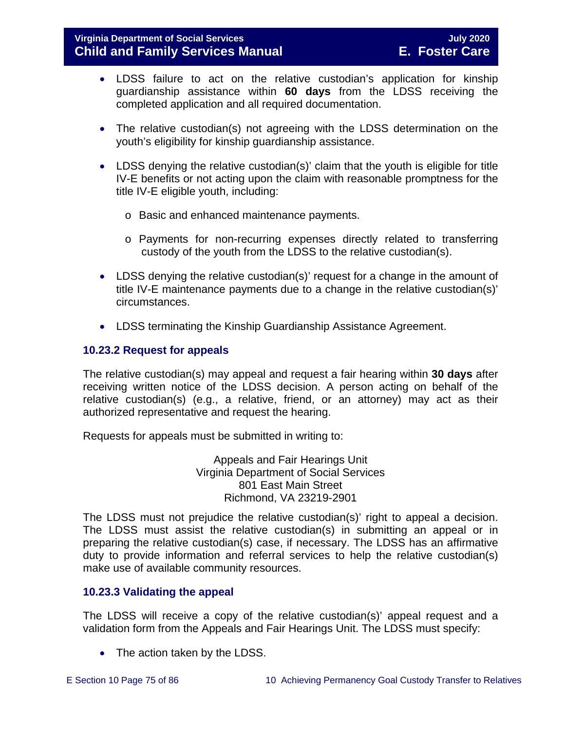- LDSS failure to act on the relative custodian's application for kinship guardianship assistance within **60 days** from the LDSS receiving the completed application and all required documentation.
- The relative custodian(s) not agreeing with the LDSS determination on the youth's eligibility for kinship guardianship assistance.
- LDSS denying the relative custodian(s)' claim that the youth is eligible for title IV-E benefits or not acting upon the claim with reasonable promptness for the title IV-E eligible youth, including:
	- o Basic and enhanced maintenance payments.
	- o Payments for non-recurring expenses directly related to transferring custody of the youth from the LDSS to the relative custodian(s).
- LDSS denying the relative custodian(s)' request for a change in the amount of title IV-E maintenance payments due to a change in the relative custodian(s)' circumstances.
- LDSS terminating the Kinship Guardianship Assistance Agreement.

## **10.23.2 Request for appeals**

The relative custodian(s) may appeal and request a fair hearing within **30 days** after receiving written notice of the LDSS decision. A person acting on behalf of the relative custodian(s) (e.g., a relative, friend, or an attorney) may act as their authorized representative and request the hearing.

Requests for appeals must be submitted in writing to:

Appeals and Fair Hearings Unit Virginia Department of Social Services 801 East Main Street Richmond, VA 23219-2901

The LDSS must not prejudice the relative custodian(s)' right to appeal a decision. The LDSS must assist the relative custodian(s) in submitting an appeal or in preparing the relative custodian(s) case, if necessary. The LDSS has an affirmative duty to provide information and referral services to help the relative custodian(s) make use of available community resources.

## **10.23.3 Validating the appeal**

The LDSS will receive a copy of the relative custodian(s)' appeal request and a validation form from the Appeals and Fair Hearings Unit. The LDSS must specify:

• The action taken by the LDSS.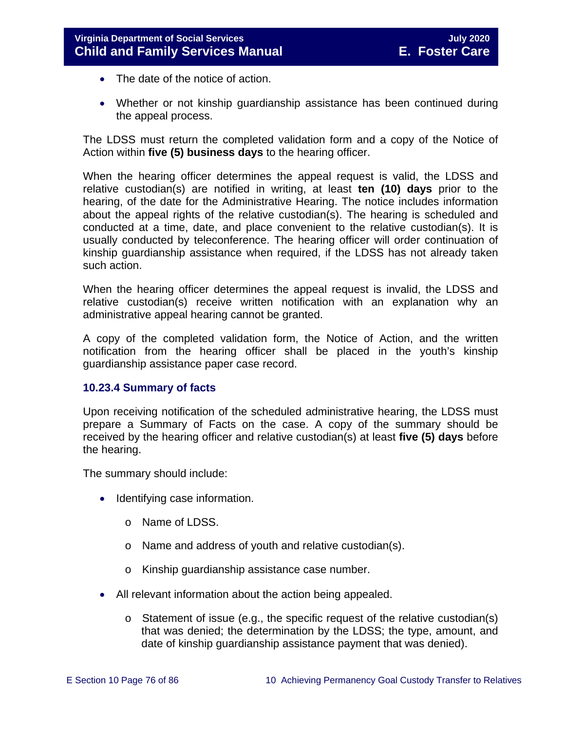- The date of the notice of action.
- Whether or not kinship guardianship assistance has been continued during the appeal process.

The LDSS must return the completed validation form and a copy of the Notice of Action within **five (5) business days** to the hearing officer.

When the hearing officer determines the appeal request is valid, the LDSS and relative custodian(s) are notified in writing, at least **ten (10) days** prior to the hearing, of the date for the Administrative Hearing. The notice includes information about the appeal rights of the relative custodian(s). The hearing is scheduled and conducted at a time, date, and place convenient to the relative custodian(s). It is usually conducted by teleconference. The hearing officer will order continuation of kinship guardianship assistance when required, if the LDSS has not already taken such action.

When the hearing officer determines the appeal request is invalid, the LDSS and relative custodian(s) receive written notification with an explanation why an administrative appeal hearing cannot be granted.

A copy of the completed validation form, the Notice of Action, and the written notification from the hearing officer shall be placed in the youth's kinship guardianship assistance paper case record.

## **10.23.4 Summary of facts**

Upon receiving notification of the scheduled administrative hearing, the LDSS must prepare a Summary of Facts on the case. A copy of the summary should be received by the hearing officer and relative custodian(s) at least **five (5) days** before the hearing.

The summary should include:

- Identifying case information.
	- o Name of LDSS.
	- o Name and address of youth and relative custodian(s).
	- o Kinship guardianship assistance case number.
- All relevant information about the action being appealed.
	- o Statement of issue (e.g., the specific request of the relative custodian(s) that was denied; the determination by the LDSS; the type, amount, and date of kinship guardianship assistance payment that was denied).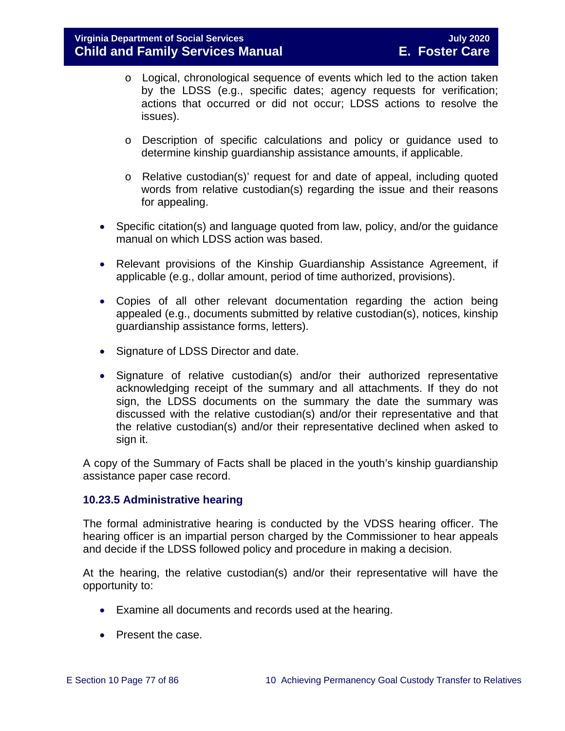- o Logical, chronological sequence of events which led to the action taken by the LDSS (e.g., specific dates; agency requests for verification; actions that occurred or did not occur; LDSS actions to resolve the issues).
- o Description of specific calculations and policy or guidance used to determine kinship guardianship assistance amounts, if applicable.
- o Relative custodian(s)' request for and date of appeal, including quoted words from relative custodian(s) regarding the issue and their reasons for appealing.
- Specific citation(s) and language quoted from law, policy, and/or the guidance manual on which LDSS action was based.
- Relevant provisions of the Kinship Guardianship Assistance Agreement, if applicable (e.g., dollar amount, period of time authorized, provisions).
- Copies of all other relevant documentation regarding the action being appealed (e.g., documents submitted by relative custodian(s), notices, kinship guardianship assistance forms, letters).
- Signature of LDSS Director and date.
- Signature of relative custodian(s) and/or their authorized representative acknowledging receipt of the summary and all attachments. If they do not sign, the LDSS documents on the summary the date the summary was discussed with the relative custodian(s) and/or their representative and that the relative custodian(s) and/or their representative declined when asked to sign it.

A copy of the Summary of Facts shall be placed in the youth's kinship guardianship assistance paper case record.

## **10.23.5 Administrative hearing**

The formal administrative hearing is conducted by the VDSS hearing officer. The hearing officer is an impartial person charged by the Commissioner to hear appeals and decide if the LDSS followed policy and procedure in making a decision.

At the hearing, the relative custodian(s) and/or their representative will have the opportunity to:

- Examine all documents and records used at the hearing.
- Present the case.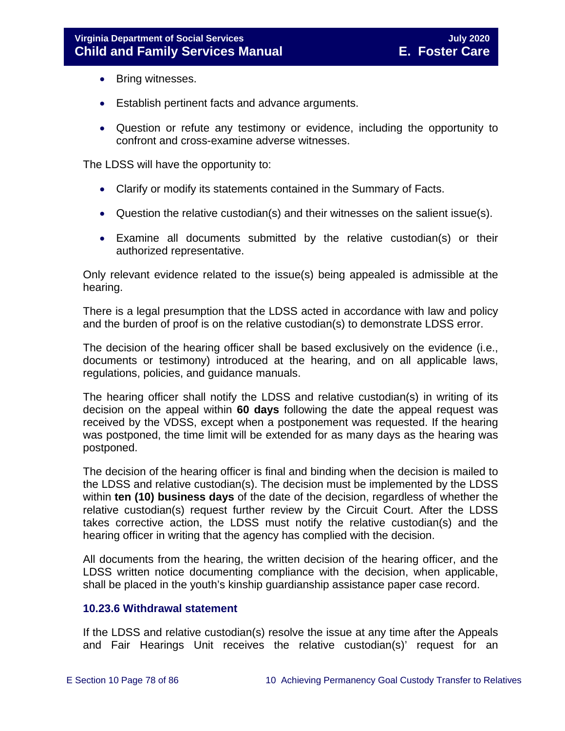- Bring witnesses.
- Establish pertinent facts and advance arguments.
- Question or refute any testimony or evidence, including the opportunity to confront and cross-examine adverse witnesses.

The LDSS will have the opportunity to:

- Clarify or modify its statements contained in the Summary of Facts.
- Question the relative custodian(s) and their witnesses on the salient issue(s).
- Examine all documents submitted by the relative custodian(s) or their authorized representative.

Only relevant evidence related to the issue(s) being appealed is admissible at the hearing.

There is a legal presumption that the LDSS acted in accordance with law and policy and the burden of proof is on the relative custodian(s) to demonstrate LDSS error.

The decision of the hearing officer shall be based exclusively on the evidence (i.e., documents or testimony) introduced at the hearing, and on all applicable laws, regulations, policies, and guidance manuals.

The hearing officer shall notify the LDSS and relative custodian(s) in writing of its decision on the appeal within **60 days** following the date the appeal request was received by the VDSS, except when a postponement was requested. If the hearing was postponed, the time limit will be extended for as many days as the hearing was postponed.

The decision of the hearing officer is final and binding when the decision is mailed to the LDSS and relative custodian(s). The decision must be implemented by the LDSS within **ten (10) business days** of the date of the decision, regardless of whether the relative custodian(s) request further review by the Circuit Court. After the LDSS takes corrective action, the LDSS must notify the relative custodian(s) and the hearing officer in writing that the agency has complied with the decision.

All documents from the hearing, the written decision of the hearing officer, and the LDSS written notice documenting compliance with the decision, when applicable, shall be placed in the youth's kinship guardianship assistance paper case record.

#### **10.23.6 Withdrawal statement**

If the LDSS and relative custodian(s) resolve the issue at any time after the Appeals and Fair Hearings Unit receives the relative custodian(s)' request for an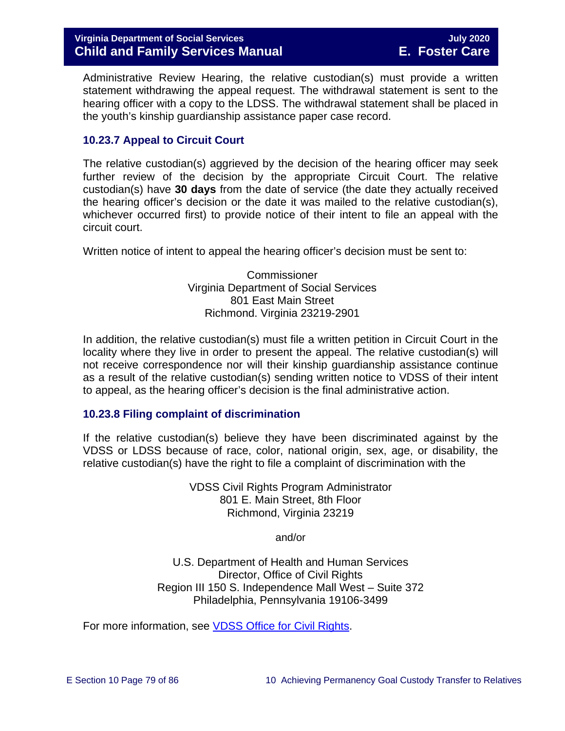Administrative Review Hearing, the relative custodian(s) must provide a written statement withdrawing the appeal request. The withdrawal statement is sent to the hearing officer with a copy to the LDSS. The withdrawal statement shall be placed in the youth's kinship guardianship assistance paper case record.

## **10.23.7 Appeal to Circuit Court**

The relative custodian(s) aggrieved by the decision of the hearing officer may seek further review of the decision by the appropriate Circuit Court. The relative custodian(s) have **30 days** from the date of service (the date they actually received the hearing officer's decision or the date it was mailed to the relative custodian(s), whichever occurred first) to provide notice of their intent to file an appeal with the circuit court.

Written notice of intent to appeal the hearing officer's decision must be sent to:

**Commissioner** Virginia Department of Social Services 801 East Main Street Richmond. Virginia 23219-2901

In addition, the relative custodian(s) must file a written petition in Circuit Court in the locality where they live in order to present the appeal. The relative custodian(s) will not receive correspondence nor will their kinship guardianship assistance continue as a result of the relative custodian(s) sending written notice to VDSS of their intent to appeal, as the hearing officer's decision is the final administrative action.

## **10.23.8 Filing complaint of discrimination**

If the relative custodian(s) believe they have been discriminated against by the VDSS or LDSS because of race, color, national origin, sex, age, or disability, the relative custodian(s) have the right to file a complaint of discrimination with the

> VDSS Civil Rights Program Administrator 801 E. Main Street, 8th Floor Richmond, Virginia 23219

> > and/or

U.S. Department of Health and Human Services Director, Office of Civil Rights Region III 150 S. Independence Mall West – Suite 372 Philadelphia, Pennsylvania 19106-3499

For more information, see [VDSS Office for Civil Rights.](http://www.dss.virginia.gov/about/civil_rights/index.cgi)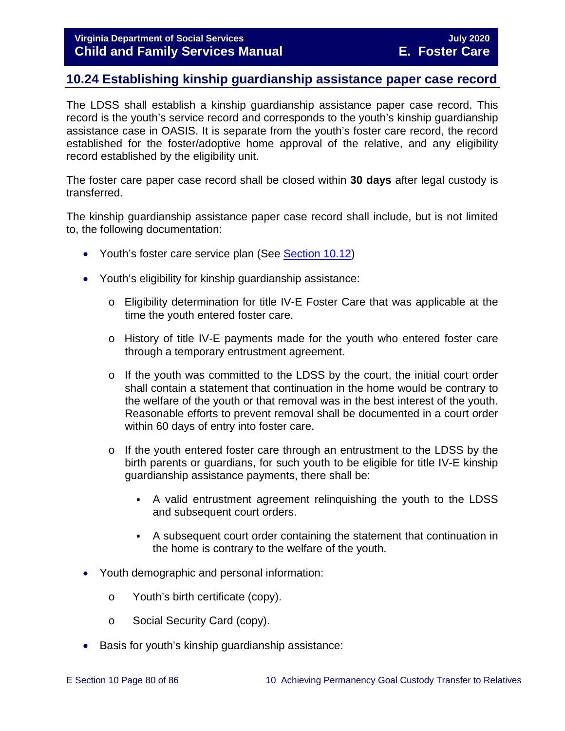# **10.24 Establishing kinship guardianship assistance paper case record**

The LDSS shall establish a kinship guardianship assistance paper case record. This record is the youth's service record and corresponds to the youth's kinship guardianship assistance case in OASIS. It is separate from the youth's foster care record, the record established for the foster/adoptive home approval of the relative, and any eligibility record established by the eligibility unit.

The foster care paper case record shall be closed within **30 days** after legal custody is transferred.

The kinship guardianship assistance paper case record shall include, but is not limited to, the following documentation:

- Youth's foster care service plan (See [Section 10.12\)](#page-23-0)
- Youth's eligibility for kinship guardianship assistance:
	- o Eligibility determination for title IV-E Foster Care that was applicable at the time the youth entered foster care.
	- o History of title IV-E payments made for the youth who entered foster care through a temporary entrustment agreement.
	- o If the youth was committed to the LDSS by the court, the initial court order shall contain a statement that continuation in the home would be contrary to the welfare of the youth or that removal was in the best interest of the youth. Reasonable efforts to prevent removal shall be documented in a court order within 60 days of entry into foster care.
	- $\circ$  If the youth entered foster care through an entrustment to the LDSS by the birth parents or guardians, for such youth to be eligible for title IV-E kinship guardianship assistance payments, there shall be:
		- A valid entrustment agreement relinquishing the youth to the LDSS and subsequent court orders.
		- A subsequent court order containing the statement that continuation in the home is contrary to the welfare of the youth.
- Youth demographic and personal information:
	- o Youth's birth certificate (copy).
	- o Social Security Card (copy).
- Basis for youth's kinship guardianship assistance: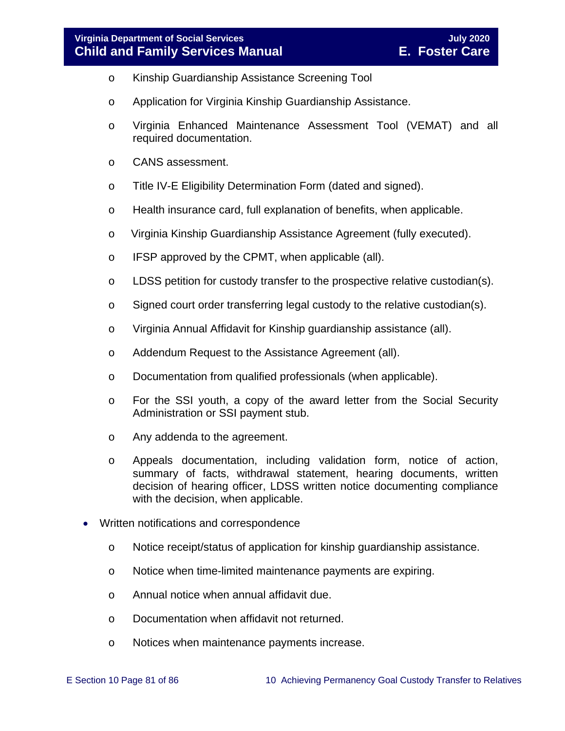- o Kinship Guardianship Assistance Screening Tool
- o Application for Virginia Kinship Guardianship Assistance.
- o Virginia Enhanced Maintenance Assessment Tool (VEMAT) and all required documentation.
- o CANS assessment.
- o Title IV-E Eligibility Determination Form (dated and signed).
- o Health insurance card, full explanation of benefits, when applicable.
- o Virginia Kinship Guardianship Assistance Agreement (fully executed).
- o IFSP approved by the CPMT, when applicable (all).
- $\circ$  LDSS petition for custody transfer to the prospective relative custodian(s).
- $\circ$  Signed court order transferring legal custody to the relative custodian(s).
- o Virginia Annual Affidavit for Kinship guardianship assistance (all).
- o Addendum Request to the Assistance Agreement (all).
- o Documentation from qualified professionals (when applicable).
- o For the SSI youth, a copy of the award letter from the Social Security Administration or SSI payment stub.
- o Any addenda to the agreement.
- o Appeals documentation, including validation form, notice of action, summary of facts, withdrawal statement, hearing documents, written decision of hearing officer, LDSS written notice documenting compliance with the decision, when applicable.
- Written notifications and correspondence
	- o Notice receipt/status of application for kinship guardianship assistance.
	- o Notice when time-limited maintenance payments are expiring.
	- o Annual notice when annual affidavit due.
	- o Documentation when affidavit not returned.
	- o Notices when maintenance payments increase.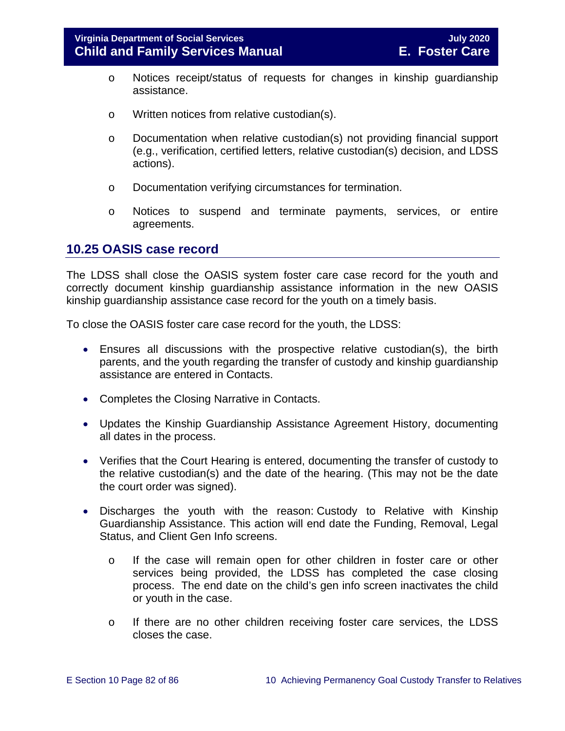- o Notices receipt/status of requests for changes in kinship guardianship assistance.
- o Written notices from relative custodian(s).
- o Documentation when relative custodian(s) not providing financial support (e.g., verification, certified letters, relative custodian(s) decision, and LDSS actions).
- o Documentation verifying circumstances for termination.
- o Notices to suspend and terminate payments, services, or entire agreements.

## **10.25 OASIS case record**

The LDSS shall close the OASIS system foster care case record for the youth and correctly document kinship guardianship assistance information in the new OASIS kinship guardianship assistance case record for the youth on a timely basis.

To close the OASIS foster care case record for the youth, the LDSS:

- Ensures all discussions with the prospective relative custodian(s), the birth parents, and the youth regarding the transfer of custody and kinship guardianship assistance are entered in Contacts.
- Completes the Closing Narrative in Contacts.
- Updates the Kinship Guardianship Assistance Agreement History, documenting all dates in the process.
- Verifies that the Court Hearing is entered, documenting the transfer of custody to the relative custodian(s) and the date of the hearing. (This may not be the date the court order was signed).
- Discharges the youth with the reason: Custody to Relative with Kinship Guardianship Assistance. This action will end date the Funding, Removal, Legal Status, and Client Gen Info screens.
	- o If the case will remain open for other children in foster care or other services being provided, the LDSS has completed the case closing process. The end date on the child's gen info screen inactivates the child or youth in the case.
	- o If there are no other children receiving foster care services, the LDSS closes the case.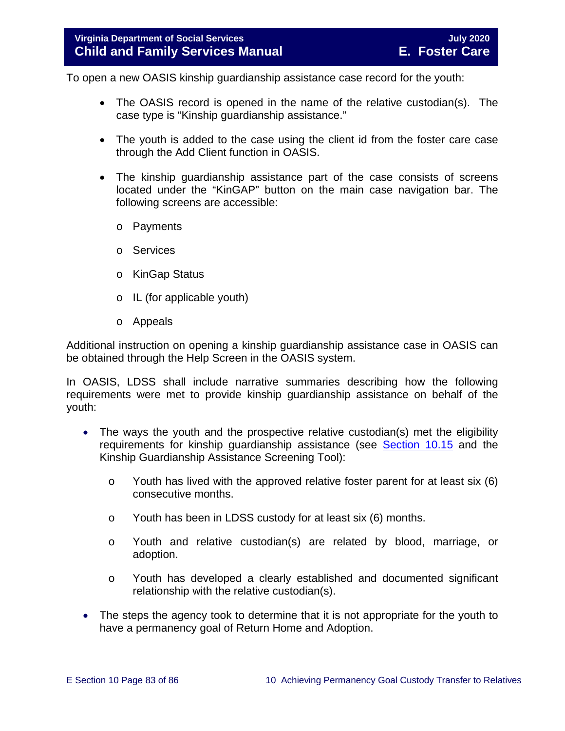To open a new OASIS kinship guardianship assistance case record for the youth:

- The OASIS record is opened in the name of the relative custodian(s). The case type is "Kinship guardianship assistance."
- The youth is added to the case using the client id from the foster care case through the Add Client function in OASIS.
- The kinship guardianship assistance part of the case consists of screens located under the "KinGAP" button on the main case navigation bar. The following screens are accessible:
	- o Payments
	- o Services
	- o KinGap Status
	- o IL (for applicable youth)
	- o Appeals

Additional instruction on opening a kinship guardianship assistance case in OASIS can be obtained through the Help Screen in the OASIS system.

In OASIS, LDSS shall include narrative summaries describing how the following requirements were met to provide kinship guardianship assistance on behalf of the youth:

- The ways the youth and the prospective relative custodian(s) met the eligibility requirements for kinship guardianship assistance (see [Section 10.15](#page-38-0) and the Kinship Guardianship Assistance Screening Tool):
	- o Youth has lived with the approved relative foster parent for at least six (6) consecutive months.
	- o Youth has been in LDSS custody for at least six (6) months.
	- o Youth and relative custodian(s) are related by blood, marriage, or adoption.
	- o Youth has developed a clearly established and documented significant relationship with the relative custodian(s).
- The steps the agency took to determine that it is not appropriate for the youth to have a permanency goal of Return Home and Adoption.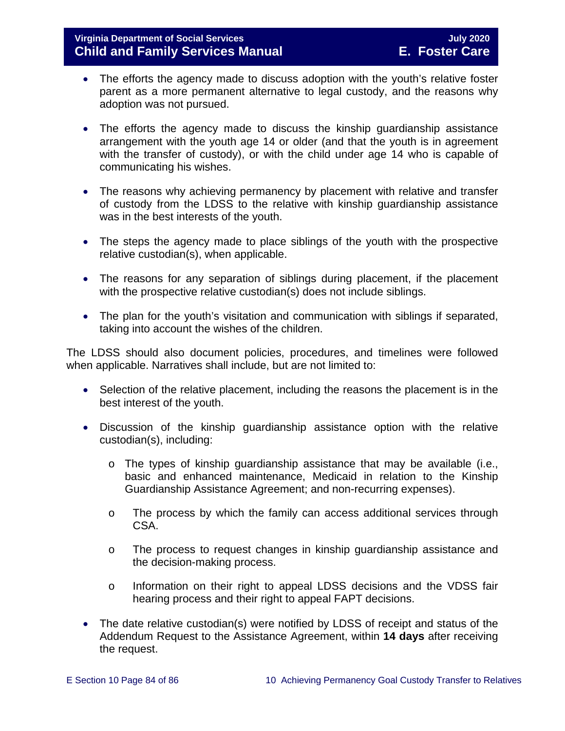- The efforts the agency made to discuss adoption with the youth's relative foster parent as a more permanent alternative to legal custody, and the reasons why adoption was not pursued.
- The efforts the agency made to discuss the kinship guardianship assistance arrangement with the youth age 14 or older (and that the youth is in agreement with the transfer of custody), or with the child under age 14 who is capable of communicating his wishes.
- The reasons why achieving permanency by placement with relative and transfer of custody from the LDSS to the relative with kinship guardianship assistance was in the best interests of the youth.
- The steps the agency made to place siblings of the youth with the prospective relative custodian(s), when applicable.
- The reasons for any separation of siblings during placement, if the placement with the prospective relative custodian(s) does not include siblings.
- The plan for the youth's visitation and communication with siblings if separated, taking into account the wishes of the children.

The LDSS should also document policies, procedures, and timelines were followed when applicable. Narratives shall include, but are not limited to:

- Selection of the relative placement, including the reasons the placement is in the best interest of the youth.
- Discussion of the kinship guardianship assistance option with the relative custodian(s), including:
	- $\circ$  The types of kinship quardianship assistance that may be available (i.e., basic and enhanced maintenance, Medicaid in relation to the Kinship Guardianship Assistance Agreement; and non-recurring expenses).
	- o The process by which the family can access additional services through CSA.
	- o The process to request changes in kinship guardianship assistance and the decision-making process.
	- o Information on their right to appeal LDSS decisions and the VDSS fair hearing process and their right to appeal FAPT decisions.
- The date relative custodian(s) were notified by LDSS of receipt and status of the Addendum Request to the Assistance Agreement, within **14 days** after receiving the request.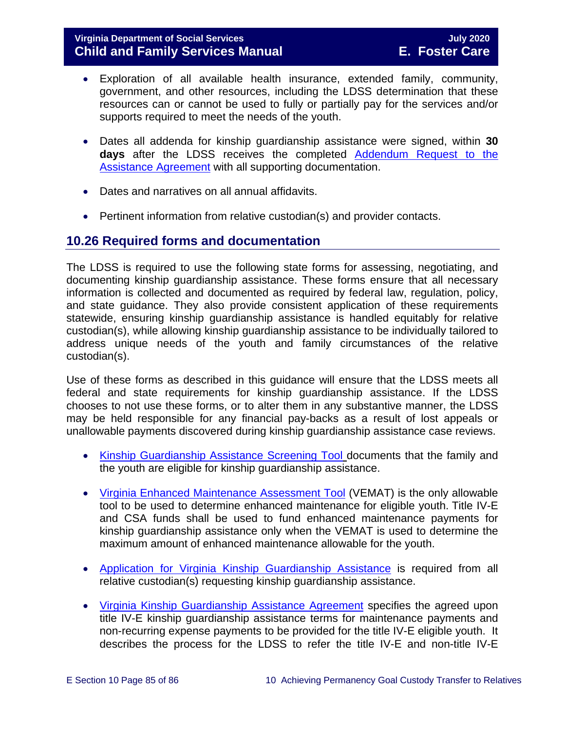## **Virginia Department of Social Services July 2020 Child and Family Services Manual**

- Exploration of all available health insurance, extended family, community, government, and other resources, including the LDSS determination that these resources can or cannot be used to fully or partially pay for the services and/or supports required to meet the needs of the youth.
- Dates all addenda for kinship guardianship assistance were signed, within **30 days** after the LDSS receives the completed [Addendum](https://fusion.dss.virginia.gov/Portals/%5Bdfs%5D/Files/DFS%20FORMS/Family%20Services-Generic%20Forms/Addendum%20Request%20to%20the%20Assistance%20Agreement.pdf) Request to the **Assistance Agreement with all supporting documentation.**
- Dates and narratives on all annual affidavits.
- Pertinent information from relative custodian(s) and provider contacts.

## **10.26 Required forms and documentation**

The LDSS is required to use the following state forms for assessing, negotiating, and documenting kinship guardianship assistance. These forms ensure that all necessary information is collected and documented as required by federal law, regulation, policy, and state guidance. They also provide consistent application of these requirements statewide, ensuring kinship guardianship assistance is handled equitably for relative custodian(s), while allowing kinship guardianship assistance to be individually tailored to address unique needs of the youth and family circumstances of the relative custodian(s).

Use of these forms as described in this guidance will ensure that the LDSS meets all federal and state requirements for kinship guardianship assistance. If the LDSS chooses to not use these forms, or to alter them in any substantive manner, the LDSS may be held responsible for any financial pay-backs as a result of lost appeals or unallowable payments discovered during kinship guardianship assistance case reviews.

- [Kinship Guardianship Assistance Screening Tool](https://fusion.dss.virginia.gov/Portals/%5Bdfs%5D/Files/DFS%20FORMS/Foster%20Care%20Forms/Kinship%20Guardianship%20Assistance%20Screening%20Tool.pdf) documents that the family and the youth are eligible for kinship guardianship assistance.
- [Virginia Enhanced Maintenance Assessment Tool](https://fusion.dss.virginia.gov/dis/IT-Services/Applications/VEMAT) (VEMAT) is the only allowable tool to be used to determine enhanced maintenance for eligible youth. Title IV-E and CSA funds shall be used to fund enhanced maintenance payments for kinship guardianship assistance only when the VEMAT is used to determine the maximum amount of enhanced maintenance allowable for the youth.
- [Application for Virginia Kinship Guardianship Assistance](http://www.dss.virginia.gov/family/fc/forms.cgi) is required from all relative custodian(s) requesting kinship guardianship assistance.
- [Virginia Kinship Guardianship Assistance Agreement](https://fusion.dss.virginia.gov/Portals/%5Bdfs%5D/Files/DFS%20FORMS/Foster%20Care%20Forms/Virginia%20Kinship%20Guardianship%20%28KinGAP%29%20Agreement.docxhttp:/www.dss.virginia.gov/family/fc/forms.cgi) specifies the agreed upon title IV-E kinship guardianship assistance terms for maintenance payments and non-recurring expense payments to be provided for the title IV-E eligible youth. It describes the process for the LDSS to refer the title IV-E and non-title IV-E